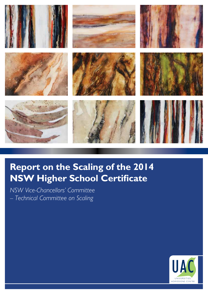

# **Report on the Scaling of the 2014 NSW Higher School Certificate**

*NSW Vice-Chancellors' Committee – Technical Committee on Scaling*

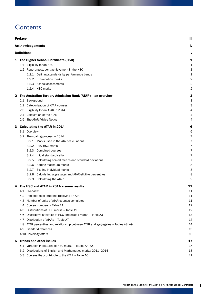# **Contents**

|    | <b>Preface</b>                                                                       | iίi            |
|----|--------------------------------------------------------------------------------------|----------------|
|    | <b>Acknowledgements</b>                                                              | iv             |
|    | <b>Definitions</b>                                                                   | v              |
|    | 1 The Higher School Certificate (HSC)                                                | 1              |
|    | 1.1 Eligibility for an HSC                                                           | 1              |
|    | 1.2 Reporting student achievement in the HSC                                         | 1              |
|    | 1.2.1 Defining standards by performance bands                                        | 1              |
|    | 1.2.2 Examination marks                                                              | 2              |
|    | 1.2.3 School assessments                                                             | $\overline{2}$ |
|    | 1.2.4 HSC marks                                                                      | 2              |
|    | 2 The Australian Tertiary Admission Rank (ATAR) - an overview                        | 3              |
|    | 2.1 Background                                                                       | 3              |
|    | 2.2 Categorisation of ATAR courses                                                   | 3              |
|    | 2.3 Eligibility for an ATAR in 2014                                                  | 4              |
|    | 2.4 Calculation of the ATAR                                                          | 4              |
|    | 2.5 The ATAR Advice Notice                                                           | 4              |
| 3  | <b>Calculating the ATAR in 2014</b>                                                  | 6              |
|    | 3.1 Overview                                                                         | 6              |
|    | 3.2 The scaling process in 2014                                                      | 7              |
|    | 3.2.1 Marks used in the ATAR calculations                                            | 7              |
|    | 3.2.2 Raw HSC marks                                                                  | 7              |
|    | 3.2.3 Combined courses                                                               | 7              |
|    | 3.2.4 Initial standardisation                                                        | 7              |
|    | 3.2.5 Calculating scaled means and standard deviations                               | 7              |
|    | 3.2.6 Setting maximum marks                                                          | 8              |
|    | 3.2.7 Scaling individual marks                                                       | 8              |
|    | 3.2.8 Calculating aggregates and ATAR-eligible percentiles                           | 8              |
|    | 3.2.9 Calculating the ATAR                                                           | 9              |
| 4  | The HSC and ATAR in 2014 - some results                                              | 11             |
|    | 4.1 Overview                                                                         | 11             |
|    | 4.2 Percentage of students receiving an ATAR                                         | 11             |
|    | Number of units of ATAR courses completed<br>4.3                                     | 11             |
|    | Course numbers - Table A1<br>4.4                                                     | 12             |
|    | Distributions of HSC marks - Table A2<br>4.5                                         | 12             |
|    | Descriptive statistics of HSC and scaled marks - Table A3<br>4.6                     | 13             |
|    | Distribution of ATARs - Table A7<br>4.7                                              | 14             |
|    | ATAR percentiles and relationship between ATAR and aggregates - Tables A8, A9<br>4.8 | 14             |
|    | Gender differences<br>4.9                                                            | 15             |
|    | 4.10 University offers                                                               | 16             |
| 5. | <b>Trends and other issues</b>                                                       | 17             |
|    | 5.1 Variation in patterns of HSC marks - Tables A4, A5                               | 17             |
|    | Distributions of English and Mathematics marks: 2011-2014<br>5.2                     | 18             |
|    | Courses that contribute to the ATAR - Table A6<br>5.3                                | 21             |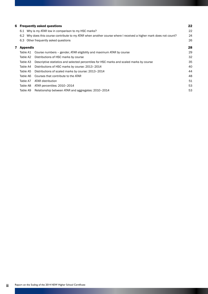|   |                                                          | 6 Frequently asked questions                                                                                  | 22 |  |  |  |
|---|----------------------------------------------------------|---------------------------------------------------------------------------------------------------------------|----|--|--|--|
|   | Why is my ATAR low in comparison to my HSC marks?<br>6.1 |                                                                                                               |    |  |  |  |
|   | 6.2                                                      | Why does this course contribute to my ATAR when another course where I received a higher mark does not count? | 24 |  |  |  |
|   | 6.3                                                      | Other frequently asked questions                                                                              | 26 |  |  |  |
| 7 | Appendix                                                 |                                                                                                               | 28 |  |  |  |
|   | Table A1                                                 | Course numbers – gender, ATAR eligibility and maximum ATAR by course                                          | 29 |  |  |  |
|   | Table A2                                                 | Distributions of HSC marks by course                                                                          | 32 |  |  |  |
|   | Table A3                                                 | Descriptive statistics and selected percentiles for HSC marks and scaled marks by course                      | 35 |  |  |  |
|   | Table A4                                                 | Distributions of HSC marks by course: 2013-2014                                                               | 40 |  |  |  |
|   | Table A5                                                 | Distributions of scaled marks by course: 2013-2014                                                            | 44 |  |  |  |
|   | Table A6                                                 | Courses that contribute to the ATAR                                                                           | 48 |  |  |  |
|   | Table A7                                                 | ATAR distribution                                                                                             | 51 |  |  |  |
|   | Table A8                                                 | ATAR percentiles: 2010-2014                                                                                   | 53 |  |  |  |
|   | Table A9                                                 | Relationship between ATAR and aggregates: 2010-2014                                                           | 53 |  |  |  |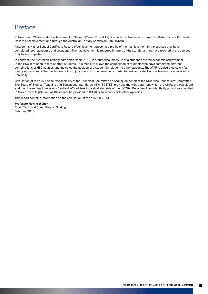# Preface

In New South Wales student achievement in Stage 6 (Years 11 and 12) is reported in two ways: through the Higher School Certificate Record of Achievement and through the Australian Tertiary Admission Rank (ATAR).

A student's Higher School Certificate Record of Achievement presents a profile of their achievement in the courses they have completed, both academic and vocational. Their achievement is reported in terms of the standards they have reached in the courses they have completed.

In contrast, the Australian Tertiary Admission Rank (ATAR) is a numerical measure of a student's overall academic achievement in the HSC in relation to that of other students. This measure allows the comparison of students who have completed different combinations of HSC courses and indicates the position of a student in relation to other students. The ATAR is calculated solely for use by universities, either on its own or in conjunction with other selection criteria, to rank and select school leavers for admission to university.

Calculation of the ATAR is the responsibility of the Technical Committee on Scaling on behalf of the NSW Vice-Chancellors' Committee. The Board of Studies, Teaching and Educational Standards NSW (BOSTES) provides the HSC data from which the ATARs are calculated and the Universities Admissions Centre (UAC) advises individual students of their ATARs. Because of confidentiality provisions specified in Government legislation, ATARs cannot be provided to BOSTES, to schools or to other agencies.

This report contains information on the calculation of the ATAR in 2014.

#### Professor Neville Weber

Chair, Technical Committee on Scaling February 2015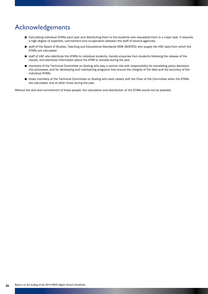# Acknowledgements

- Q Calculating individual ATARs each year and distributing them to the students who requested them is a major task. It requires a high degree of expertise, commitment and co-operation between the staff of several agencies:
- staff of the Board of Studies, Teaching and Educational Standards NSW (BOSTES) who supply the HSC data from which the ATARs are calculated
- staff of UAC who distribute the ATARs to individual students, handle enquiries from students following the release of the results, and distribute information about the ATAR to schools during the year
- members of the Technical Committee on Scaling who play a central role with responsibility for translating policy decisions into processes, and for developing and maintaining programs that ensure the integrity of the data and the accuracy of the individual ATARs
- those members of the Technical Committee on Scaling who work closely with the Chair of the Committee when the ATARs are calculated, and at other times during the year.

Without the skill and commitment of these people, the calculation and distribution of the ATARs would not be possible.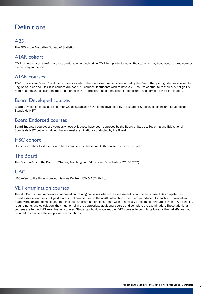# **Definitions**

## **ABS**

The ABS is the Australian Bureau of Statistics.

# ATAR cohort

ATAR cohort is used to refer to those students who received an ATAR in a particular year. The students may have accumulated courses over a five-year period.

# ATAR courses

ATAR courses are Board Developed courses for which there are examinations conducted by the Board that yield graded assessments. English Studies and Life Skills courses are not ATAR courses. If students wish to have a VET course contribute to their ATAR eligibility requirements and calculation, they must enrol in the appropriate additional examination course and complete the examination.

# Board Developed courses

Board Developed courses are courses whose syllabuses have been developed by the Board of Studies, Teaching and Educational Standards NSW.

# Board Endorsed courses

Board Endorsed courses are courses whose syllabuses have been approved by the Board of Studies, Teaching and Educational Standards NSW but which do not have formal examinations conducted by the Board.

# HSC cohort

HSC cohort refers to students who have completed at least one ATAR course in a particular year.

# The Board

The Board refers to the Board of Studies, Teaching and Educational Standards NSW (BOSTES).

# UAC

UAC refers to the Universities Admissions Centre (NSW & ACT) Pty Ltd.

## VET examination courses

The VET Curriculum Frameworks are based on training packages where the assessment is competency based. As competencebased assessment does not yield a mark that can be used in the ATAR calculations the Board introduced, for each VET Curriculum Framework, an additional course that includes an examination. If students wish to have a VET course contribute to their ATAR eligibility requirements and calculation, they must enrol in the appropriate additional course and complete the examination. These additional courses are termed VET examination courses. Students who do not want their VET courses to contribute towards their ATARs are not required to complete these optional examinations.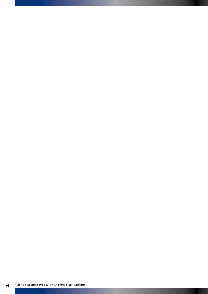### **Vi** Report on the Scaling of the 2014 NSW Higher School Certificate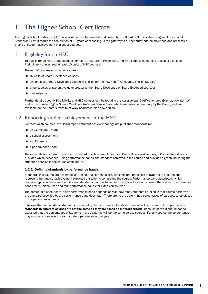# **I** The Higher School Certificate

The Higher School Certificate (HSC) is an exit certificate awarded and issued by the Board of Studies, Teaching and Educational Standards NSW. It marks the completion of 13 years of schooling, is the gateway to further study and employment, and presents a profile of student achievement in a set of courses.

## 1.1 Eligibility for an HSC

To qualify for an HSC, students must complete a pattern of Preliminary and HSC courses containing at least 12 units of Preliminary courses and at least 10 units of HSC courses.

These HSC courses must include at least:

- six units of Board Developed courses
- two units of a Board Developed course in English (or the new non-ATAR course, English Studies)
- three courses of two unit value or greater (either Board Developed or Board Endorsed courses)
- $\blacksquare$  four subjects.

Further details about HSC eligibility and HSC courses can be found in the *Assessment, Certification and Examination Manual*, and in the booklet *Higher School Certificate Rules and Procedures*, which are published annually by the Board, and are available on the Board's website at www.boardofstudies.nsw.edu.au.

## 1.2 Reporting student achievement in the HSC

For most ATAR courses, the Board reports student achievement against published standards by:

- $\blacksquare$  an examination mark
- a school assessment
- an HSC mark
- $\blacksquare$  a performance band.

These results are shown on a student's Record of Achievement. For most Board Developed courses, a Course Report is also provided which describes, using performance bands, the standard achieved in the course and provides a graph indicating the student's position in the course candidature.

#### 1.2.1 Defining standards by performance bands

Standards in a course are described in terms of the content, skills, concepts and principles relevant to the course and represent the range of achievement expected of students completing the course. Performance band descriptors, which describe typical achievement at different standards (bands), have been developed for each course. There are six performance bands for 2-unit courses and four performance bands for Extension courses.

The percentage of students in any performance band depends only on how many students enrolled in that course perform at the standard specified by the performance band descriptor. There are no pre-determined percentages of students to be placed in the performance bands.

It follows that, although the standards described by the performance bands in a course will be the same from year to year, standards in different courses are not the same as they are based on different criteria. Because of this it should not be expected that the percentages of students in the six bands will be the same across courses. For any course the percentages may also vary from year to year if student performance changes.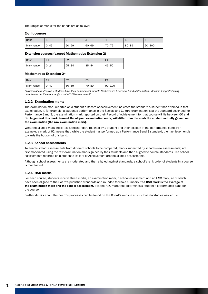The ranges of marks for the bands are as follows:

#### 2-unit courses

| Band       |      | -         |       |             |           |            |
|------------|------|-----------|-------|-------------|-----------|------------|
| Mark range | )-49 | $50 - 59$ | 60-69 | 79<br>$70-$ | $80 - 89$ | $90 - 100$ |

#### Extension courses (except Mathematics Extension 2)

| Band       | E <sub>1</sub> | E2        | — ~<br>ᄇ  | E <sub>4</sub> |
|------------|----------------|-----------|-----------|----------------|
| Mark range | $0 - 24$       | $25 - 34$ | $35 - 44$ | $45 - 50$      |

#### Mathematics Extension 2\*

| Band       | Ε1       | E2        | E <sub>3</sub> | E4         |
|------------|----------|-----------|----------------|------------|
| Mark range | $0 - 49$ | $50 - 69$ | $70 - 89$      | $90 - 100$ |

*\*Mathematics Extension 2 students have their achievement for both Mathematics Extension 1 and Mathematics Extension 2 reported using four bands but the mark range is out of 100 rather than 50.*

#### 1.2.2 Examination marks

The examination mark reported on a student's Record of Achievement indicates the standard a student has attained in that examination. If, for example, a student's performance in the Society and Culture examination is at the standard described for Performance Band 3, the examination mark reported on their Record of Achievement for that course will lie between 60 and 69. In general this mark, termed the aligned examination mark, will differ from the mark the student actually gained on the examination (the raw examination mark).

What the aligned mark indicates is the standard reached by a student and their position in the performance band. For example, a mark of 62 means that, while the student has performed at a Performance Band 3 standard, their achievement is towards the bottom of this band.

#### 1.2.3 School assessments

To enable school assessments from different schools to be compared, marks submitted by schools (raw assessments) are first moderated using the raw examination marks gained by their students and then aligned to course standards. The school assessments reported on a student's Record of Achievement are the aligned assessments.

Although school assessments are moderated and then aligned against standards, a school's rank order of students in a course is maintained.

#### 1.2.4 HSC marks

For each course, students receive three marks, an examination mark, a school assessment and an HSC mark, all of which have been aligned to the Board's published standards and rounded to whole numbers. The HSC mark is the average of the examination mark and the school assessment. It is the HSC mark that determines a student's performance band for the course.

Further details about the Board's processes can be found on the Board's website at www.boardofstudies.nsw.edu.au.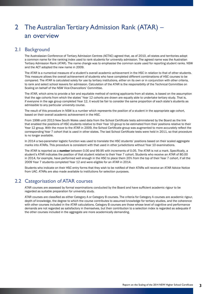# 2 The Australian Tertiary Admission Rank (ATAR) – an overview

## 2.1 Background

The Australasian Conference of Tertiary Admission Centres (ACTAC) agreed that, as of 2010, all states and territories adopt a common name for the ranking index used to rank students for university admission. The agreed name was the Australian Tertiary Admission Rank (ATAR). The name change was to emphasise the common scale used for reporting student ranks. NSW and the ACT adopted the new name in 2009.

The ATAR is a numerical measure of a student's overall academic achievement in the HSC in relation to that of other students. This measure allows the overall achievement of students who have completed different combinations of HSC courses to be compared. The ATAR is calculated solely for use by tertiary institutions, either on its own or in conjunction with other criteria, to rank and select school leavers for admission. Calculation of the ATAR is the responsibility of the Technical Committee on Scaling on behalf of the NSW Vice-Chancellors' Committee.

The ATAR, which aims to provide a fair and equitable method of ranking applicants from all states, is based on the assumption that the age cohorts from which the states' Year 12 cohorts are drawn are equally able to undertake tertiary study. That is, if everyone in the age group completed Year 12, it would be fair to consider the same proportion of each state's students as admissible to any particular university course.

The result of this procedure in NSW is a number which represents the position of a student in the appropriate age cohort, based on their overall academic achievement in the HSC.

From 1998 until 2013 New South Wales used data from the School Certificate tests administered by the Board as the link that enabled the positions of HSC students relative to their Year 10 group to be estimated from their positions relative to their Year 12 group. With the move to the ATAR in 2009, the School Certificate group was augmented to more accurately reflect the corresponding Year 7 cohort that is used in other states. The last School Certificate tests were held in 2011, so that procedure is no longer available.

In 2014 a two-parameter logistic function was used to translate the HSC students' positions based on their scaled aggregate marks into ATARs. This procedure is consistent with that used in other jurisdictions without Year 10 examinations.

The ATAR is reported as a number between 0.00 and 99.95 with increments of 0.05. The ATAR is not a mark. Specifically, a student's ATAR indicates the position of that student relative to their Year 7 cohort. Students who receive an ATAR of 80.00 in 2014, for example, have performed well enough in the HSC to place them 20% from the top of their Year 7 cohort, if all the 2009 Year 7 students completed Year 12 and were eligible for an ATAR in 2014.

Students who indicate on their HSC entry forms that they wish to be notified of their ATARs will receive an ATAR Advice Notice from UAC. ATARs are also made available to institutions for selection purposes.

## 2.2 Categorisation of ATAR courses

ATAR courses are assessed by formal examinations conducted by the Board and have sufficient academic rigour to be regarded as suitable preparation for university study.

ATAR courses are classified as either Category A or Category B courses. The criteria for Category A courses are academic rigour, depth of knowledge, the degree to which the course contributes to assumed knowledge for tertiary studies, and the coherence with other courses included in the ATAR calculations. Category B courses are those whose level of cognitive and performance demands are not regarded as satisfactory in themselves, but their contribution to a selection index is regarded as adequate if the other courses included in the aggregate are more academically demanding.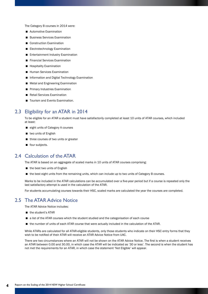The Category B courses in 2014 were:

- Automotive Examination
- Business Services Examination
- Construction Examination
- Electrotechnology Examination
- Entertainment Industry Examination
- **Financial Services Examination**
- **B** Hospitality Examination
- **Human Services Examination**
- **n** Information and Digital Technology Examination
- **Metal and Engineering Examination**
- **Primary Industries Examination**
- Retail Services Examination
- Tourism and Events Examination.

### 2.3 Eligibility for an ATAR in 2014

To be eligible for an ATAR a student must have satisfactorily completed at least 10 units of ATAR courses, which included at least:

- eight units of Category A courses
- **u** two units of English
- $\blacksquare$  three courses of two units or greater
- $\blacksquare$  four subjects.

### 2.4 Calculation of the ATAR

The ATAR is based on an aggregate of scaled marks in 10 units of ATAR courses comprising:

- $\blacksquare$  the best two units of English
- the best eight units from the remaining units, which can include up to two units of Category B courses.

Marks to be included in the ATAR calculations can be accumulated over a five-year period but if a course is repeated only the last satisfactory attempt is used in the calculation of the ATAR.

For students accumulating courses towards their HSC, scaled marks are calculated the year the courses are completed.

### 2.5 The ATAR Advice Notice

The ATAR Advice Notice includes:

- $\blacksquare$  the student's ATAR
- a list of the ATAR courses which the student studied and the categorisation of each course
- $\blacksquare$  the number of units of each ATAR course that were actually included in the calculation of the ATAR.

While ATARs are calculated for all ATAR-eligible students, only those students who indicate on their HSC entry forms that they wish to be notified of their ATAR will receive an ATAR Advice Notice from UAC.

There are two circumstances where an ATAR will not be shown on the ATAR Advice Notice. The first is when a student receives an ATAR between 0.00 and 30.00, in which case the ATAR will be indicated as '30 or less'. The second is when the student has not met the requirements for an ATAR, in which case the statement 'Not Eligible' will appear.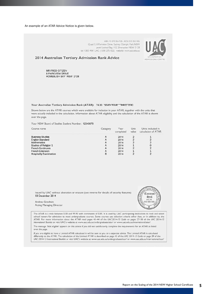#### An example of an ATAR Advice Notice is given below.

ABN 19 070 055 935 ACN 070 055 935 Quad 2, 8 Parkview Drive, Sydney Olympic Park NSW post Locked Bag 112. Silverwater NSW 2128 tel: 1300 ASK UAC (1300 275 822) website: www.uac.edu.au



#### 2014 Australian Tertiary Admission Rank Advice

MR FRED CITIZEN 8 PARKVIEW DRIVE HOMEBUSH BAY NSW 2128

#### Your Australian Tertiary Admission Rank (ATAR): 74.30 "SEVEN"FOUR\*\*\*THREE\*ZERO

Shown below are the ATAR courses which were available for inclusion in your ATAR, together with the units that were actually included in the calculation. Information about ATAR eligibility and the calculation of the ATAR is shown over the page.

Your NSW Board of Studies Student Number: 12345678

| Course name                    | Category | Year<br>completed | <b>Unit</b><br>value | Units included in<br>calculation of ATAR |
|--------------------------------|----------|-------------------|----------------------|------------------------------------------|
| <b>Business Studies</b>        |          | 2014              |                      |                                          |
| <b>English Standard</b>        | А        | 2014              |                      |                                          |
| Mathematics                    | A        | 2014              |                      |                                          |
| Studies of Religion 1          | А        | 2014              |                      |                                          |
| <b>French Continuers</b>       | A        | 2014              |                      |                                          |
| <b>French Extension</b>        | А        | 2014              |                      |                                          |
| <b>Hospitality Examination</b> |          | 2014              |                      |                                          |

Issued by UAC without alteration or erasure (see reverse for details of security features) 18 December 2014



Andrea Goodwin **Acting Managing Director** 

The ATAR is a rank between 0.00 and 99.95 with increments of 0.05. It is used by UAC participating institutions to rank and select school leavers for admission to most undergraduate courses. Some courses use selection criteria other than, or in addition to, the ATAR. For more information about the ATAR read pages 41-44 of the UAC 2014-15 Guide or pages 27-30 of the UAC 2014-15 International Booklet or visit UAC's website at www.uac.edu.au/undergraduate/atar/ or www.uac.edu.au/international/atar/

The message 'Not eligible' appears on this advice if you did not satisfactorily complete the requirements for an ATAR as listed over the page

If you are eligible to have a Limited ATAR calculated it will be sent to you on a separate advice. The Limited ATAR is calculated differently to the ATAR. The calculation of the Limited ATAR is described on page 43 of the UAC 2014-15 Guide or page 29 of the UAC 2014-15 International Booklet or visit UAC's website at www.uac.edu.au/undergraduate/atar/ or www.uac.edu.au/international/atar/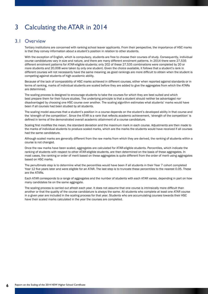# 3 Calculating the ATAR in 2014

### 3.1 Overview

Tertiary institutions are concerned with ranking school leaver applicants. From their perspective, the importance of HSC marks is that they convey information about a student's position in relation to other students.

With the exception of English, which is compulsory, students are free to choose their courses of study. Consequently, individual course candidatures vary in size and nature, and there are many different enrolment patterns. In 2014 there were 27,535 different enrolment patterns for ATAR-eligible students; only 202 of these 27,535 combinations were completed by 20 or more students and 20,008 were taken by only one student. Given the choice available, it follows that a student's rank in different courses will not necessarily have the same meaning, as good rankings are more difficult to obtain when the student is competing against students of high academic ability.

Because of the lack of comparability of HSC marks achieved in different courses, either when reported against standards or in terms of ranking, marks of individual students are scaled before they are added to give the aggregates from which the ATARs are determined.

The scaling process is designed to encourage students to take the courses for which they are best suited and which best prepare them for their future studies. The underlying principle is that a student should neither be advantaged nor disadvantaged by choosing one HSC course over another. The scaling algorithm estimates what students' marks would have been if all courses had been studied by all students.

The scaling model assumes that a student's position in a course depends on the student's developed ability in that course and the 'strength of the competition'. Since the ATAR is a rank that reflects academic achievement, 'strength of the competition' is defined in terms of the demonstrated overall academic attainment of a course candidature.

Scaling first modifies the mean, the standard deviation and the maximum mark in each course. Adjustments are then made to the marks of individual students to produce scaled marks, which are the marks the students would have received if all courses had the same candidature.

Although scaled marks are generally different from the raw marks from which they are derived, the ranking of students within a course is not changed.

Once the raw marks have been scaled, aggregates are calculated for ATAR-eligible students. Percentiles, which indicate the ranking of students with respect to other ATAR-eligible students, are then determined on the basis of these aggregates. In most cases, the ranking or order of merit based on these aggregates is quite different from the order of merit using aggregates based on HSC marks.

The penultimate step is to determine what the percentiles would have been if all students in their Year 7 cohort completed Year 12 five years later and were eligible for an ATAR. The last step is to truncate these percentiles to the nearest 0.05. These are the ATARs.

Each ATAR corresponds to a range of aggregates and the number of students with each ATAR varies, depending in part on how many candidates tie on the same aggregate.

The scaling process is carried out afresh each year. It does not assume that one course is intrinsically more difficult than another or that the quality of the course candidature is always the same. All students who complete at least one ATAR course in a given year are included in the scaling process for that year. Students who are accumulating courses towards their HSC have their scaled marks calculated in the year the courses are completed.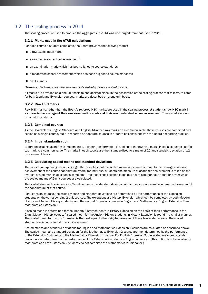# 3.2 The scaling process in 2014

The scaling procedure used to produce the aggregates in 2014 was unchanged from that used in 2013.

#### 3.2.1 Marks used in the ATAR calculations

For each course a student completes, the Board provides the following marks:

- $\blacksquare$  a raw examination mark
- $\blacksquare$  a raw moderated school assessment  $^1$
- an examination mark, which has been aligned to course standards
- a moderated school assessment, which has been aligned to course standards
- an HSC mark.

*1 These are school assessments that have been moderated using the raw examination marks.* 

All marks are provided on a one-unit basis to one decimal place. In the description of the scaling process that follows, to cater for both 2-unit and Extension courses, marks are described on a one-unit basis.

#### 3.2.2 Raw HSC marks

Raw HSC marks, rather than the Board's reported HSC marks, are used in the scaling process. A student's raw HSC mark in a course is the average of their raw examination mark and their raw moderated school assessment. These marks are not reported to students.

#### 3.2.3 Combined courses

As the Board places English Standard and English Advanced raw marks on a common scale, these courses are combined and scaled as a single course, but are reported as separate courses in order to be consistent with the Board's reporting practice.

#### 3.2.4 Initial standardisation

Before the scaling algorithm is implemented, a linear transformation is applied to the raw HSC marks in each course to set the top mark to a common value. The marks in each course are then standardised to a mean of 25 and standard deviation of 12 on a one-unit basis.

### 3.2.5 Calculating scaled means and standard deviations

The model underpinning the scaling algorithm specifies that the scaled mean in a course is equal to the average academic achievement of the course candidature where, for individual students, the measure of academic achievement is taken as the average scaled mark in all courses completed. The model specification leads to a set of simultaneous equations from which the scaled means of 2-unit courses are calculated.

The scaled standard deviation for a 2-unit course is the standard deviation of the measure of overall academic achievement of the candidature of that course.

For Extension courses, the scaled means and standard deviations are determined by the performance of the Extension students on the corresponding 2-unit courses. The exceptions are History Extension which can be completed by both Modern History and Ancient History students, and the second Extension courses in English and Mathematics: English Extension 2 and Mathematics Extension 2.

A scaled mean is determined for the Modern History students in History Extension on the basis of their performance in the 2-unit Modern History course. A scaled mean for the Ancient History students in History Extension is found in a similar manner. The scaled mean for History Extension is then set equal to the weighted average of these two scaled means. The scaled standard deviation is found in a similar manner.

Scaled means and standard deviations for English and Mathematics Extension 1 courses are calculated as described above. The scaled mean and standard deviation for the Mathematics Extension 2 course are then determined by the performance of the Extension 2 students in the Mathematics Extension 1 course. For English Extension 2, the scaled mean and standard deviation are determined by the performance of the Extension 2 students in English Advanced. (This option is not available for Mathematics as the Extension 2 students do not complete the Mathematics 2-unit paper.)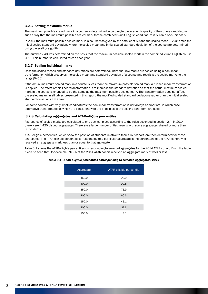#### 3.2.6 Setting maximum marks

The maximum possible scaled mark in a course is determined according to the academic quality of the course candidature in such a way that the maximum possible scaled mark for the combined 2-unit English candidature is 50 on a one-unit basis.

In 2014 the maximum possible scaled mark in a course was given by the smaller of 50 and the scaled mean + 2.48 times the initial scaled standard deviation, where the scaled mean and initial scaled standard deviation of the course are determined using the scaling algorithm.

The number 2.48 was determined on the basis that the maximum possible scaled mark in the combined 2-unit English course is 50. This number is calculated afresh each year.

#### 3.2.7 Scaling individual marks

Once the scaled means and standard deviations are determined, individual raw marks are scaled using a non-linear transformation which preserves the scaled mean and standard deviation of a course and restricts the scaled marks to the range (0–50).

If the actual maximum scaled mark in a course is less than the maximum possible scaled mark a further linear transformation is applied. The effect of this linear transformation is to increase the standard deviation so that the actual maximum scaled mark in the course is changed to be the same as the maximum possible scaled mark. The transformation does not affect the scaled mean. In all tables presented in this report, the modified scaled standard deviations rather than the initial scaled standard deviations are shown.

For some courses with very small candidatures the non-linear transformation is not always appropriate, in which case alternative transformations, which are consistent with the principles of the scaling algorithm, are used.

#### 3.2.8 Calculating aggregates and ATAR-eligible percentiles

Aggregates of scaled marks are calculated to one decimal place according to the rules described in section 2.4. In 2014 there were 4,420 distinct aggregates. There are a large number of tied results with some aggregates shared by more than 30 students.

ATAR-eligible percentiles, which show the position of students relative to their ATAR cohort, are then determined for these aggregates. The ATAR-eligible percentile corresponding to a particular aggregate is the percentage of the ATAR cohort who received an aggregate mark less than or equal to that aggregate.

Table 3.1 shows the ATAR-eligible percentiles corresponding to selected aggregates for the 2014 ATAR cohort. From the table it can be seen that, for example, 76.9% of the 2014 ATAR cohort received an aggregate mark of 350 or less.

| Aggregate | ATAR-eligible percentile |
|-----------|--------------------------|
| 450.0     | 98.9                     |
| 400.0     | 90.8                     |
| 350.0     | 76.9                     |
| 300.0     | 60.3                     |
| 250.0     | 43.1                     |
| 200.0     | 27.1                     |
| 150.0     | 14.1                     |

#### *Table 3.1 ATAR-eligible percentiles corresponding to selected aggregates: 2014*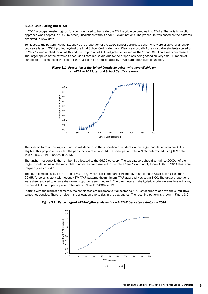#### 3.2.9 Calculating the ATAR

In 2014 a two-parameter logistic function was used to translate the ATAR-eligible percentiles into ATARs. The logistic function approach was adopted in 1998 by other jurisdictions without Year 10 examinations. The procedure was based on the patterns observed in NSW data.

To illustrate the pattern, Figure 3.1 shows the proportion of the 2010 School Certificate cohort who were eligible for an ATAR two years later in 2012 plotted against the total School Certificate mark. Clearly almost all of the most able students stayed on to Year 12 and applied for an ATAR and the proportion of ATAR-eligible decreased as the School Certificate mark decreased. The larger spikes at the extreme School Certificate marks are due to the proportions being based on very small numbers of candidates. The shape of the plot in Figure 3.1 can be approximated by a two-parameter logistic function.





The specific form of the logistic function will depend on the proportion of students in the target population who are ATAReligible. This proportion is called the participation rate. In 2014 the participation rate in NSW, determined using ABS data, was 59.6%, up from 58.9% in 2013.

The anchor frequency is the number, N, allocated to the 99.95 category. The top category should contain 1/2000th of the target population as all the most able candidates are assumed to complete Year 12 and apply for an ATAR. In 2014 this target frequency was  $N = 47$ .

The logistic model is log [  $\rm p_j$  / (1 –  $\rm p_j$ ) ] = a + b  $\rm x_j$  , where N $\rm p_j$  is the target frequency of students at ATAR  $\rm x_j$ , for  $\rm x_j$  less than 99.95. To be consistent with recent NSW ATAR patterns the minimum ATAR awarded was set at 8.00. The target proportions were then rescaled to ensure the target proportions summed to 1. The parameters in the logistic model were estimated using historical ATAR and participation rate data for NSW for 2006–2013.

Starting with the highest aggregate, the candidates are progressively allocated to ATAR categories to achieve the cumulative target frequencies. There is noise in the allocation due to ties in the aggregates. The resulting pattern is shown in Figure 3.2.



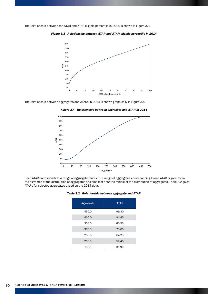The relationship between the ATAR and ATAR-eligible percentile in 2014 is shown in Figure 3.3.





The relationship between aggregates and ATARs in 2014 is shown graphically in Figure 3.4.



*Figure 3.4 Relationship between aggregate and ATAR in 2014*

Each ATAR corresponds to a range of aggregate marks. The range of aggregates corresponding to one ATAR is greatest in the extremes of the distribution of aggregates and smallest near the middle of the distribution of aggregates. Table 3.2 gives ATARs for selected aggregates based on the 2014 data.

|  | Table 3.2 Relationship between aggregate and ATAR |  |  |  |
|--|---------------------------------------------------|--|--|--|
|--|---------------------------------------------------|--|--|--|

| Aggregate | <b>ATAR</b> |
|-----------|-------------|
| 450.0     | 99.30       |
| 400.0     | 94.45       |
| 350.0     | 85.95       |
| 300.0     | 75.60       |
| 250.0     | 64.25       |
| 200.0     | 52.40       |
| 150.0     | 39.90       |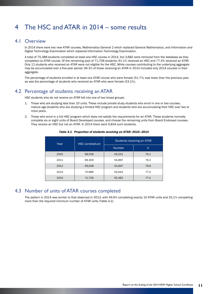# 4 The HSC and ATAR in 2014 – some results

### 4.1 Overview

In 2014 there were two new ATAR courses, Mathematics General 2 which replaced General Mathematics, and Information and Digital Technology Examination which replaced Information Technology Examination.

A total of 75,388 students completed at least one HSC course in 2014, but 3,682 were removed from the database as they completed no ATAR course. Of the remaining pool of 71,706 students, 91.1% received an HSC and 77.4% received an ATAR. Only 11 students who received an ATAR were not eligible for the HSC. While courses contributing to the underlying aggregate may be accumulated over a five-year period, 94.3% of those receiving an ATAR in 2014 included only 2014 courses in their aggregate.

The percentage of students enrolled in at least one ATAR course who were female (51.7%) was lower than the previous year, as was the percentage of students who received an ATAR who were female (53.1%).

# 4.2 Percentage of students receiving an ATAR

HSC students who do not receive an ATAR fall into one of two broad groups:

- 1. Those who are studying less than 10 units. These include private study students who enrol in one or two courses, mature age students who are studying a limited HSC program and students who are accumulating their HSC over two or more years.
- 2. Those who enrol in a full HSC program which does not satisfy the requirements for an ATAR. These students normally complete six or eight units of Board Developed courses, and choose the remaining units from Board Endorsed courses. They receive an HSC but not an ATAR. In 2014 there were 9,834 such students.

| Year | <b>HSC candidature</b> |               | Students receiving an ATAR |
|------|------------------------|---------------|----------------------------|
|      |                        | <b>Number</b> | %                          |
| 2010 | 68,536                 | 54,221        | 79.1                       |
| 2011 | 69,309                 | 54,897        | 79.2                       |
| 2012 | 69,638                 | 54,847        | 78.8                       |
| 2013 | 70,686                 | 54,642        | 77.3                       |
| 2014 | 71,706                 | 55,482        | 77.4                       |

#### *Table 4.1 Proportion of students receiving an ATAR: 2010–2014*

# 4.3 Number of units of ATAR courses completed

The pattern in 2014 was similar to that observed in 2013, with 44.6% completing exactly 10 ATAR units and 33.1% completing more than the required minimum number of ATAR units (Table 4.2).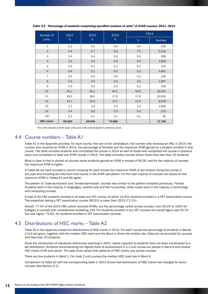| Number of         | 2011   | 2012   | 2013   |         | 2014   |
|-------------------|--------|--------|--------|---------|--------|
| units             | %      | %      | %      | %       | Number |
| $\mathbf 1$       | 0.2    | 0.2    | 0.4    | 0.4     | 316    |
| $\overline{2}$    | 4.4    | 5.7    | 6.6    | $7.0\,$ | 5,019  |
| 3                 | 0.4    | 0.4    | 0.4    | 0.5     | 359    |
| $\overline{4}$    | 3.5    | 4.3    | 4.6    | 5.0     | 3,608  |
| 5                 | 0.2    | 0.1    | 0.1    | 0.2     | 110    |
| 6                 | 5.6    | $5.1$  | 5.5    | 5.3     | 3,801  |
| $\overline{7}$    | 0.2    | 0.2    | 0.2    | 0.2     | 126    |
| 8                 | 5.5    | 4.5    | 4.2    | 3.5     | 2,497  |
| 9                 | 0.3    | 0.3    | 0.2    | 0.2     | 159    |
| 10                | 45.2   | 45.1   | 44.2   | 44.6    | 32,001 |
| 11                | 18.3   | 18.2   | 17.9   | 17.9    | 12,819 |
| 12                | 14.1   | 13.9   | 13.7   | 13.3    | 9,539  |
| 13                | 1.7    | 1.6    | 1.5    | 1.5     | 1,092  |
| 14                | 0.4    | 0.3    | 0.3    | 0.3     | 215    |
| $15+$             | 0.1    | 0.1    | 0.1    | 0.1     | 45     |
| <b>HSC cohort</b> | 69,309 | 69,638 | 70,686 |         | 71,706 |

*Table 4.2 Percentage of students completing specified numbers of units1 of ATAR courses: 2011–2014*

*1 The units include current year units and units accumulated in previous years.*

## 4.4 Course numbers – Table A1

Table A1 in the Appendix provides, for each course, the size of the candidature, the number who received an HSC in 2014, the number who received an ATAR in 2014, the percentage of females and the maximum ATAR gained by a student enrolled in that course. The table includes students who completed the course in 2014 as well as those who completed the course in previous years and completed at least one ATAR course in 2014. The table excludes courses where there were less than 10 students.

What is clear is that in almost all courses some students gained an ATAR in excess of 95.00, and for the majority of courses the maximum ATAR is higher.

In Table A6 we have included a column showing for each course the maximum ATAR of any student doing the course in any year and including all units from that course in the ATAR calculation. For the vast majority of courses the values for the maximum ATAR in Tables A1 and A6 agree.

The pattern of 'male-dominated' and 'female-dominated' courses was similar to the pattern exhibited previously. Female students were in the majority in languages, creative arts and the humanities, while males were in the majority in technology and computing courses.

A total of 20,790 students enrolled in at least one VET course, of which 14,451 students enrolled in a VET examination course. The proportion taking a VET examination course (69.5%) is lower than 2013 (71.1%).

Overall, 77.4% of the 2014 HSC cohort received ATARs, but the percentage varied across courses, from 50.2% to 100% for Category A courses with candidatures exceeding 100. For students enrolled in any VET courses the overall figure was 53.3% but was higher, 75.8%, for students enrolled in VET examination courses.

### 4.5 Distributions of HSC marks – Table A2

Table A2 in the Appendix shows the distributions of HSC marks in 2014. For each course the percentage of students in Bands 2 to 6 are given, together with the median HSC mark and the Band in which the median lies. Data are not provided for courses with less than 10 students.

Since the introduction of standards referenced reporting in 2001, marks reported to students have not been constrained to a set distribution. Students demonstrating the highest level of achievement in a 2-unit course are placed in Band 6 and receive HSC marks of 90 and above. The data show clearly that patterns of HSC marks vary across courses.

There are few students in Band 1. For most 2-unit courses the median HSC mark lies in Band 4.

Comparison of Table A2 with the corresponding table in 2013 shows that distribution of HSC marks has changed for some courses (see Section 5.1).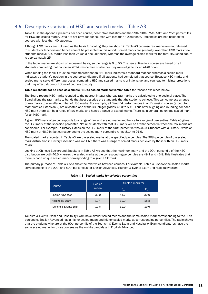# 4.6 Descriptive statistics of HSC and scaled marks – Table A3

Table A3 in the Appendix presents, for each course, descriptive statistics and the 99th, 90th, 75th, 50th and 25th percentiles for HSC and scaled marks. Data are not provided for courses with less than 10 students. Percentiles are not included for courses with less than 40 students.

Although HSC marks are not used as the basis for scaling, they are shown in Table A3 because raw marks are not released to students or teachers and hence cannot be presented in this report. Scaled marks are generally lower than HSC marks: few students receive HSC marks less than 25 (on a one-unit basis) whereas the average scaled mark for the total HSC candidature is approximately 25.

In the table, marks are shown on a one-unit basis, so the range is 0 to 50. The percentiles in a course are based on all students completing that course in 2014 irrespective of whether they were eligible for an ATAR or not.

When reading the table it must be remembered that an HSC mark indicates a standard reached whereas a scaled mark indicates a student's position in the course candidature if all students had completed that course. Because HSC marks and scaled marks serve different purposes, comparing HSC and scaled marks is of little value, and can lead to misinterpretations that may affect student choices of courses to study.

#### Table A3 should not be used as a simple HSC to scaled mark conversion table for reasons explained below.

The Board reports HSC marks rounded to the nearest integer whereas raw marks are calculated to one decimal place. The Board aligns the raw marks to bands that best describe the standards that the students achieve. This can compress a range of raw marks to a smaller number of HSC marks. For example, all Band E4 performances in an Extension course (except for Mathematics Extension 2) are allocated one of the six integer grades 45.0 to 50.0. Thus after aligning and rounding, for each HSC mark there can be a range of raw marks and hence a range of scaled marks. There is, in general, no unique scaled mark for an HSC mark.

A given HSC mark often corresponds to a range of raw and scaled marks and hence to a range of percentiles. Table A3 gives the HSC mark at the specified percentile. Not all students with that HSC mark will be at that percentile when the raw marks are considered. For example, in History Extension the HSC mark at the 90th percentile was 46.0. Students with a History Extension HSC mark of 46.0 in fact corresponded to the scaled mark percentile range 81.4 to 91.9.

The scaled marks reported in Table A3 are the scaled marks at the specified percentiles. The 90th percentile of the scaled mark distribution in History Extension was 42.1 but there was a range of scaled marks achieved by those with an HSC mark of 46.0.

Looking at Chinese Background Speakers in Table A3 we see that the maximum mark and the 99th percentile of the HSC distribution are both 46.5 whereas the scaled marks at the corresponding percentiles are 49.1 and 46.8. This illustrates that there is not a unique scaled mark corresponding to a given HSC mark.

The primary purpose of Table A3 is to show the relativities between courses. For example, Table 4.3 shows the scaled marks corresponding to the 90th and 50th percentiles for English Advanced, Tourism & Events Exam and Hospitality Exam.

|                         | <b>Scaled</b> | Scaled mark for |          |  |
|-------------------------|---------------|-----------------|----------|--|
| Course                  | mean          | $P_{90}$        | $P_{50}$ |  |
| English Advanced        | 32.0          | 41.7            | 32.9     |  |
| <b>Hospitality Exam</b> | 19.4          | 32.9            | 18.8     |  |
| Tourism & Events Exam   | 19.6          | 32.9            | 19.6     |  |

#### *Table 4.3 Scaled marks for selected percentiles*

Tourism & Events Exam and Hospitality Exam have similar scaled means and the same scaled mark corresponding to the 90th percentile. English Advanced has a higher scaled mean and higher scaled marks at corresponding percentiles. The table shows that the students who are at the 90th percentile of the Tourism & Events Exam and Hospitality Exam candidatures have the same scaled marks for those courses as the middle candidate in English Advanced.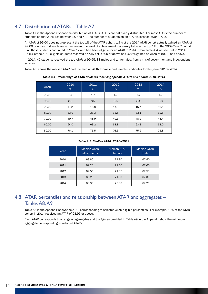# 4.7 Distribution of ATARs – Table A7

Table A7 in the Appendix shows the distribution of ATARs. ATARs are not evenly distributed. For most ATARs the number of students on that ATAR lies between 20 and 50. The number of students on an ATAR is less for lower ATARs.

An ATAR of 99.00 does not represent the top 1% of the ATAR cohort; 1.7% of the 2014 ATAR cohort actually gained an ATAR of 99.00 or above. It does, however, represent the level of achievement necessary to be in the top 1% of the 2009 Year 7 cohort if all those students continued to Year 12 and had been eligible for an ATAR in 2014. From Table 4.4 we see that in 2014, 16.5% of the ATAR-eligible students received an ATAR of 90.00 or above and 32.8% gained an ATAR of 80.00 and above.

In 2014, 47 students received the top ATAR of 99.95: 33 males and 14 females, from a mix of government and independent schools.

Table 4.5 shows the median ATAR and the median ATAR for male and female candidates for the years 2010–2014.

| <b>ATAR</b> | 2010<br>% | 2011<br>% | 2012<br>% | 2013<br>% | 2014<br>% |
|-------------|-----------|-----------|-----------|-----------|-----------|
| 99.00       | 1.7       | 1.7       | 1.7       | 1.7       | 1.7       |
| 95.00       | 8.6       | 8.5       | 8.5       | 8.4       | 8.3       |
| 90.00       | 17.2      | 16.8      | 17.0      | 16.7      | 16.5      |
| 80.00       | 33.9      | 33.3      | 33.5      | 33.1      | 32.8      |
| 70.00       | 49.7      | 48.9      | 49.3      | 48.9      | 48.4      |
| 60.00       | 64.0      | 63.2      | 63.8      | 63.3      | 63.0      |
| 50.00       | 76.1      | 75.5      | 76.3      | 75.9      | 75.8      |

*Table 4.4 Percentage of ATAR students receiving specific ATARs and above: 2010–2014*

#### *Table 4.5 Median ATAR: 2010–2014*

| Year | <b>Median ATAR</b><br>all students | <b>Median ATAR</b><br>female | <b>Median ATAR</b><br>male |
|------|------------------------------------|------------------------------|----------------------------|
| 2010 | 69.80                              | 71.80                        | 67.40                      |
| 2011 | 69.25                              | 71.10                        | 67.00                      |
| 2012 | 69.55                              | 71.35                        | 67.55                      |
| 2013 | 69.20                              | 71.00                        | 67.00                      |
| 2014 | 68.95                              | 70.30                        | 67.20                      |

# 4.8 ATAR percentiles and relationship between ATAR and aggregates – Tables A8, A9

Table A8 in the Appendix shows the ATAR corresponding to selected ATAR-eligible percentiles. For example, 10% of the ATAR cohort in 2014 received an ATAR of 93.95 or above.

Each ATAR corresponds to a range of aggregates and the figures provided in Table A9 in the Appendix show the minimum aggregate corresponding to selected ATARs.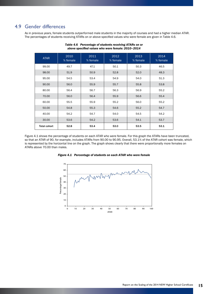# 4.9 Gender differences

As in previous years, female students outperformed male students in the majority of courses and had a higher median ATAR. The percentages of students receiving ATARs on or above specified values who were female are given in Table 4.6.

| <b>ATAR</b>         | 2010<br>% female | 2011<br>% female | 2012<br>% female | 2013<br>% female | 2014<br>% female |
|---------------------|------------------|------------------|------------------|------------------|------------------|
| 99.00               | 49.7             | 47.1             | 50.1             | 50.3             | 46.5             |
| 98.00               | 51.9             | 50.9             | 52.8             | 52.0             | 48.3             |
| 95.00               | 54.5             | 53.4             | 54.9             | 54.0             | 51.3             |
| 90.00               | 56.0             | 55.9             | 55.7             | 55.8             | 53.8             |
| 80.00               | 56.4             | 56.7             | 56.3             | 56.9             | 55.2             |
| 70.00               | 56.0             | 56.4             | 55.9             | 56.6             | 55.4             |
| 60.00               | 55.5             | 55.9             | 55.2             | 56.0             | 55.2             |
| 50.00               | 54.8             | 55.3             | 54.6             | 55.2             | 54.7             |
| 40.00               | 54.2             | 54.7             | 54.0             | 54.5             | 54.2             |
| 30.00               | 53.6             | 54.2             | 53.6             | 54.1             | 53.7             |
| <b>Total cohort</b> | 52.8             | 53.4             | 53.0             | 53.5             | 53.1             |

*Table 4.6 Percentage of students receiving ATARs on or above specified values who were female: 2010–2014*

Figure 4.1 shows the percentage of students on each ATAR who were female. For this graph the ATARs have been truncated, so that an ATAR of 90, for example, includes ATARs from 90.00 to 90.95. Overall, 53.1% of the ATAR cohort was female, which is represented by the horizontal line on the graph. The graph shows clearly that there were proportionally more females on ATARs above 70.00 than males.



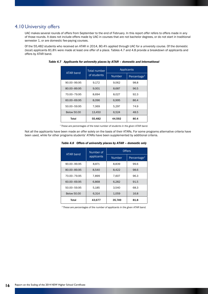# 4.10 University offers

UAC makes several rounds of offers from September to the end of February. In this report *offer* refers to offers made in any of those rounds. It does not include offers made by UAC in courses that are not bachelor degrees, or do not start in traditional semester 1, or are domestic fee-paying courses.

Of the 55,482 students who received an ATAR in 2014, 80.4% applied through UAC for a university course. Of the domestic (local) applicants 81.8% were made at least one offer of a place. Tables 4.7 and 4.8 provide a breakdown of applicants and offers by ATAR band.

| <b>ATAR band</b> | <b>Total number</b> |               | <b>Applicants</b> |  |
|------------------|---------------------|---------------|-------------------|--|
|                  | of students         | <b>Number</b> | Percentage $1$    |  |
| 90.00-99.95      | 9.172               | 9.062         | 98.8              |  |
| 80.00-89.95      | 9.001               | 8,687         | 96.5              |  |
| 70.00-79.95      | 8.694               | 8,027         | 92.3              |  |
| 60.00-69.95      | 8.096               | 6,995         | 86.4              |  |
| 50.00-59.95      | 7.069               | 5,297         | 74.9              |  |
| Below 50.00      | 13,450              | 6,524         | 48.5              |  |
| Total            | 55,482              | 44,592        | 80.4              |  |

#### *Table 4.7 Applicants for university places by ATAR – domestic and international*

*1 These are percentages of the total number of students in the given ATAR band.*

Not all the applicants have been made an offer solely on the basis of their ATARs. For some programs alternative criteria have been used, while for other programs students' ATARs have been supplemented by additional criteria.

| ATAR band          | Number of  |               | <b>Offers</b>           |  |
|--------------------|------------|---------------|-------------------------|--|
|                    | applicants | <b>Number</b> | Percentage <sup>2</sup> |  |
| 90.00-99.95        | 8,871      | 8,839         | 99.6                    |  |
| 80.00-89.95        | 8,540      | 8,422         | 98.6                    |  |
| 70.00-79.95        | 7,899      | 7,607         | 96.3                    |  |
| 60.00-69.95        | 6,868      | 6,282         | 91.5                    |  |
| 50.00-59.95        | 5.185      | 3.540         | 68.3                    |  |
| <b>Below 50.00</b> | 6,314      | 1,059         | 16.8                    |  |
| Total              | 43,677     | 35,749        | 81.8                    |  |

*Table 4.8 Offers of university places by ATAR – domestic only*

*2 These are percentages of the number of applicants in the given ATAR band.*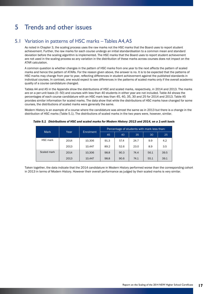# 5 Trends and other issues

# 5.1 Variation in patterns of HSC marks – Tables A4, A5

As noted in Chapter 3, the scaling process uses the raw marks not the HSC marks that the Board uses to report student achievement. Further, the raw marks for each course undergo an initial standardisation to a common mean and standard deviation before the scaling algorithm is implemented. The HSC marks that the Board uses to report student achievement are not used in the scaling process so any variation in the distribution of these marks across courses does not impact on the ATAR calculation.

A common question is whether changes in the pattern of HSC marks from one year to the next affects the pattern of scaled marks and hence the pattern of ATARs. For the reason given above, the answer is no. It is to be expected that the patterns of HSC marks may change from year to year, reflecting differences in student achievement against the published standards in individual courses. In contrast, one would expect to see differences in the patterns of scaled marks only if the overall academic quality of a course candidature changed.

Tables A4 and A5 in the Appendix show the distributions of HSC and scaled marks, respectively, in 2014 and 2013. The marks are on a per-unit basis (0–50) and courses with less than 40 students in either year are not included. Table A4 shows the percentages of each course candidature with an HSC mark less than 45, 40, 35, 30 and 25 for 2014 and 2013. Table A5 provides similar information for scaled marks. The data show that while the distributions of HSC marks have changed for some courses, the distributions of scaled marks were generally the same.

Modern History is an example of a course where the candidature was almost the same as in 2013 but there is a change in the distribution of HSC marks (Table 5.1). The distributions of scaled marks in the two years were, however, similar.

| <b>Mark</b> |      | Percentage of students with mark less than:<br><b>Enrolment</b> |      |      |      |      |      |
|-------------|------|-----------------------------------------------------------------|------|------|------|------|------|
|             | Year |                                                                 | 45   | 40   | 35   | 30   | 25   |
| HSC mark    | 2014 | 10,306                                                          | 91.3 | 57.4 | 24.7 | 9.9  | 4.2  |
|             | 2013 | 10.447                                                          | 89.2 | 52.6 | 23.0 | 8.9  | 3.5  |
| Scaled mark | 2014 | 10,306                                                          | 98.8 | 90.3 | 74.4 | 56.1 | 39.5 |
|             | 2013 | 10,447                                                          | 98.8 | 90.6 | 74.1 | 55.1 | 39.1 |

*Table 5.1 Distributions of HSC and scaled marks for Modern History: 2013 and 2014, on a 1-unit basis*

Taken together, the data indicate that the 2014 candidature in Modern History performed worse than the corresponding cohort in 2013 in terms of Modern History. However their overall performance as judged by their scaled marks is very similar.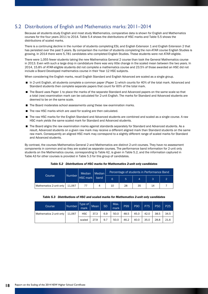# 5.2 Distributions of English and Mathematics marks: 2011–2014

Because all students study English and most study Mathematics, comparative data is shown for English and Mathematics courses for the four years 2011 to 2014. Table 5.4 shows the distributions of HSC marks and Table 5.5 shows the distributions of scaled marks.

There is a continuing decline in the number of students completing ESL and English Extension 1 and English Extension 2 that has persisted over the past 5 years. By comparison the number of students completing the non-ATAR course English Studies is growing. In 2014 there were 5,781 candidates who completed English Studies. These students were not ATAR eligible.

There were 1,055 fewer students taking the new Mathematics General 2 course than took the General Mathematics course in 2013. Even with such a large drop in candidature there was very little change in the scaled mean between the two years. In 2014, 15.8% of ATAR-eligible students did not complete a mathematics course and 23.5% of those awarded an HSC did not include a Board Developed mathematics course in their Year 12 HSC subjects.

When considering the English marks, recall English Standard and English Advanced are scaled as a single group.

- In 2-unit English, all students complete a common paper (Paper 1) which counts for 40% of the total mark. Advanced and Standard students then complete separate papers that count for 60% of the total mark.
- The Board uses Paper 1 to place the marks of the separate Standard and Advanced papers on the same scale so that a total (raw) examination mark can be calculated for 2-unit English. The marks for Standard and Advanced students are deemed to be on the same scale.
- The Board moderates school assessments using these raw examination marks.
- $\blacksquare$  The raw HSC marks which are used for scaling are then calculated.
- The raw HSC marks for the English Standard and Advanced students are combined and scaled as a single course. A raw HSC mark yields the same scaled mark for Standard and Advanced students.
- The Board aligns the raw examination marks against standards separately for Standard and Advanced students. As a result, Advanced students on a given raw mark may receive a different aligned mark than Standard students on the same raw mark. Consequently an aligned HSC mark may correspond to a slightly different range of scaled marks for Standard and Advanced students.

By contrast, the courses Mathematics General 2 and Mathematics are distinct 2-unit courses. They have no assessment components in common and so they are scaled as separate courses. The performance band information for 2-unit only students on the Mathematics course, corresponding to Table A2, is given in Table 5.2, and the information captured in Table A3 for other courses is provided in Table 5.3 for this group of candidates.

#### *Table 5.2 Distributions of HSC marks for Mathematics 2-unit only candidates*

|                         | Number | Median           | Median |    | Percentage of students in Performance Band |    |    |  |
|-------------------------|--------|------------------|--------|----|--------------------------------------------|----|----|--|
| Course <sup>1</sup>     |        | $ $ HSC mark $ $ | band   | 6  | 5.                                         | 4  | 3  |  |
| Mathematics 2-unit only | 11.067 |                  |        | 10 | 28                                         | 35 | 14 |  |

|  | Table 5.3 Distributions of HSC and scaled marks for Mathematics 2-unit only candidates |  |  |  |
|--|----------------------------------------------------------------------------------------|--|--|--|
|--|----------------------------------------------------------------------------------------|--|--|--|

| Course                  | Number | Type of $ $<br>mark | Mean | <b>SD</b> | Max.<br>mark | <b>P99</b> | <b>P90</b> | <b>P75</b> | <b>P50</b> | P <sub>25</sub> |
|-------------------------|--------|---------------------|------|-----------|--------------|------------|------------|------------|------------|-----------------|
| Mathematics 2-unit only | 11.067 | <b>HSC</b>          | 37.3 | 6.9       | 50.0         | 48.5       | 45.0       | 42.0       | 38.5       | 34.5            |
|                         |        | scaled              | 27.9 | 9.7       | 50.0         | 46.2       | 40.0       | 35.0       | 28.8       | 21.6            |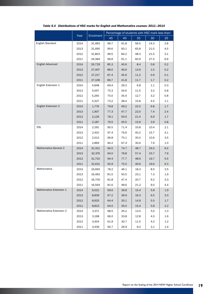|                              |      |           |      | Percentage of students with HSC mark less than: |      |      |         |
|------------------------------|------|-----------|------|-------------------------------------------------|------|------|---------|
|                              | Year | Enrolment | 45   | 40                                              | 35   | 30   | 25      |
| English Standard             | 2014 | 31,483    | 99.7 | 91.8                                            | 56.5 | 14.3 | 2.8     |
|                              | 2013 | 31,495    | 99.6 | 93.1                                            | 65.8 | 21.0 | 4.5     |
|                              | 2012 | 31,803    | 99.5 | 84.2                                            | 48.3 | 21.5 | 3.1     |
|                              | 2011 | 34,384    | 99.8 | 91.1                                            | 60.9 | 27.4 | 6.9     |
| English Advanced             | 2014 | 26,729    | 85.3 | 40.6                                            | 8.4  | 0.8  | 0.2     |
|                              | 2013 | 27,007    | 88.0 | 46.9                                            | 13.9 | 1.5  | 0.2     |
|                              | 2012 | 27,217    | 87.4 | 45.9                                            | 11.2 | 0.9  | 0.1     |
|                              | 2011 | 27,108    | 86.7 | 41.8                                            | 11.7 | 1.7  | 0.2     |
| English Extension 1          | 2014 | 4,848     | 69.4 | 29.3                                            | 6.8  | 1.1  | 0.3     |
|                              | 2013 | 5,007     | 75.3 | 34.6                                            | 11.5 | 3.2  | 0.8     |
|                              | 2012 | 5,265     | 75.0 | 35.4                                            | 12.7 | 3.2  | 0.8     |
|                              | 2011 | 5,327     | 73.2 | 38.4                                            | 15.8 | 4.5  | 1.1     |
| English Extension 2          | 2014 | 1,776     | 76.8 | 49.2                                            | 22.5 | 6.8  | 1.7     |
|                              | 2013 | 1,907     | 77.3 | 47.7                                            | 22.0 | 7.4  | 2.4     |
|                              | 2012 | 2,126     | 78.1 | 50.0                                            | 21.4 | 6.9  | 1.7     |
|                              | 2011 | 2,187     | 76.5 | 45.5                                            | 15.9 | 3.9  | 0.8     |
| ESL                          | 2014 | 2,291     | 95.5 | 71.4                                            | 33.8 | 10.4 | 2.1     |
|                              | 2013 | 2,410     | 97.4 | 76.6                                            | 40.2 | 15.7 | 4.1     |
|                              | 2012 | 2,513     | 96.8 | 75.1                                            | 35.0 | 10.6 | 3.5     |
|                              | 2011 | 2,869     | 94.2 | 67.4                                            | 30.6 | 7.9  | 1.3     |
| <b>Mathematics General 2</b> | 2014 | 31,321    | 94.5 | 74.7                                            | 48.7 | 24.0 | 6.4     |
|                              | 2013 | 32,376    | 94.0 | 78.8                                            | 57.4 | 23.7 | 7.9     |
|                              | 2012 | 31,702    | 94.4 | 77.7                                            | 48.6 | 19.7 | 5.5     |
|                              | 2011 | 31,631    | 92.9 | 75.5                                            | 49.6 | 19.6 | 6.3     |
| Mathematics                  | 2014 | 16,693    | 78.2 | 46.1                                            | 18.3 | 8.5  | 3.5     |
|                              | 2013 | 16,463    | 81.5 | 50.5                                            | 23.1 | 7.3  | 1.9     |
|                              | 2012 | 16,700    | 81.8 | 47.4                                            | 20.7 | 9.2  | 3.3     |
|                              | 2011 | 16,564    | 81.6 | 48.6                                            | 21.2 | 9.0  | 4.4     |
| Mathematics Extension 1      | 2014 | 9,022     | 69.6 | 36.8                                            | 15.4 | 5.8  | 1.9     |
|                              | 2013 | 8,839     | 67.2 | 36.9                                            | 16.3 | 6.5  | 2.0     |
|                              | 2012 | 8,925     | 64.4 | 35.1                                            | 14.9 | 5.5  | 1.7     |
|                              | 2011 | 8,823     | 64.0 | 35.5                                            | 15.4 | 5.8  | 2.2     |
| Mathematics Extension 2      | 2014 | 3,371     | 68.5 | 35.2                                            | 13.5 | 5.0  | 1.3     |
|                              | 2013 | 3,198     | 66.0 | 33.8                                            | 12.8 | 4.3  | 1.6     |
|                              | 2012 | 3,454     | 61.9 | 30.7                                            | 11.5 | 4.2  | 1.2     |
|                              | 2011 | 3,439     | 60.7 | 26.9                                            | 8.2  | 3.1  | $1.4\,$ |

### *Table 5.4 Distributions of HSC marks for English and Mathematics courses: 2011–2014*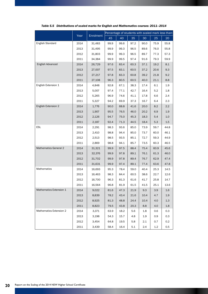|                              |      |           | Percentage of students with scaled mark less than: |      |      |      |      |         |
|------------------------------|------|-----------|----------------------------------------------------|------|------|------|------|---------|
|                              | Year | Enrolment | 45                                                 | 40   | 35   | 30   | 25   | 20      |
| English Standard             | 2014 | 31,483    | 99.9                                               | 99.6 | 97.2 | 90.0 | 75.9 | 55.8    |
|                              | 2013 | 31,495    | 99.9                                               | 99.3 | 96.5 | 89.6 | 76.0 | 55.8    |
|                              | 2012 | 31,803    | 99.9                                               | 99.3 | 96.5 | 89.7 | 77.3 | 57.3    |
|                              | 2011 | 34,384    | 99.9                                               | 99.5 | 97.4 | 91.6 | 79.3 | 59.9    |
| English Advanced             | 2014 | 26,729    | 97.6                                               | 83.4 | 60.3 | 37.1 | 19.2 | 8.1     |
|                              | 2013 | 27,007    | 97.5                                               | 83.1 | 60.5 | 37.2 | 20.6 | 9.3     |
|                              | 2012 | 27,217    | 97.8                                               | 83.3 | 60.8 | 39.2 | 21.8 | 9.2     |
|                              | 2011 | 27,108    | 96.3                                               | 80.5 | 60.5 | 40.0 | 21.1 | 8.8     |
| English Extension 1          | 2014 | 4,848     | 92.8                                               | 67.1 | 38.3 | 17.4 | 6.1  | 1.9     |
|                              | 2013 | 5,007     | 97.4                                               | 77.1 | 42.7 | 16.4 | 5.2  | 1.8     |
|                              | 2012 | 5,265     | 96.9                                               | 74.6 | 41.1 | 17.8 | 6.6  | 2.4     |
|                              | 2011 | 5,327     | 94.2                                               | 69.9 | 37.3 | 16.7 | 6.4  | 2.3     |
| English Extension 2          | 2014 | 1,776     | 90.0                                               | 68.8 | 41.6 | 20.0 | 8.2  | 2.2     |
|                              | 2013 | 1,907     | 95.5                                               | 76.5 | 46.0 | 20.2 | 6.9  | 1.9     |
|                              | 2012 | 2,126     | 94.7                                               | 75.0 | 45.3 | 18.3 | 5.4  | 1.0     |
|                              | 2011 | 2,187     | 92.4                                               | 71.3 | 44.5 | 18.4 | 5.3  | 1.5     |
| <b>ESL</b>                   | 2014 | 2,291     | 98.3                                               | 93.6 | 85.0 | 73.9 | 59.7 | 44.8    |
|                              | 2013 | 2,410     | 98.8                                               | 94.4 | 85.0 | 73.7 | 60.0 | 46.1    |
|                              | 2012 | 2,513     | 98.5                                               | 93.5 | 85.1 | 72.7 | 59.3 | 44.9    |
|                              | 2011 | 2,869     | 98.8                                               | 94.1 | 85.7 | 73.5 | 60.3 | 46.5    |
| <b>Mathematics General 2</b> | 2014 | 31,321    | 99.9                                               | 97.5 | 88.4 | 75.4 | 60.9 | 45.6    |
|                              | 2013 | 32,376    | 99.9                                               | 97.8 | 89.1 | 76.1 | 61.3 | 46.0    |
|                              | 2012 | 31,702    | 99.9                                               | 97.8 | 89.4 | 76.7 | 62.9 | 47.4    |
|                              | 2011 | 31,631    | 99.9                                               | 97.4 | 89.1 | 77.4 | 63.6 | 47.8    |
| Mathematics                  | 2014 | 16,693    | 95.3                                               | 78.4 | 59.0 | 40.4 | 25.3 | 14.5    |
|                              | 2013 | 16,463    | 98.3                                               | 84.4 | 60.5 | 38.6 | 22.7 | 12.6    |
|                              | 2012 | 16,700    | 96.3                                               | 81.3 | 61.6 | 41.7 | 25.8 | 14.7    |
|                              | 2011 | 16,564    | 96.8                                               | 81.9 | 61.5 | 41.5 | 25.1 | 13.6    |
| Mathematics Extension 1      | 2014 | 9,022     | 81.6                                               | 47.3 | 21.9 | 9.3  | 3.9  | 1.6     |
|                              | 2013 | 8,839     | 78.2                                               | 43.4 | 21.6 | 10.4 | 4.7  | 1.9     |
|                              | 2012 | 8,925     | 81.3                                               | 48.8 | 24.4 | 10.4 | 4.0  | $1.3$   |
|                              | 2011 | 8,823     | 79.5                                               | 43.8 | 20.3 | 8.8  | 4.0  | $1.8\,$ |
| Mathematics Extension 2      | 2014 | 3,371     | 63.9                                               | 18.2 | 5.6  | 1.8  | 0.6  | 0.3     |
|                              | 2013 | 3,198     | 54.3                                               | 15.7 | 4.8  | 1.9  | 0.9  | 0.3     |
|                              | 2012 | 3,454     | 64.8                                               | 19.5 | 5.8  | 2.1  | 0.7  | 0.2     |
|                              | 2011 | 3,439     | 58.4                                               | 16.4 | 5.1  | 2.4  | 1.2  | 0.5     |

*Table 5.5 Distributions of scaled marks for English and Mathematics courses: 2011–2014*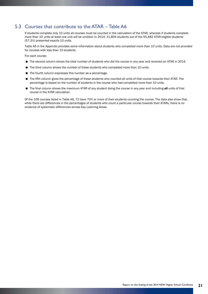# 5.3 Courses that contribute to the ATAR – Table A6

If students complete only 10 units all courses must be counted in the calculation of the ATAR, whereas if students complete more than 10 units at least one unit *will* be omitted. In 2014, 31,804 students out of the 55,482 ATAR-eligible students (57.3%) presented exactly 10 units.

Table A6 in the Appendix provides some information about students who completed *more than 10 units*. Data are not provided for courses with less than 10 students.

For each course:

- The second column shows the total number of students who did the course in any year and received an ATAR in 2014.
- The third column shows the number of these students who completed more than 10 units.
- $\blacksquare$  The fourth column expresses this number as a percentage.
- $\blacksquare$  The fifth column gives the percentage of these students who counted all units of that course towards their ATAR. The percentage is based on the number of students in the course who had completed more than 10 units.
- The final column shows the maximum ATAR of any student doing the course in any year and including all units of that course in the ATAR calculation.

Of the 109 courses listed in Table A6, 72 have 70% or more of their students counting the course. The data also show that, while there are differences in the percentages of students who count a particular course towards their ATARs, there is no evidence of systematic differences across Key Learning Areas.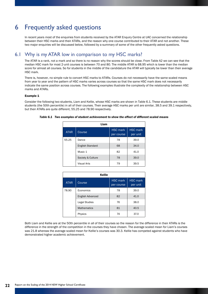# 6 Frequently asked questions

In recent years most of the enquiries from students received by the ATAR Enquiry Centre at UAC concerned the relationship between their HSC marks and their ATARs, and the reason why one course contributed to their ATAR and not another. These two major enquiries will be discussed below, followed by a summary of some of the other frequently asked questions.

## 6.1 Why is my ATAR low in comparison to my HSC marks?

The ATAR is a rank, not a mark and so there is no reason why the scores should be close. From Table A2 we can see that the median HSC mark for most 2-unit courses is between 70 and 80. The middle ATAR is 68.95 which is lower than the median score for almost all courses. So for students in the middle of the candidature the ATAR will typically be lower than their average HSC mark.

There is, however, no simple rule to convert HSC marks to ATARs. Courses do not necessarily have the same scaled means from year to year and the pattern of HSC marks varies across courses so that the same HSC mark does not necessarily indicate the same position across courses. The following examples illustrate the complexity of the relationship between HSC marks and ATARs.

#### Example 1

Consider the following two students, Liam and Kellie, whose HSC marks are shown in Table 6.1. These students are middle students (the 50th percentile) in all of their courses. Their average HSC marks per unit are similar, 38.5 and 39.1 respectively, but their ATARs are quite different, 55.25 and 78.90 respectively.

|             | Liam                    |                               |                             |  |  |  |  |  |
|-------------|-------------------------|-------------------------------|-----------------------------|--|--|--|--|--|
| <b>ATAR</b> | Course                  | <b>HSC mark</b><br>per course | <b>HSC mark</b><br>per unit |  |  |  |  |  |
| 55.25       | Dance                   | 78                            | 39.0                        |  |  |  |  |  |
|             | <b>English Standard</b> | 68                            | 34.0                        |  |  |  |  |  |
|             | Music 1                 | 82                            | 41.0                        |  |  |  |  |  |
|             | Society & Culture       | 78                            | 39.0                        |  |  |  |  |  |
|             | <b>Visual Arts</b>      | 79                            | 39.5                        |  |  |  |  |  |

#### *Table 6.1 Two examples of student achievement to show the effect of different scaled means*

| Kellie      |                    |                               |                             |  |  |  |
|-------------|--------------------|-------------------------------|-----------------------------|--|--|--|
| <b>ATAR</b> | Course             | <b>HSC</b> mark<br>per course | <b>HSC mark</b><br>per unit |  |  |  |
| 78.90       | Economics          | 78                            | 39.0                        |  |  |  |
|             | English Advanced   | 82                            | 41.0                        |  |  |  |
|             | Legal Studies      | 76                            | 38.0                        |  |  |  |
|             | <b>Mathematics</b> | 81                            | 40.5                        |  |  |  |
|             | Physics            | 74                            | 37.0                        |  |  |  |

Both Liam and Kellie are at the 50th percentile in all of their courses so the reason for the difference in their ATARs is the difference in the strength of the competition in the courses they have chosen. The average scaled mean for Liam's courses was 21.8 whereas the average scaled mean for Kellie's courses was 30.3. Kellie has competed against students who have demonstrated higher academic achievement.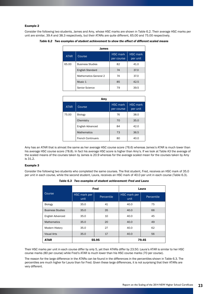#### Example 2

Consider the following two students, James and Amy, whose HSC marks are shown in Table 6.2. Their average HSC marks per unit are similar, 39.4 and 38.3 respectively, but their ATARs are quite different, 65.00 and 75.00 respectively.

| James       |                              |                               |                             |  |  |  |
|-------------|------------------------------|-------------------------------|-----------------------------|--|--|--|
| <b>ATAR</b> | Course                       | <b>HSC mark</b><br>per course | <b>HSC mark</b><br>per unit |  |  |  |
| 65.00       | <b>Business Studies</b>      | 82                            | 41.0                        |  |  |  |
|             | <b>English Standard</b>      | 74                            | 37.0                        |  |  |  |
|             | <b>Mathematics General 2</b> | 74                            | 37.0                        |  |  |  |
|             | Music 1                      | 85                            | 42.5                        |  |  |  |
|             | Senior Science               | 79                            | 39.5                        |  |  |  |

|  | Table 6.2 Two examples of student achievement to show the effect of different scaled means |  |  |  |
|--|--------------------------------------------------------------------------------------------|--|--|--|
|--|--------------------------------------------------------------------------------------------|--|--|--|

| Amy         |                          |                               |                             |  |  |  |  |
|-------------|--------------------------|-------------------------------|-----------------------------|--|--|--|--|
| <b>ATAR</b> | Course                   | <b>HSC</b> mark<br>per course | <b>HSC</b> mark<br>per unit |  |  |  |  |
| 75.00       | Biology                  | 76                            | 38.0                        |  |  |  |  |
|             | Chemistry                | 70                            | 35.0                        |  |  |  |  |
|             | English Advanced         | 84                            | 42.0                        |  |  |  |  |
|             | <b>Mathematics</b>       | 73                            | 36.5                        |  |  |  |  |
|             | <b>French Continuers</b> | 80                            | 40.0                        |  |  |  |  |

Amy has an ATAR that is almost the same as her average HSC course score (76.6) whereas James's ATAR is much lower than his average HSC course score (78.8). In fact his average HSC score is higher than Amy's. If we look at Table A3 the average of the scaled means of the courses taken by James is 20.9 whereas for the average scaled mean for the courses taken by Amy is 31.2.

#### Example 3

Consider the following two students who completed the same courses. The first student, Fred, receives an HSC mark of 35.0 per unit in each course, while the second student, Laura, receives an HSC mark of 40.0 per unit in each course (Table 6.3).

*Table 6.3 Two examples of student achievement: Fred and Laura*

|                                  |                      | <b>Fred</b> |                      | Laura      |  |
|----------------------------------|----------------------|-------------|----------------------|------------|--|
| Course                           | HSC mark per<br>unit | Percentile  | HSC mark per<br>unit | Percentile |  |
| Biology                          | 35.0                 | 41          | 40.0                 | 75         |  |
| <b>Business Studies</b>          | 35.0                 | 35          | 40.0                 | 66         |  |
| English Advanced                 | 35.0                 | 10          | 40.0                 | 45         |  |
| <b>Mathematics</b>               | 35.0                 | 20          | 40.0                 | 49         |  |
| Modern History                   | 35.0                 | 27          |                      | 62         |  |
| 17<br><b>Visual Arts</b><br>35.0 |                      |             | 40.0<br>56           |            |  |
| <b>ATAR</b>                      |                      | 55.95       | 79.45                |            |  |

Their HSC marks per unit in each course differ by only 5, yet their ATARs differ by 23.50. Laura's ATAR is similar to her HSC course marks (80 per course) while Fred's ATAR is much lower than his HSC course marks (70 per course).

The reason for the large difference in the ATARs can be found in the differences in the percentiles shown in Table 6.3. The percentiles are much higher for Laura than for Fred. Given these large differences, it is not surprising that their ATARs are very different.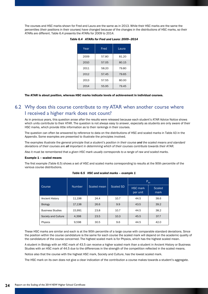The courses and HSC marks shown for Fred and Laura are the same as in 2013. While their HSC marks are the same the percentiles (their positions in their courses) have changed because of the changes in the distributions of HSC marks, so their ATARs are different. Table 6.4 presents the ATARs for 2009 to 2014.

| Year | Fred  | Laura |
|------|-------|-------|
| 2009 | 57.80 | 81.20 |
| 2010 | 57.05 | 80.15 |
| 2011 | 58.20 | 79.80 |
| 2012 | 57.45 | 79.65 |
| 2013 | 57.55 | 80.00 |
| 2014 | 55.95 | 79.45 |

#### *Table 6.4 ATARs for Fred and Laura: 2009–2014*

#### The ATAR is about position, whereas HSC marks indicate levels of achievement in individual courses.

# 6.2 Why does this course contribute to my ATAR when another course where I received a higher mark does not count?

As in previous years, this question arose after the results were released because each student's ATAR Advice Notice shows which units contribute to their ATAR. The question is not always easy to answer, especially as students are only aware of their HSC marks, which provide little information as to their rankings in their courses.

The question can often be answered by reference to data on the distributions of HSC and scaled marks in Table A3 in the Appendix. Some examples are presented to illustrate the principles involved.

The examples illustrate the general principle that *a student's position in their course and the scaled means and standard deviations of their courses are all important in determining which of their courses contribute towards their ATAR.*

Also it must be remembered that a *given HSC mark usually corresponds to a range of raw and scaled marks*.

#### Example 1 – scaled means

The first example (Table 6.5) shows a set of HSC and scaled marks corresponding to results at the 90th percentile of the various course distributions.

|                         |               |             |           | $P_{90}$                    |                       |  |
|-------------------------|---------------|-------------|-----------|-----------------------------|-----------------------|--|
| Course                  | <b>Number</b> | Scaled mean | Scaled SD | <b>HSC</b> mark<br>per unit | <b>Scaled</b><br>mark |  |
| <b>Ancient History</b>  | 11,198        | 24.4        | 10.7      | 44.5                        | 38.6                  |  |
| <b>Biology</b>          | 17,138        | 26.6        | 9.9       | 43.5                        | 39.2                  |  |
| <b>Business Studies</b> | 15,991        | 23.8        | 10.7      | 44.5                        | 38.2                  |  |
| Society and Culture     | 4,398         | 23.5        | 10.3      | 45.5                        | 37.7                  |  |
| Physics                 | 9,598         | 30.5        | 9.6       | 44.5                        | 42.0                  |  |

#### *Table 6.5 HSC and scaled marks – example 1*

These HSC marks are similar and each is at the 90th percentile of a large course with comparable standard deviations. Since the position within the course candidature is the same for each course the scaled mark will depend on the academic quality of the candidature of the course concerned. The highest scaled mark is for Physics, which has the highest scaled mean.

A student in Biology with an HSC mark of 43.5 can receive a higher scaled mark than a student in Ancient History or Business Studies with an HSC mark of 44.5 due to the differences in the strength of the competition reflected in the scaled means.

Notice also that the course with the highest HSC mark, Society and Culture, has the lowest scaled mark.

The HSC mark on its own does not give a clear indication of the contribution a course makes towards a student's aggregate.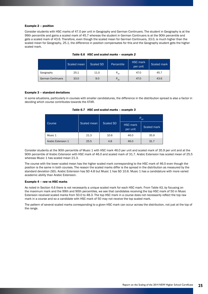#### Example 2 – position

Consider students with HSC marks of 47.0 per unit in Geography and German Continuers. The student in Geography is at the 99th percentile and gains a scaled mark of 45.7 whereas the student in German Continuers is at the 90th percentile and gets a scaled mark of 43.6. Therefore, even though the scaled mean for German Continuers, 33.0, is much higher than the scaled mean for Geography, 25.1, the difference in position compensates for this and the Geography student gets the higher scaled mark.

|                          | Scaled mean | <b>Scaled SD</b> | <b>HSC</b> mark<br>Percentile<br>per unit |      | Scaled mark |  |
|--------------------------|-------------|------------------|-------------------------------------------|------|-------------|--|
| Geography                | 25.1        | 11.0             | $P_{gg}$                                  | 47.0 | 45.7        |  |
| <b>German Continuers</b> | 33.0        | 9.0              | $P_{90}$                                  | 47.0 | 43.6        |  |

#### *Table 6.6 HSC and scaled marks – example 2*

#### Example 3 – standard deviations

In some situations, particularly in courses with smaller candidatures, the difference in the distribution spread is also a factor in deciding which course contributes towards the ATAR.

|                    |                                 |      |                             | $P_{90}$    |
|--------------------|---------------------------------|------|-----------------------------|-------------|
| Course             | <b>Scaled SD</b><br>Scaled mean |      | <b>HSC</b> mark<br>per unit | Scaled mark |
| Music 1            | 21.3                            | 10.6 | 46.0                        | 35.9        |
| Arabic Extension 1 | 25.5                            | 4.8  | 46.0                        | 31.7        |

#### *Table 6.7 HSC and scaled marks – example 3*

Consider students at the 90th percentile of Music 1 with HSC mark 46.0 per unit and scaled mark of 35.9 per unit and at the 90th percentile of Arabic Extension with HSC mark of 46.0 and scaled mark of 31.7. Arabic Extension has scaled mean of 25.5 whereas Music 1 has scaled mean 21.3.

The course with the lower scaled mean has the higher scaled mark corresponding to the HSC mark of 46.0 even though the position is the same in both courses. The reason the scaled marks differ is the spread in the distribution as measured by the standard deviation (SD). Arabic Extension has SD 4.8 but Music 1 has SD 10.6. Music 1 has a candidature with more varied academic ability than Arabic Extension.

#### Example 4 – raw vs HSC marks

As noted in Section 4.6 there is not necessarily a unique scaled mark for each HSC mark. From Table A3, by focusing on the maximum mark and the 99th and 90th percentiles, we see that candidates receiving the top HSC mark of 50 in Music Extension received scaled marks from 50.0 to 48.3. The top HSC mark in a course does not necessarily reflect the top raw mark in a course and so a candidate with HSC mark of 50 may not receive the top scaled mark.

The pattern of several scaled marks corresponding to a given HSC mark can occur across the distribution, not just at the top of the range.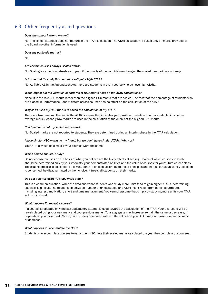# 6.3 Other frequently asked questions

#### *Does the school I attend matter?*

No. The school attended does not feature in the ATAR calculation. The ATAR calculation is based only on marks provided by the Board; no other information is used.

#### *Does my postcode matter?*

No.

#### *Are certain courses always 'scaled down'?*

No. Scaling is carried out afresh each year: if the quality of the candidature changes, the scaled mean will also change.

#### *Is it true that if I study this course I can't get a high ATAR?*

No. As Table A1 in the Appendix shows, there are students in every course who achieve high ATARs.

#### *What impact did the variation in patterns of HSC marks have on the ATAR calculations?*

None. It is the raw HSC marks rather than the aligned HSC marks that are scaled. The fact that the percentage of students who are placed in Performance Band 6 differs across courses has no effect on the calculation of the ATAR.

#### *Why can't I use my HSC marks to check the calculation of my ATAR?*

There are two reasons. The first is the ATAR is a rank that indicates your position in relation to other students, it is not an average mark. Secondly raw marks are used in the calculation of the ATAR not the aligned HSC marks.

#### *Can I find out what my scaled marks are?*

No. Scaled marks are not reported to students. They are determined during an interim phase in the ATAR calculation.

#### *I have similar HSC marks to my friend, but we don't have similar ATARs. Why not?*

Your ATARs would be similar if your courses were the same.

#### *Which course should I study?*

Do not choose courses on the basis of what you believe are the likely effects of scaling. Choice of which courses to study should be determined only by your interests, your demonstrated abilities and the value of courses for your future career plans. The scaling process is designed to allow students to choose according to these principles and not, as far as university selection is concerned, be disadvantaged by their choice. It treats all students on their merits.

#### *Do I get a better ATAR if I study more units?*

This is a common question. While the data show that students who study more units tend to gain higher ATARs, determining causality is difficult. The relationship between number of units studied and ATAR might result from personal attributes including interest, motivation, effort and time management. You cannot assume that simply by studying more units your ATAR will be increased.

#### *What happens if I repeat a course?*

If a course is repeated only the last satisfactory attempt is used towards the calculation of the ATAR. Your aggregate will be re-calculated using your new mark and your previous marks. Your aggregate may increase, remain the same or decrease; it depends on your new mark. Since you are being compared with a different cohort your ATAR may increase, remain the same or decrease.

#### *What happens if I accumulate the HSC?*

Students who accumulate courses towards their HSC have their scaled marks calculated the year they complete the courses.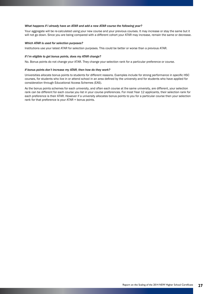#### *What happens if I already have an ATAR and add a new ATAR course the following year?*

Your aggregate will be re-calculated using your new course and your previous courses. It may increase or stay the same but it will not go down. Since you are being compared with a different cohort your ATAR may increase, remain the same or decrease.

#### *Which ATAR is used for selection purposes?*

Institutions use your latest ATAR for selection purposes. This could be better or worse than a previous ATAR.

#### *If I'm eligible to get bonus points, does my ATAR change?*

No. Bonus points do not change your ATAR. They change your selection rank for a particular preference or course.

### *If bonus points don't increase my ATAR, then how do they work?*

Universities allocate bonus points to students for different reasons. Examples include for strong performance in specific HSC courses, for students who live in or attend school in an area defined by the university and for students who have applied for consideration through Educational Access Schemes (EAS).

As the bonus points schemes for each university, and often each course at the same university, are different, your selection rank can be different for each course you list in your course preferences. For most Year 12 applicants, their selection rank for each preference is their ATAR. However if a university allocates bonus points to you for a particular course then your selection rank for that preference is your ATAR + bonus points.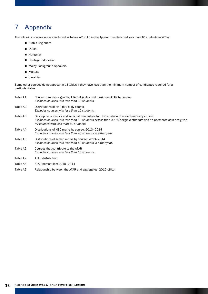# 7 Appendix

The following courses are not included in Tables A2 to A5 in the Appendix as they had less than 10 students in 2014:

- Arabic Beginners
- Dutch
- **Hungarian**
- $\blacksquare$  Heritage Indonesian
- Malay Background Speakers
- **Maltese**
- **Ukrainian**

Some other courses do not appear in all tables if they have less than the minimum number of candidates required for a particular table.

| Table A1 | Course numbers – gender, ATAR eligibility and maximum ATAR by course<br>Excludes courses with less than 10 students.                                                                                                                                      |
|----------|-----------------------------------------------------------------------------------------------------------------------------------------------------------------------------------------------------------------------------------------------------------|
| Table A2 | Distributions of HSC marks by course<br>Excludes courses with less than 10 students.                                                                                                                                                                      |
| Table A3 | Descriptive statistics and selected percentiles for HSC marks and scaled marks by course<br>Excludes courses with less than 10 students or less than 4 ATAR-eligible students and no percentile data are given<br>for courses with less than 40 students. |
| Table A4 | Distributions of HSC marks by course: 2013-2014<br>Excludes courses with less than 40 students in either year.                                                                                                                                            |
| Table A5 | Distributions of scaled marks by course: 2013-2014<br>Excludes courses with less than 40 students in either year.                                                                                                                                         |
| Table A6 | Courses that contribute to the ATAR<br>Excludes courses with less than 10 students.                                                                                                                                                                       |
| Table A7 | ATAR distribution                                                                                                                                                                                                                                         |
| Table A8 | ATAR percentiles: 2010-2014                                                                                                                                                                                                                               |
| Table A9 | Relationship between the ATAR and aggregates: 2010-2014                                                                                                                                                                                                   |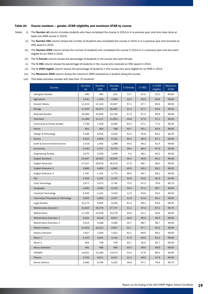### Table A1 Course numbers – gender, ATAR eligibility and maximum ATAR by course

- Notes: (i) The Number all column includes students who have completed the course in 2014 or in a previous year (and who have done at least one ATAR course in 2014).
	- (ii) The Number HSC column shows the number of students who completed the course in 2014 or in a previous year and received an HSC award in 2014.
	- (iii) The Number ATAR column shows the number of students who completed the course in 2014 or in a previous year and who were eligible for an ATAR in 2014.
	- (iv) The % Female column shows the percentage of students in the course who were female.
	- (v) The % HSC column shows the percentage of students in the course who received an HSC award in 2014.
	- (vi) The % ATAR eligible column shows the percentage of students in the course who were eligible for an ATAR in 2014.
	- (vii) The Maximum ATAR column shows the maximum ATAR achieved by a student doing the course.
	- (viii) This table excludes courses with less than 10 students.

| Course                             | <b>Number</b><br>all | <b>Number</b><br><b>HSC</b> | <b>Number</b><br><b>ATAR</b> | % Female | % HSC | % ATAR<br>eligible | Maximun<br><b>ATAR</b> |
|------------------------------------|----------------------|-----------------------------|------------------------------|----------|-------|--------------------|------------------------|
| <b>Aboriginal Studies</b>          | 440                  | 383                         | 221                          | 72.7     | 87.0  | 50.2               | 99.60                  |
| Agriculture                        | 1,441                | 1,333                       | 1,003                        | 52.0     | 92.5  | 69.6               | 99.95                  |
| Ancient History                    | 11,410               | 11,143                      | 10,367                       | 57.1     | 97.7  | 90.9               | 99.95                  |
| <b>Biology</b>                     | 17,444               | 16,972                      | 16,465                       | 61.2     | 97.3  | 94.4               | 99.95                  |
| <b>Business Studies</b>            | 16,266               | 15,835                      | 14,764                       | 47.5     | 97.4  | 90.8               | 99.95                  |
| Chemistry                          | 11,396               | 11,117                      | 11,063                       | 44.8     | 97.6  | 97.1               | 99.95                  |
| Community & Family Studies         | 7,766                | 7,539                       | 6,006                        | 93.3     | 97.1  | 77.3               | 99.45                  |
| Dance                              | 951                  | 904                         | 786                          | 93.7     | 95.1  | 82.6               | 98.95                  |
| Design & Technology                | 3,166                | 3,034                       | 2,633                        | 42.4     | 95.8  | 83.2               | 99.35                  |
| Drama                              | 4,810                | 4,663                       | 4,191                        | 69.3     | 96.9  | 87.1               | 99.90                  |
| Earth & Environmental Science      | 1,519                | 1,463                       | 1,388                        | 44.5     | 96.3  | 91.4               | 99.80                  |
| Economics                          | 5,190                | 5,107                       | 5,079                        | 36.4     | 98.4  | 97.9               | 99.95                  |
| <b>Engineering Studies</b>         | 2,070                | 2,030                       | 1,949                        | 5.2      | 98.1  | 94.2               | 99.90                  |
| <b>English Standard</b>            | 31,937               | 30,920                      | 26,900                       | 49.3     | 96.8  | 84.2               | 99.80                  |
| English Advanced                   | 27,017               | 26,678                      | 26,479                       | 57.9     | 98.7  | 98.0               | 99.95                  |
| English Extension 1                | 4,886                | 4,850                       | 4,840                        | 65.9     | 99.3  | 99.1               | 99.95                  |
| English Extension 2                | 1,787                | 1,781                       | 1,773                        | 68.4     | 99.7  | 99.2               | 99.95                  |
| <b>ESL</b>                         | 2,329                | 2,225                       | 2,103                        | 52.8     | 95.5  | 90.3               | 99.95                  |
| Food Technology                    | 3,571                | 3,475                       | 2,745                        | 75.5     | 97.3  | 76.9               | 99.70                  |
| Geography                          | 4,482                | 4,360                       | 4,019                        | 44.4     | 97.3  | 89.7               | 99.95                  |
| Industrial Technology              | 5,435                | 5,141                       | 3,422                        | 11.5     | 94.6  | 63.0               | 98.00                  |
| Information Processes & Technology | 3,052                | 2,802                       | 2,537                        | 21.9     | 91.8  | 83.1               | 99.95                  |
| <b>Legal Studies</b>               | 10,173               | 9,992                       | 9,549                        | 61.3     | 98.2  | 93.9               | 99.95                  |
| <b>Mathematics General 2</b>       | 31,810               | 30,978                      | 27,747                       | 51.1     | 97.4  | 87.2               | 99.75                  |
| <b>Mathematics</b>                 | 17,165               | 15,636                      | 15,579                       | 45.9     | 91.1  | 90.8               | 99.95                  |
| Mathematics Extension 1            | 9,301                | 8,918                       | 8,917                        | 39.9     | 95.9  | 95.9               | 99.95                  |
| Mathematics Extension 2            | 3,414                | 3,368                       | 3,369                        | 35.7     | 98.7  | 98.7               | 99.95                  |
| <b>Modern History</b>              | 10,454               | 10,212                      | 9,657                        | 52.7     | 97.7  | 92.4               | 99.95                  |
| <b>History Extension</b>           | 1,937                | 1,929                       | 1,922                        | 62.1     | 99.6  | 99.2               | 99.95                  |
| Music 1                            | 5,100                | 4,841                       | 4,142                        | 47.4     | 94.9  | 81.2               | 99.90                  |
| Music 2                            | 805                  | 748                         | 746                          | 50.7     | 92.9  | 92.7               | 99.95                  |
| <b>Music Extension</b>             | 481                  | 466                         | 466                          | 50.3     | 96.9  | 96.9               | 99.95                  |
| PDH&PE                             | 14,631               | 14,306                      | 13,074                       | 53.4     | 97.8  | 89.4               | 99.90                  |
| Physics                            | 9,750                | 9,611                       | 9,547                        | 21.3     | 98.6  | 97.9               | 99.95                  |
| Senior Science                     | 6,382                | 6,199                       | 5,035                        | 46.6     | 97.1  | 78.9               | 99.75                  |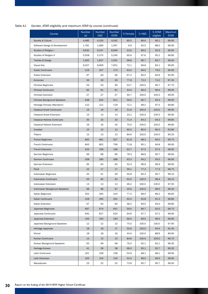### *Table A1 Gender, ATAR eligibility and maximum ATAR by course (continued)*

| Course                             | Number<br>all | Number<br><b>HSC</b> | <b>Number</b><br>ATAR | % Female | % HSC | % ATAR<br>eligible | <b>Maximun</b><br><b>ATAR</b> |
|------------------------------------|---------------|----------------------|-----------------------|----------|-------|--------------------|-------------------------------|
| Society & Culture                  | 4,485         | 4,333                | 4,042                 | 80.5     | 96.6  | 90.1               | 99.95                         |
| Software Design & Development      | 1,781         | 1,666                | 1,567                 | 6.9      | 93.5  | 88.0               | 99.95                         |
| Studies of Religion I              | 9,630         | 9,247                | 8,949                 | 53.6     | 96.0  | 92.9               | 99.95                         |
| Studies of Religion II             | 5,508         | 5,375                | 5,245                 | 65.6     | 97.6  | 95.2               | 99.85                         |
| <b>Textiles &amp; Design</b>       | 1,900         | 1,837                | 1,591                 | 98.8     | 96.7  | 83.7               | 99.90                         |
| <b>Visual Arts</b>                 | 9,207         | 8,909                | 7,651                 | 72.1     | 96.8  | 83.1               | 99.95                         |
| <b>Arabic Continuers</b>           | 219           | 207                  | 173                   | 63.0     | 94.5  | 79.0               | 95.95                         |
| Arabic Extension                   | 67            | 64                   | 56                    | 67.2     | 95.5  | 83.6               | 92.95                         |
| Armenian                           | 36            | 26                   | 26                    | 77.8     | 72.2  | 72.2               | 97.35                         |
| <b>Chinese Beginners</b>           | 54            | 54                   | 49                    | 53.7     | 100.0 | 90.7               | 97.70                         |
| <b>Chinese Continuers</b>          | 84            | 81                   | 81                    | 44.0     | 96.4  | 96.4               | 99.95                         |
| <b>Chinese Extension</b>           | 27            | 27                   | 27                    | 40.7     | 100.0 | 100.0              | 99.95                         |
| <b>Chinese Background Speakers</b> | 648           | 620                  | 611                   | 59.0     | 95.7  | 94.3               | 99.95                         |
| Heritage Chinese (Mandarin)        | 122           | 121                  | 119                   | 72.1     | 99.2  | 97.5               | 99.80                         |
| <b>Classical Greek Continuers</b>  | 19            | 19                   | 19                    | 31.6     | 100.0 | 100.0              | 99.95                         |
| <b>Classical Greek Extension</b>   | 13            | 13                   | 13                    | 23.1     | 100.0 | 100.0              | 99.95                         |
| <b>Classical Hebrew Continuers</b> | 35            | 33                   | 33                    | 71.4     | 94.3  | 94.3               | 99.85                         |
| <b>Classical Hebrew Extension</b>  | 16            | 16                   | 16                    | 75.0     | 100.0 | 100.0              | 99.85                         |
| Croatian                           | 15            | 12                   | 12                    | 60.0     | 80.0  | 80.0               | 92.80                         |
| Filipino                           | 13            | 13                   | 13                    | 84.6     | 100.0 | 100.0              | 84.25                         |
| <b>French Beginners</b>            | 693           | 681                  | 627                   | 81.8     | 98.3  | 90.5               | 99.75                         |
| <b>French Continuers</b>           | 843           | 802                  | 799                   | 71.8     | 95.1  | 94.8               | 99.95                         |
| <b>French Extension</b>            | 204           | 199                  | 199                   | 63.7     | 97.5  | 97.5               | 99.95                         |
| German Beginners                   | 69            | 68                   | 66                    | 78.3     | 98.6  | 95.7               | 99.65                         |
| <b>German Continuers</b>           | 308           | 290                  | 288                   | 63.3     | 94.2  | 93.5               | 99.95                         |
| German Extension                   | 65            | 63                   | 63                    | 52.3     | 96.9  | 96.9               | 99.95                         |
| Hindi                              | 22            | 17                   | 17                    | 59.1     | 77.3  | 77.3               | 98.75                         |
| Indonesian Beginners               | 43            | 41                   | 39                    | 55.8     | 95.3  | 90.7               | 99.15                         |
| <b>Indonesian Continuers</b>       | 64            | 64                   | 63                    | 62.5     | 100.0 | 98.4               | 99.15                         |
| Indonesian Extension               | 13            | 13                   | 13                    | 46.2     | 100.0 | 100.0              | 97.50                         |
| Indonesian Background Speakers     | 68            | 68                   | 67                    | 45.6     | 100.0 | 98.5               | 99.30                         |
| Italian Beginners                  | 352           | 345                  | 314                   | 77.3     | 98.0  | 89.2               | 99.65                         |
| Italian Continuers                 | 318           | 295                  | 291                   | 65.4     | 92.8  | 91.5               | 99.85                         |
| Italian Extension                  | 67            | 63                   | 63                    | 58.2     | 94.0  | 94.0               | 99.85                         |
| Japanese Beginners                 | 697           | 674                  | 641                   | 59.5     | 96.7  | 92.0               | 99.75                         |
| Japanese Continuers                | 642           | 627                  | 624                   | 64.6     | 97.7  | 97.2               | 99.90                         |
| Japanese Extension                 | 194           | 193                  | 193                   | 66.0     | 99.5  | 99.5               | 99.90                         |
| Japanese Background Speakers       | 12            | 12                   | 12                    | 75.0     | 100.0 | 100.0              | 97.65                         |
| Heritage Japanese                  | 18            | 18                   | 17                    | 55.6     | 100.0 | 94.4               | 91.45                         |
| Khmer                              | 18            | 18                   | 16                    | 44.4     | 100.0 | 88.9               | 89.90                         |
| Korean Continuers                  | 13            | 13                   | 13                    | 84.6     | 100.0 | 100.0              | 99.75                         |
| Korean Background Speakers         | 63            | 58                   | 58                    | 76.2     | 92.1  | 92.1               | 99.35                         |
| Heritage Korean                    | 41            | 39                   | 38                    | 68.3     | 95.1  | 92.7               | 99.35                         |
| Latin Continuers                   | 161           | 158                  | 158                   | 50.9     | 98.1  | 98.1               | 99.95                         |
| Latin Extension                    | 105           | 104                  | 104                   | 52.4     | 99.0  | 99.0               | 99.95                         |
| Macedonian                         | 23            | 22                   | 22                    | 73.9     | 95.7  | 95.7               | 99.00                         |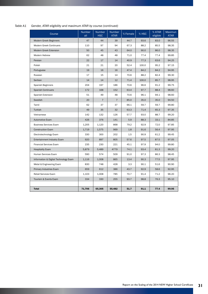### *Table A1 Gender, ATAR eligibility and maximum ATAR by course (continued)*

| Course                                | <b>Number</b><br>all | <b>Number</b><br><b>HSC</b> | <b>Number</b><br><b>ATAR</b> | % Female | % HSC | % ATAR<br>eligible | Maximun<br><b>ATAR</b> |
|---------------------------------------|----------------------|-----------------------------|------------------------------|----------|-------|--------------------|------------------------|
| Modern Greek Beginners                | 47                   | 44                          | 39                           | 44.7     | 93.6  | 83.0               | 96.55                  |
| <b>Modern Greek Continuers</b>        | 110                  | 97                          | 94                           | 67.3     | 88.2  | 85.5               | 98.35                  |
| Modern Greek Extension                | 50                   | 45                          | 43                           | 64.0     | 90.0  | 86.0               | 98.35                  |
| Modern Hebrew                         | 62                   | 48                          | 48                           | 71.0     | 77.4  | 77.4               | 99.85                  |
| Persian                               | 22                   | 17                          | 14                           | 40.9     | 77.3  | 63.6               | 94.25                  |
| Polish                                | 21                   | 21                          | 20                           | 52.4     | 100.0 | 95.2               | 97.15                  |
| Portuguese                            | 19                   | 16                          | 16                           | 47.4     | 84.2  | 84.2               | 94.95                  |
| Russian                               | 17                   | 15                          | 14                           | 70.6     | 88.2  | 82.4               | 99.30                  |
| Serbian                               | 14                   | 14                          | 12                           | 71.4     | 100.0 | 85.7               | 98.95                  |
| Spanish Beginners                     | 204                  | 197                         | 186                          | 70.6     | 96.6  | 91.2               | 99.75                  |
| <b>Spanish Continuers</b>             | 172                  | 168                         | 152                          | 63.4     | 97.7  | 88.4               | 98.60                  |
| Spanish Extension                     | 51                   | 49                          | 48                           | 70.6     | 96.1  | 94.1               | 98.60                  |
| Swedish                               | 20                   | $\overline{7}$              | $\overline{7}$               | 85.0     | 35.0  | 35.0               | 94.50                  |
| Tamil                                 | 62                   | 37                          | 37                           | 66.1     | 59.7  | 59.7               | 99.80                  |
| Turkish                               | 49                   | 35                          | 32                           | 63.3     | 71.4  | 65.3               | 97.35                  |
| Vietnamese                            | 142                  | 132                         | 126                          | 57.7     | 93.0  | 88.7               | 99.20                  |
| Automotive Exam                       | 426                  | 376                         | 141                          | 5.9      | 88.3  | 33.1               | 84.85                  |
| <b>Business Services Exam</b>         | 1,205                | 1,120                       | 868                          | 79.2     | 92.9  | 72.0               | 97.85                  |
| <b>Construction Exam</b>              | 1,719                | 1,575                       | 969                          | 1.8      | 91.6  | 56.4               | 97.95                  |
| Electrotechnology Exam                | 330                  | 300                         | 202                          | 1.5      | 90.9  | 61.2               | 99.45                  |
| Entertainment Industry Exam           | 920                  | 897                         | 805                          | 57.6     | 97.5  | 87.5               | 97.05                  |
| <b>Financial Services Exam</b>        | 235                  | 230                         | 221                          | 45.1     | 97.9  | 94.0               | 99.80                  |
| <b>Hospitality Exam</b>               | 5,879                | 5,489                       | 4779                         | 74.1     | 93.4  | 81.3               | 99.20                  |
| Human Services Exam                   | 590                  | 574                         | 509                          | 91.0     | 97.3  | 86.3               | 98.45                  |
| Information & Digital Technology Exam | 1,116                | 1,008                       | 865                          | 13.4     | 90.3  | 77.5               | 97.95                  |
| Metal & Engineering Exam              | 830                  | 748                         | 428                          | 3.3      | 90.1  | 51.6               | 90.90                  |
| Primary Industries Exam               | 659                  | 612                         | 386                          | 43.7     | 92.9  | 58.6               | 92.95                  |
| <b>Retail Services Exam</b>           | 1,103                | 1,008                       | 785                          | 70.7     | 91.4  | 71.2               | 96.20                  |
| Tourism & Events Exam                 | 334                  | 330                         | 255                          | 93.7     | 98.8  | 76.3               | 95.10                  |
| <b>Total</b>                          | 71,706               | 65,305                      | 55,482                       | 51.7     | 91.1  | 77.4               | 99.95                  |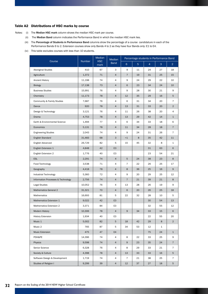### Table A2 Distributions of HSC marks by course

Notes: (i) The Median HSC mark column shows the median HSC mark per course.

- (ii) The Median Band column indicates the Performance Band in which the median HSC mark lies.
- (iii) The Percentage of Students in Performance Band columns show the percentage of a course candidature in each of the Performance Bands 6 to 2. Extension courses show only Bands 4 to 2 as they have four Bands only: E1 to E4.
- (iv) This table excludes courses with less than 10 students.

|                                    |        | Median             | Median         | Percentage students in Performance Band |    |                |    |                |  |  |
|------------------------------------|--------|--------------------|----------------|-----------------------------------------|----|----------------|----|----------------|--|--|
| Course                             | Number | <b>HSC</b><br>mark | <b>Band</b>    | 6                                       | 5  | $\overline{4}$ | 3  | $\overline{2}$ |  |  |
| <b>Aboriginal Studies</b>          | 410    | 67                 | 3              | 9                                       | 11 | 24             | 27 | 18             |  |  |
| Agriculture                        | 1,372  | 71                 | $\overline{4}$ | $\overline{7}$                          | 19 | 31             | 25 | 15             |  |  |
| <b>Ancient History</b>             | 11,198 | 74                 | 4              | 9                                       | 24 | 29             | 22 | 10             |  |  |
| <b>Biology</b>                     | 17,138 | 73                 | 4              | 6                                       | 23 | 34             | 24 | 10             |  |  |
| <b>Business Studies</b>            | 15,991 | 76                 | 4              | 9                                       | 28 | 30             | 21 | 9              |  |  |
| Chemistry                          | 11,173 | 78                 | 4              | 12                                      | 35 | 29             | 16 | 5              |  |  |
| Community & Family Studies         | 7,687  | 76                 | 4              | 6                                       | 31 | 34             | 20 | $\overline{7}$ |  |  |
| Dance                              | 920    | 78                 | 4              | 13                                      | 31 | 33             | 20 | $\overline{2}$ |  |  |
| Design & Technology                | 3,121  | 76                 | 4              | 11                                      | 26 | 38             | 20 | 4              |  |  |
| Drama                              | 4,753  | 78                 | 4              | 13                                      | 29 | 42             | 14 | $\mathbf{1}$   |  |  |
| Earth & Environmental Science      | 1,494  | 77                 | 4              | 6                                       | 34 | 33             | 18 | 6              |  |  |
| Economics                          | 5,131  | 78                 | 4              | 11                                      | 34 | 28             | 18 | $\overline{7}$ |  |  |
| <b>Engineering Studies</b>         | 2,043  | 74                 | 4              | 9                                       | 24 | 31             | 26 | $\overline{7}$ |  |  |
| English Standard                   | 31,483 | 68                 | 3              | $\leq$ 1                                | 8  | 35             | 42 | 11             |  |  |
| English Advanced                   | 26,729 | 82                 | 5              | 15                                      | 45 | 32             | 8  | 1              |  |  |
| English Extension 1                | 4,848  | 42                 | E <sub>3</sub> |                                         |    | 31             | 63 | 6              |  |  |
| English Extension 2                | 1,776  | 40                 | E3             |                                         |    | 23             | 54 | 21             |  |  |
| <b>ESL</b>                         | 2,291  | 74                 | $\overline{4}$ | 5                                       | 24 | 38             | 23 | 8              |  |  |
| Food Technology                    | 3,538  | 71                 | 4              | $\overline{7}$                          | 22 | 26             | 25 | 17             |  |  |
| Geography                          | 4,418  | 78                 | 4              | 8                                       | 36 | 25             | 16 | 9              |  |  |
| Industrial Technology              | 5,360  | 72                 | 4              | 9                                       | 20 | 29             | 25 | 12             |  |  |
| Information Processes & Technology | 2,756  | 74                 | 4              | $\overline{7}$                          | 21 | 39             | 21 | 8              |  |  |
| <b>Legal Studies</b>               | 10,052 | 76                 | 4              | 13                                      | 28 | 26             | 19 | 9              |  |  |
| <b>Mathematics General 2</b>       | 31,321 | 70                 | 4              | 6                                       | 20 | 26             | 25 | 18             |  |  |
| Mathematics                        | 16,693 | 81                 | 5              | 22                                      | 32 | 28             | 10 | 5              |  |  |
| Mathematics Extension 1            | 9,022  | 42                 | E <sub>3</sub> |                                         |    | 30             | 54 | 13             |  |  |
| <b>Mathematics Extension 2</b>     | 3,371  | 84                 | E3             |                                         |    | 32             | 55 | 12             |  |  |
| Modern History                     | 10,306 | 78                 | 4              | 9                                       | 34 | 33             | 15 | 6              |  |  |
| <b>History Extension</b>           | 1,934  | 40                 | E3             |                                         |    | 22             | 55 | 20             |  |  |
| Music 1                            | 5,002  | 82                 | 5              | 18                                      | 42 | 29             | 8  | $\overline{a}$ |  |  |
| Music 2                            | 765    | 87                 | 5              | 34                                      | 53 | 12             | 1  |                |  |  |
| <b>Music Extension</b>             | 475    | 47                 | E4             |                                         |    | 75             | 24 | $\mathbf 1$    |  |  |
| PDH&PE                             | 14,396 | 74                 | 4              | 8                                       | 22 | 33             | 25 | 9              |  |  |
| Physics                            | 9,598  | 74                 | $\overline{4}$ | 9                                       | 23 | 35             | 24 | $\overline{7}$ |  |  |
| Senior Science                     | 6,328  | 76                 | 4              | 8                                       | 29 | 33             | 21 | $\overline{7}$ |  |  |
| Society & Culture                  | 4,398  | 78                 | $\overline{4}$ | 13                                      | 33 | 33             | 16 | 5              |  |  |
| Software Design & Development      | 1,719  | 74                 | 4              | 7                                       | 21 | 38             | 25 | $\overline{7}$ |  |  |
| Studies of Religion I              | 9,299  | 39                 | $\overline{4}$ | 12                                      | 37 | 27             | 18 | 5              |  |  |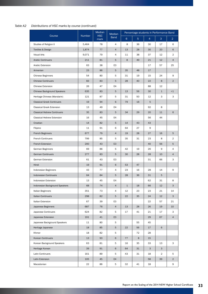### *Table A2 Distributions of HSC marks by course (continued)*

|                                    |        | Median             | Median         |    |        | Percentage students in Performance Band |              |                |
|------------------------------------|--------|--------------------|----------------|----|--------|-----------------------------------------|--------------|----------------|
| Course                             | Number | <b>HSC</b><br>mark | <b>Band</b>    | 6  | 5      | $\overline{4}$                          | 3            | $\overline{2}$ |
| Studies of Religion II             | 5,464  | 78                 | 4              | 8  | 36     | 30                                      | 17           | 6              |
| Textiles & Design                  | 1,874  | 77                 | 4              | 13 | 28     | 30                                      | 20           | 6              |
| <b>Visual Arts</b>                 | 9,071  | 79                 | 4              | 11 | 38     | 37                                      | 12           | 2              |
| <b>Arabic Continuers</b>           | 211    | 81                 | 5              | 8  | 49     | 21                                      | 12           | 4              |
| Arabic Extension                   | 63     | 38                 | E <sub>3</sub> |    |        | 17                                      | 57           | 25             |
| Armenian                           | 23     | 86                 | 5              | 35 | 48     | 17                                      |              |                |
| <b>Chinese Beginners</b>           | 54     | 80                 | 5              | 31 | 19     | 15                                      | 24           | 9              |
| <b>Chinese Continuers</b>          | 83     | 83                 | 5              | 28 | 40     | 22                                      | 8            | $\overline{2}$ |
| <b>Chinese Extension</b>           | 26     | 47                 | E4             |    |        | 88                                      | 12           |                |
| <b>Chinese Background Speakers</b> | 635    | 83                 | 5              | 13 | 56     | 30                                      | $\mathbf{1}$ | $\leq$ 1       |
| Heritage Chinese (Mandarin)        | 121    | 87                 | 5              | 31 | 50     | 12                                      | 3            | 3              |
| <b>Classical Greek Continuers</b>  | 19     | 94                 | 6              | 79 | 16     | 5                                       |              |                |
| <b>Classical Greek Extension</b>   | 13     | 49                 | E4             |    |        | 92                                      | 8            |                |
| <b>Classical Hebrew Continuers</b> | 35     | 83                 | 5              | 34 | 29     | 20                                      | 11           | 6              |
| <b>Classical Hebrew Extension</b>  | 16     | 45                 | E4             |    |        | 56                                      | 44           |                |
| Croatian                           | 14     | 82                 | 5              | 14 | 43     | 43                                      |              |                |
| Filipino                           | 11     | 91                 | 6              | 64 | 27     | 9                                       |              |                |
| French Beginners                   | 677    | 79                 | 4              | 19 | 28     | 27                                      | 16           | 5              |
| <b>French Continuers</b>           | 799    | 85                 | 5              | 35 | 31     | 23                                      | 8            | 2              |
| French Extension                   | 200    | 43                 | E <sub>3</sub> |    |        | 40                                      | 56           | 5              |
| German Beginners                   | 69     | 86                 | 5              | 42 | 19     | 26                                      | 9            | 4              |
| <b>German Continuers</b>           | 277    | 83                 | 5              | 30 | 28     | 28                                      | 10           | 4              |
| German Extension                   | 61     | 43                 | E3             |    |        | 31                                      | 66           | 3              |
| Hindi                              | 19     | 91                 | 6              | 53 | 47     |                                         |              |                |
| Indonesian Beginners               | 43     | 77                 | 4              | 23 | 16     | 28                                      | 14           | 9              |
| <b>Indonesian Continuers</b>       | 64     | 84                 | 5              | 28 | 36     | 31                                      | 5            |                |
| Indonesian Extension               | 13     | 45                 | E4             |    |        | 62                                      | 31           | 8              |
| Indonesian Background Speakers     | 68     | 74                 | 4              | 1  | $18\,$ | 66                                      | $12\,$       | 3              |
| Italian Beginners                  | 351    | 73                 | 4              | 12 | 23     | 23                                      | 21           | 14             |
| <b>Italian Continuers</b>          | 298    | 82                 | 5              | 22 | 35     | 24                                      | 12           | 3              |
| Italian Extension                  | 67     | 39                 | E3             |    |        | 22                                      | 57           | 21             |
| Japanese Beginners                 | 687    | 76                 | $\overline{a}$ | 13 | 28     | 26                                      | 19           | 10             |
| Japanese Continuers                | 624    | 82                 | 5              | 17 | 41     | 21                                      | 17           | 3              |
| Japanese Extension                 | 191    | 41                 | E <sub>3</sub> |    |        | 29                                      | 67           | 4              |
| Japanese Background Speakers       | 11     | 80                 | 5              |    | 55     | 45                                      |              |                |
| Heritage Japanese                  | 18     | 85                 | 5              | 22 | 56     | 17                                      | 6            |                |
| Khmer                              | 18     | 82                 | 5              |    | 72     | 28                                      |              |                |
| Korean Continuers                  | 13     | 93                 | 6              | 77 | 8      | 15                                      |              |                |
| Korean Background Speakers         | 63     | 81                 | 5              | 16 | 35     | 33                                      | 13           | 3              |
| Heritage Korean                    | 39     | 91                 | 6              | 64 | 31     | 3                                       | 3            |                |
| Latin Continuers                   | 161    | 89                 | 5              | 43 | 31     | 18                                      | 2            | 5              |
| Latin Extension                    | 105    | 45                 | E4             |    |        | 58                                      | 39           | $\overline{2}$ |
| Macedonian                         | 22     | 86                 | 5              | 32 | 41     | 18                                      |              | 9              |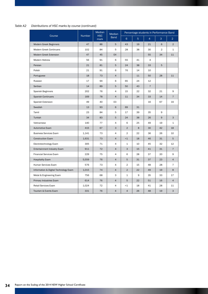### *Table A2 Distributions of HSC marks by course (continued)*

|                                       |        | Median             | Median         |                 |    |                | Percentage students in Performance Band |                |
|---------------------------------------|--------|--------------------|----------------|-----------------|----|----------------|-----------------------------------------|----------------|
| Course                                | Number | <b>HSC</b><br>mark | <b>Band</b>    | $6\overline{6}$ | 5  | $\overline{4}$ | 3                                       | $\overline{2}$ |
| Modern Greek Beginners                | 47     | 86                 | 5              | 43              | 19 | 21             | 6                                       | $\overline{2}$ |
| Modern Greek Continuers               | 102    | 84                 | 5              | 28              | 38 | 30             | $\overline{2}$                          | $\mathbf{1}$   |
| Modern Greek Extension                | 47     | 45                 | E <sub>4</sub> |                 |    | 55             | 34                                      | 11             |
| Modern Hebrew                         | 56     | 91                 | 6              | 55              | 41 | 4              |                                         |                |
| Persian                               | 21     | 81                 | 5              | 24              | 38 | 33             | 5                                       |                |
| Polish                                | 21     | 91                 | 6              | 76              | 14 | 10             |                                         |                |
| Portuguese                            | 18     | 73                 | $\overline{4}$ |                 | 11 | 50             | 28                                      | 11             |
| Russian                               | 17     | 94                 | 6              | 65              | 24 | 12             |                                         |                |
| Serbian                               | 14     | 89                 | 5              | 50              | 43 | $\overline{7}$ |                                         |                |
| Spanish Beginners                     | 202    | 76                 | 4              | 15              | 22 | 32             | 21                                      | 9              |
| <b>Spanish Continuers</b>             | 169    | 78                 | $\overline{4}$ | 11              | 34 | 33             | 14                                      | $\overline{7}$ |
| Spanish Extension                     | 49     | 40                 | E <sub>3</sub> |                 |    | 16             | 67                                      | 16             |
| Swedish                               | 13     | 93                 | 6              | 69              | 31 |                |                                         |                |
| Tamil                                 | 23     | 84                 | 5              | 17              | 39 | 35             | 9                                       |                |
| Turkish                               | 34     | 83                 | 5              | 24              | 38 | 26             | 9                                       | 3              |
| Vietnamese                            | 140    | 77                 | 4              | 6               | 25 | 49             | 19                                      | $\mathbf{1}$   |
| Automotive Exam                       | 415    | 67                 | 3              | $\overline{2}$  | 8  | 30             | 42                                      | 18             |
| <b>Business Services Exam</b>         | 1,141  | 73                 | 4              | $\overline{2}$  | 22 | 36             | 26                                      | 10             |
| <b>Construction Exam</b>              | 1,631  | 73                 | $\overline{4}$ | $\leq 1$        | 18 | 46             | 31                                      | 5              |
| Electrotechnology Exam                | 305    | 71                 | 4              | $\mathbf{1}$    | 10 | 45             | 32                                      | 12             |
| Entertainment Industry Exam           | 911    | 72                 | $\overline{4}$ | 3               | 15 | 41             | 31                                      | $\overline{7}$ |
| <b>Financial Services Exam</b>        | 229    | 75                 | 4              | 6               | 28 | 37             | 20                                      | 9              |
| <b>Hospitality Exam</b>               | 5,559  | 76                 | $\overline{4}$ | 5               | 31 | 37             | 23                                      | $\overline{4}$ |
| Human Services Exam                   | 576    | 73                 | 4              | 2               | 15 | 48             | 28                                      | $\overline{7}$ |
| Information & Digital Technology Exam | 1,015  | 74                 | $\overline{4}$ | $\overline{2}$  | 22 | 49             | 19                                      | 8              |
| Metal & Engineering Exam              | 756    | 68                 | 3              | $\mathbf{1}$    | 9  | 35             | 33                                      | 17             |
| Primary Industries Exam               | 614    | 76                 | 4              | 5               | 22 | 51             | 16                                      | $\overline{4}$ |
| <b>Retail Services Exam</b>           | 1,024  | 72                 | 4              | ~1              | 18 | 41             | 28                                      | 11             |
| Tourism & Events Exam                 | 331    | 76                 | 4              | $\overline{4}$  | 26 | 48             | 19                                      | 3              |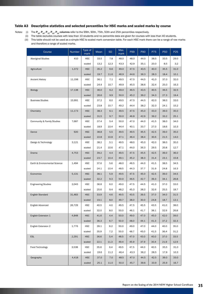### Table A3 Descriptive statistics and selected percentiles for HSC marks and scaled marks by course

Notes: (i) The  $P_{99}$ ,  $P_{90}$ ,  $P_{75}$ ,  $P_{50}$ ,  $P_{25}$  columns refer to the 99th, 90th, 75th, 50th and 25th percentiles respectively.

(ii) The table excludes courses with less than 10 students and no percentile data are given for courses with less than 40 students.

(iii) This table should not be used as a simple HSC to scaled mark conversion table. For each HSC mark there can be a range of raw marks and therefore a range of scaled marks.

| Course                        | Number | Type of<br>mark | Mean | <b>SD</b> | Max.<br>mark | <b>P99</b> | <b>P90</b> | <b>P75</b> | <b>P50</b> | P <sub>25</sub> |
|-------------------------------|--------|-----------------|------|-----------|--------------|------------|------------|------------|------------|-----------------|
| <b>Aboriginal Studies</b>     | 410    | <b>HSC</b>      | 33.5 | 7.8       | 48.0         | 48.0       | 44.0       | 38.5       | 33.5       | 29.0            |
|                               |        | scaled          | 13.2 | 12.3      | 43.3         | 42.9       | 35.1       | 20.0       | 8.5        | 3.2             |
| Agriculture                   | 1,372  | <b>HSC</b>      | 35.2 | 6.6       | 49.0         | 47.5       | 43.5       | 40.0       | 35.5       | 31.0            |
|                               |        | scaled          | 19.7 | 11.6      | 46.9         | 44.6       | 36.3       | 28.3       | 18.4       | 10.1            |
| <b>Ancient History</b>        | 11,198 | <b>HSC</b>      | 36.1 | 7.1       | 49.5         | 47.5       | 44.5       | 41.0       | 37.0       | 32.0            |
|                               |        | scaled          | 24.4 | 10.7      | 49.9         | 45.5       | 38.6       | 32.4       | 25.0       | 16.3            |
| <b>Biology</b>                | 17,138 | <b>HSC</b>      | 36.0 | 6.2       | 49.0         | 46.5       | 43.5       | 40.5       | 36.5       | 32.5            |
|                               |        | scaled          | 26.6 | 9.9       | 50.0         | 45.2       | 39.2       | 34.3       | 27.3       | 19.4            |
| <b>Business Studies</b>       | 15,991 | <b>HSC</b>      | 37.2 | 6.0       | 49.5         | 47.5       | 44.5       | 42.0       | 38.0       | 33.0            |
|                               |        | scaled          | 23.8 | 10.7      | 49.2         | 44.4       | 38.2       | 32.3       | 24.1       | 15.2            |
| Chemistry                     | 11,173 | <b>HSC</b>      | 38.3 | 6.1       | 49.5         | 47.5       | 45.0       | 43.0       | 39.0       | 35.0            |
|                               |        | scaled          | 31.5 | 9.7       | 50.0         | 46.8       | 42.9       | 39.2       | 33.2       | 25.1            |
| Community & Family Studies    | 7,687  | <b>HSC</b>      | 37.4 | 5.4       | 50.0         | 47.0       | 44.0       | 41.5       | 38.0       | 34.0            |
|                               |        | scaled          | 18.9 | 10.4      | 44.4         | 40.1       | 33.7       | 27.0       | 18.6       | 10.3            |
| Dance                         | 920    | <b>HSC</b>      | 38.8 | 5.5       | 49.5         | 49.5       | 45.5       | 42.5       | 39.0       | 35.0            |
|                               |        | scaled          | 22.8 | 10.8      | 47.1         | 46.4       | 38.4       | 30.6       | 21.5       | 14.0            |
| Design & Technology           | 3,121  | <b>HSC</b>      | 38.2 | 5.1       | 49.5         | 48.0       | 45.0       | 42.0       | 38.0       | 35.0            |
|                               |        | scaled          | 21.4 | 10.6      | 47.1         | 44.0       | 36.3       | 29.5       | 20.8       | 12.7            |
| Drama                         | 4,753  | <b>HSC</b>      | 39.2 | 4.4       | 49.5         | 47.5       | 45.5       | 42.5       | 39.0       | 36.0            |
|                               |        | scaled          | 23.7 | 10.4      | 49.1         | 45.2       | 38.3       | 31.4       | 23.1       | 15.8            |
| Earth & Environmental Science | 1,494  | <b>HSC</b>      | 37.6 | 5.6       | 48.0         | 46.5       | 44.0       | 41.5       | 38.5       | 34.5            |
|                               |        | scaled          | 24.1 | 10.4      | 48.5         | 44.3       | 37.7       | 31.9       | 24.8       | 16.3            |
| Economics                     | 5,131  | <b>HSC</b>      | 38.1 | 5.9       | 49.5         | 47.5       | 45.0       | 42.5       | 39.0       | 34.5            |
|                               |        | scaled          | 32.2 | 9.3       | 50.0         | 46.5       | 42.7       | 39.3       | 34.1       | 26.8            |
| <b>Engineering Studies</b>    | 2,043  | <b>HSC</b>      | 36.8 | 6.0       | 49.0         | 47.5       | 44.5       | 41.0       | 37.0       | 33.0            |
|                               |        | scaled          | 25.6 | 9.4       | 48.2         | 45.3       | 38.3       | 32.6       | 25.5       | 18.7            |
| <b>English Standard</b>       | 31,483 | <b>HSC</b>      | 33.9 | 4.6       | 49.5         | 43.5       | 39.5       | 37.0       | 34.0       | 31.5            |
|                               |        | scaled          | 19.1 | 8.0       | 49.7         | 38.0       | 30.0       | 24.8       | 18.7       | 13.1            |
| English Advanced              | 26,729 | <b>HSC</b>      | 40.5 | 4.0       | 49.5         | 47.5       | 45.5       | 43.5       | 41.0       | 38.0            |
|                               |        | scaled          | 32.0 | 8.0       | 50.0         | 46.1       | 41.7       | 38.1       | 32.9       | 26.8            |
| English Extension 1           | 4,848  | <b>HSC</b>      | 41.6 | 4.4       | 50.0         | 49.0       | 47.0       | 45.0       | 42.0       | 39.0            |
|                               |        | scaled          | 36.3 | 6.7       | 50.0         | 48.0       | 44.1       | 41.3       | 37.2       | 32.3            |
| English Extension 2           | 1,776  | <b>HSC</b>      | 39.1 | 6.2       | 50.0         | 49.0       | 47.0       | 44.0       | 40.0       | 35.0            |
|                               |        | scaled          | 35.9 | 7.2       | 50.0         | 48.7       | 45.0       | 41.5       | 36.4       | 31.2            |
| <b>ESL</b>                    | 2,291  | <b>HSC</b>      | 36.6 | 5.4       | 48.5         | 47.0       | 43.0       | 40.0       | 37.0       | 33.5            |
|                               |        | scaled          | 22.1 | 11.3      | 49.4         | 45.9       | 37.9       | 30.4       | 21.9       | 12.9            |
| Food Technology               | 3,538  | <b>HSC</b>      | 35.6 | 6.4       | 49.5         | 47.5       | 44.0       | 40.5       | 35.5       | 31.0            |
|                               |        | scaled          | 19.6 | 11.2      | 46.4         | 43.3       | 36.2       | 28.5       | 17.9       | 10.3            |
| Geography                     | 4,418  | <b>HSC</b>      | 37.0 | 7.0       | 48.5         | 47.0       | 44.5       | 42.5       | 39.0       | 33.0            |
|                               |        | scaled          | 25.1 | 11.0      | 50.0         | 45.7       | 39.6       | 33.9       | 25.9       | 16.7            |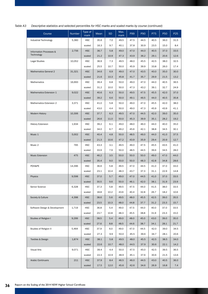| Table A3 |  |  | Descriptive statistics and selected percentiles for HSC marks and scaled marks by course (continued) |
|----------|--|--|------------------------------------------------------------------------------------------------------|
|----------|--|--|------------------------------------------------------------------------------------------------------|

| Course                             | <b>Number</b> | Type of<br>mark | Mean | <b>SD</b> | Max.<br>mark | <b>P99</b> | <b>P90</b> | P75  | <b>P50</b> | P <sub>25</sub> |
|------------------------------------|---------------|-----------------|------|-----------|--------------|------------|------------|------|------------|-----------------|
| Industrial Technology              | 5,360         | <b>HSC</b>      | 35.6 | 7.0       | 49.5         | 47.5       | 44.5       | 40.5 | 36.0       | 31.5            |
|                                    |               | scaled          | 16.3 | 9.7       | 40.1         | 37.8       | 30.9       | 23.5 | 15.0       | 8.4             |
| <b>Information Processes &amp;</b> | 2,756         | <b>HSC</b>      | 36.7 | 5.8       | 49.0         | 47.0       | 44.0       | 40.5 | 37.0       | 33.5            |
| Technology                         |               | scaled          | 21.2 | 10.9      | 47.3         | 43.9       | 36.2       | 29.1 | 20.6       | 12.6            |
| <b>Legal Studies</b>               | 10,052        | <b>HSC</b>      | 36.9 | 7.3       | 49.5         | 48.0       | 45.5       | 42.5 | 38.0       | 32.5            |
|                                    |               | scaled          | 25.5 | 10.7      | 50.0         | 45.9       | 39.9       | 33.8 | 26.0       | 17.4            |
| <b>Mathematics General 2</b>       | 31,321        | <b>HSC</b>      | 34.6 | 6.9       | 49.0         | 47.0       | 43.5       | 40.0 | 35.0       | 30.0            |
|                                    |               | scaled          | 21.6 | 10.3      | 45.8         | 41.7       | 35.7       | 29.9 | 21.5       | 13.2            |
| Mathematics                        | 16,693        | <b>HSC</b>      | 39.4 | 6.8       | 50.0         | 49.0       | 47.0       | 44.0 | 40.5       | 36.5            |
|                                    |               | scaled          | 31.2 | 10.0      | 50.0         | 47.3       | 43.2       | 39.1 | 32.7       | 24.9            |
| Mathematics Extension 1            | 9,022         | <b>HSC</b>      | 40.6 | 6.3       | 50.0         | 49.5       | 47.5       | 45.5 | 42.0       | 37.0            |
|                                    |               | scaled          | 39.2 | 6.6       | 50.0         | 49.1       | 46.5       | 44.0 | 40.5       | 35.8            |
| Mathematics Extension 2            | 3,371         | <b>HSC</b>      | 41.0 | 5.8       | 50.0         | 49.0       | 47.0       | 45.5 | 42.0       | 38.0            |
|                                    |               | scaled          | 43.0 | 4.4       | 50.0         | 49.0       | 47.3       | 45.9 | 43.9       | 41.1            |
| <b>Modern History</b>              | 10,306        | <b>HSC</b>      | 37.7 | 6.3       | 49.5         | 47.0       | 44.5       | 42.0 | 39.0       | 35.0            |
|                                    |               | scaled          | 26.6 | 11.0      | 50.0         | 45.3       | 39.9       | 35.1 | 28.2       | 19.2            |
| <b>History Extension</b>           | 1,934         | <b>HSC</b>      | 39.2 | 6.1       | 49.0         | 48.0       | 46.0       | 44.0 | 40.0       | 35.0            |
|                                    |               | scaled          | 34.0 | 6.7       | 49.2         | 45.6       | 42.1       | 38.8 | 34.5       | 30.1            |
| Music 1                            | 5,002         | <b>HSC</b>      | 40.4 | 4.8       | 50.0         | 48.5       | 46.0       | 44.0 | 41.0       | 37.5            |
|                                    |               | scaled          | 21.3 | 10.6      | 47.2         | 43.9       | 35.9       | 29.4 | 20.9       | 12.7            |
| Music 2                            | 765           | <b>HSC</b>      | 43.3 | 3.1       | 49.5         | 49.0       | 47.5       | 45.5 | 43.5       | 41.0            |
|                                    |               | scaled          | 33.9 | 7.9       | 50.0         | 48.5       | 44.5       | 39.6 | 34.5       | 28.0            |
| <b>Music Extension</b>             | 475           | <b>HSC</b>      | 46.2 | 3.5       | 50.0         | 50.0       | 50.0       | 49.0 | 47.0       | 44.0            |
|                                    |               | scaled          | 35.4 | 9.0       | 50.0         | 50.0       | 48.3       | 42.8 | 34.8       | 28.6            |
| PDH&PE                             | 14,396        | <b>HSC</b>      | 36.6 | 5.8       | 49.5         | 47.0       | 44.5       | 41.0 | 37.0       | 33.0            |
|                                    |               | scaled          | 23.1 | 10.4      | 48.3         | 43.7       | 37.3       | 31.1 | 22.9       | 14.8            |
| Physics                            | 9,598         | <b>HSC</b>      | 37.0 | 5.7       | 49.0         | 47.0       | 44.5       | 41.0 | 37.0       | 33.5            |
|                                    |               | scaled          | 30.5 | 9.6       | 50.0         | 46.1       | 42.0       | 38.1 | 31.9       | 23.9            |
| Senior Science                     | 6,328         | <b>HSC</b>      | 37.3 | 5.8       | 49.5         | 47.5       | 44.0       | 41.5 | 38.0       | 33.5            |
|                                    |               | scaled          | 18.8 | 10.2      | 43.6         | 40.4       | 32.8       | 26.7 | 18.2       | 10.6            |
| Society & Culture                  | 4,398         | <b>HSC</b>      | 38.6 | 5.6       | 49.5         | 48.0       | 45.5       | 42.5 | 39.0       | 35.5            |
|                                    |               | scaled          | 23.5 | 10.3      | 48.0         | 44.8       | 37.7       | 31.2 | 23.3       | 15.7            |
| Software Design & Development      | 1,719         | <b>HSC</b>      | 36.8 | 5.4       | 49.0         | 47.5       | 44.0       | 40.0 | 37.0       | 33.5            |
|                                    |               | scaled          | 23.7 | 10.8      | 48.3         | 45.5       | 38.8       | 31.9 | 23.3       | 15.0            |
| Studies of Religion I              | 9,299         | <b>HSC</b>      | 38.5 | 5.4       | 49.0         | 48.0       | 45.0       | 43.0 | 39.0       | 35.0            |
|                                    |               | scaled          | 27.6 | 8.8       | 48.5         | 44.6       | 38.7       | 34.1 | 28.1       | 21.7            |
| Studies of Religion II             | 5,464         | HSC             | 37.9 | 6.0       | 49.0         | 47.0       | 44.5       | 42.0 | 39.0       | 34.5            |
|                                    |               | scaled          | 27.3 | 9.9       | 50.0         | 45.5       | 39.6       | 34.7 | 28.1       | 20.6            |
| Textiles & Design                  | 1,874         | <b>HSC</b>      | 38.1 | 5.8       | 49.5         | 48.0       | 45.5       | 42.5 | 38.5       | 34.0            |
|                                    |               | scaled          | 22.6 | 10.7      | 48.0         | 44.5       | 37.9       | 30.6 | 22.1       | 14.2            |
| <b>Visual Arts</b>                 | 9,071         | <b>HSC</b>      | 39.4 | 4.4       | 50.0         | 47.5       | 45.0       | 42.5 | 39.5       | 36.5            |
|                                    |               | scaled          | 22.3 | 10.9      | 48.9         | 45.1       | 37.6       | 30.6 | 21.5       | 13.6            |
| <b>Arabic Continuers</b>           | 211           | <b>HSC</b>      | 37.9 | 8.4       | 46.5         | 46.0       | 44.5       | 43.0 | 40.5       | 36.0            |
|                                    |               | scaled          | 17.5 | 12.0      | 45.6         | 42.6       | 34.6       | 26.9 | 16.8       | 7.4             |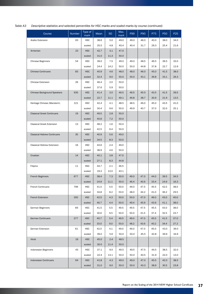### *Table A3 Descriptive statistics and selected percentiles for HSC marks and scaled marks by course (continued)*

| Course                             | Number | Type of<br>mark | Mean | <b>SD</b> | Max.<br>mark | <b>P99</b> | <b>P90</b> | P75  | <b>P50</b> | P <sub>25</sub> |
|------------------------------------|--------|-----------------|------|-----------|--------------|------------|------------|------|------------|-----------------|
| Arabic Extension                   | 63     | <b>HSC</b>      | 38.6 | 5.0       | 49.0         | 49.0       | 46.0       | 43.0 | 38.0       | 34.0            |
|                                    |        | scaled          | 25.5 | 4.8       | 40.4         | 40.4       | 31.7       | 29.3 | 25.4       | 21.6            |
| Armenian                           | 23     | <b>HSC</b>      | 42.7 | 3.1       | 47.0         |            |            |      |            |                 |
|                                    |        | scaled          | 31.0 | 11.3      | 50.0         |            |            |      |            |                 |
| <b>Chinese Beginners</b>           | 54     | <b>HSC</b>      | 39.0 | 7.5       | 49.0         | 49.0       | 48.5       | 46.5 | 39.5       | 33.0            |
|                                    |        | scaled          | 24.4 | 14.2      | 50.0         | 50.0       | 44.8       | 37.8 | 22.7       | 12.9            |
| <b>Chinese Continuers</b>          | 83     | <b>HSC</b>      | 40.9 | 4.6       | 48.0         | 48.0       | 46.0       | 45.0 | 41.5       | 38.0            |
|                                    |        | scaled          | 32.4 | 9.0       | 50.0         | 50.0       | 43.1       | 39.8 | 33.1       | 26.3            |
| <b>Chinese Extension</b>           | 26     | <b>HSC</b>      | 46.4 | 2.0       | 50.0         |            |            |      |            |                 |
|                                    |        | scaled          | 37.6 | 5.9       | 50.0         |            |            |      |            |                 |
| <b>Chinese Background Speakers</b> | 635    | <b>HSC</b>      | 41.4 | 3.0       | 46.5         | 46.5       | 45.0       | 43.5 | 41.5       | 39.5            |
|                                    |        | scaled          | 22.7 | 11.1      | 49.1         | 46.8       | 38.7       | 30.9 | 21.9       | 13.5            |
| Heritage Chinese (Mandarin)        | 121    | <b>HSC</b>      | 42.4 | 4.1       | 48.5         | 48.5       | 46.0       | 45.0 | 43.5       | 41.0            |
|                                    |        | scaled          | 30.4 | 9.6       | 50.0         | 49.9       | 40.7       | 37.0 | 32.0       | 25.1            |
| <b>Classical Greek Continuers</b>  | 19     | <b>HSC</b>      | 46.5 | 2.8       | 50.0         |            |            |      |            |                 |
|                                    |        | scaled          | 40.6 | 7.2       | 50.0         |            |            |      |            |                 |
| <b>Classical Greek Extension</b>   | 13     | <b>HSC</b>      | 48.2 | 1.6       | 50.0         |            |            |      |            |                 |
|                                    |        | scaled          | 42.5 | 6.4       | 50.0         |            |            |      |            |                 |
| <b>Classical Hebrew Continuers</b> | 35     | <b>HSC</b>      | 40.9 | 5.6       | 49.0         |            |            |      |            |                 |
|                                    |        | scaled          | 34.5 | 8.3       | 50.0         |            |            |      |            |                 |
| <b>Classical Hebrew Extension</b>  | 16     | <b>HSC</b>      | 44.6 | 2.4       | 49.0         |            |            |      |            |                 |
|                                    |        | scaled          | 38.9 | 4.6       | 50.0         |            |            |      |            |                 |
| Croatian                           | 14     | <b>HSC</b>      | 40.1 | 3.8       | 47.0         |            |            |      |            |                 |
|                                    |        | scaled          | 27.1 | 8.3       | 44.8         |            |            |      |            |                 |
| Filipino                           | 11     | <b>HSC</b>      | 44.7 | 2.1       | 46.5         |            |            |      |            |                 |
|                                    |        | scaled          | 19.3 | 13.0      | 43.1         |            |            |      |            |                 |
| <b>French Beginners</b>            | 677    | <b>HSC</b>      | 38.4 | 7.3       | 50.0         | 49.0       | 47.0       | 44.0 | 39.5       | 34.5            |
|                                    |        | scaled          | 24.9 | 11.1      | 50.0         | 46.4       | 40.6       | 33.4 | 24.9       | 16.3            |
| <b>French Continuers</b>           | 799    | <b>HSC</b>      | 41.5 | 5.5       | 50.0         | 49.0       | 47.5       | 45.5 | 42.5       | 38.0            |
|                                    |        | scaled          | 34.8 | 8.2       | 50.0         | 48.0       | 44.2       | 41.0 | 36.2       | 29.5            |
| French Extension                   | 200    | <b>HSC</b>      | 42.5 | 4.3       | 50.0         | 50.0       | 47.0       | 46.0 | 43.0       | 40.0            |
|                                    |        | scaled          | 40.7 | 4.4       | 50.0         | 49.4       | 45.9       | 43.9 | 41.1       | 38.0            |
| German Beginners                   | 69     | <b>HSC</b>      | 41.5 | 5.5       | 49.5         | 49.5       | 47.5       | 45.5 | 43.0       | 38.0            |
|                                    |        | scaled          | 30.6 | 9.5       | 50.0         | 50.0       | 41.5       | 37.4 | 32.5       | 23.7            |
| <b>German Continuers</b>           | 277    | <b>HSC</b>      | 40.7 | 5.4       | 49.5         | 49.0       | 47.0       | 45.5 | 41.5       | 37.0            |
|                                    |        | scaled          | 33.0 | 9.0       | 50.0         | 48.2       | 43.6       | 40.2 | 34.4       | 27.2            |
| German Extension                   | 61     | <b>HSC</b>      | 42.0 | 4.1       | 49.0         | 49.0       | 47.0       | 45.0 | 43.0       | 39.0            |
|                                    |        | scaled          | 39.0 | 5.6       | 50.0         | 50.0       | 45.5       | 42.8 | 39.9       | 34.9            |
| Hindi                              | 19     | <b>HSC</b>      | 45.0 | 2.4       | 48.5         |            |            |      |            |                 |
|                                    |        | scaled          | 30.0 | 11.4      | 50.0         |            |            |      |            |                 |
| Indonesian Beginners               | 43     | <b>HSC</b>      | 37.1 | 9.0       | 49.5         | 49.5       | 47.5       | 44.5 | 38.5       | 32.0            |
|                                    |        | scaled          | 22.4 | 13.1      | 50.0         | 50.0       | 40.5       | 31.9 | 22.0       | 13.0            |
| <b>Indonesian Continuers</b>       | 64     | <b>HSC</b>      | 41.8 | 4.3       | 49.0         | 49.0       | 47.0       | 45.5 | 42.0       | 38.5            |
|                                    |        | scaled          | 31.0 | 9.0       | 50.0         | 50.0       | 43.3       | 38.9 | 30.5       | 23.8            |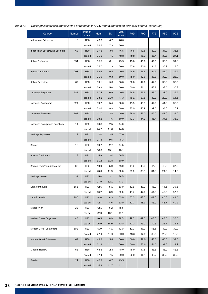### *Table A3 Descriptive statistics and selected percentiles for HSC marks and scaled marks by course (continued)*

| Course                         | <b>Number</b> | Type of<br>mark | Mean | <b>SD</b> | Max.<br>mark | P99  | P90  | P75  | <b>P50</b> | P <sub>25</sub> |
|--------------------------------|---------------|-----------------|------|-----------|--------------|------|------|------|------------|-----------------|
| Indonesian Extension           | 13            | <b>HSC</b>      | 43.3 | 4.7       | 48.0         |      |      |      |            |                 |
|                                |               | scaled          | 36.5 | 7.3       | 50.0         |      |      |      |            |                 |
| Indonesian Background Speakers | 68            | <b>HSC</b>      | 37.3 | 3.0       | 46.5         | 46.5 | 41.5 | 39.0 | 37.0       | 35.5            |
|                                |               | scaled          | 31.2 | 7.1       | 48.8         | 48.8 | 41.3 | 35.4 | 30.6       | 27.1            |
| Italian Beginners              | 351           | <b>HSC</b>      | 35.5 | 8.1       | 49.5         | 49.0 | 45.0 | 41.5 | 36.5       | 31.0            |
|                                |               | scaled          | 25.7 | 11.3      | 50.0         | 47.8 | 40.6 | 34.6 | 25.9       | 17.0            |
| Italian Continuers             | 298           | <b>HSC</b>      | 39.6 | 6.4       | 49.5         | 48.5 | 46.5 | 44.5 | 41.0       | 36.5            |
|                                |               | scaled          | 31.5 | 9.3       | 50.0         | 48.0 | 42.6 | 38.6 | 32.3       | 26.3            |
| Italian Extension              | 67            | <b>HSC</b>      | 39.1 | 5.6       | 50.0         | 50.0 | 47.0 | 44.0 | 39.0       | 35.0            |
|                                |               | scaled          | 38.9 | 5.0       | 50.0         | 50.0 | 46.1 | 42.7 | 38.5       | 35.8            |
| Japanese Beginners             | 687           | <b>HSC</b>      | 37.4 | 6.9       | 49.5         | 48.5 | 45.5 | 43.0 | 38.0       | 32.5            |
|                                |               | scaled          | 23.2 | 11.0      | 47.3         | 45.1 | 37.8 | 32.1 | 23.3       | 14.5            |
| Japanese Continuers            | 624           | <b>HSC</b>      | 39.7 | 5.4       | 50.0         | 48.5 | 45.5 | 44.0 | 41.0       | 35.5            |
|                                |               | scaled          | 32.6 | 8.9       | 50.0         | 47.0 | 42.9 | 39.6 | 34.0       | 26.1            |
| Japanese Extension             | 191           | <b>HSC</b>      | 41.7 | 3.8       | 49.0         | 49.0 | 47.0 | 45.0 | 41.0       | 39.0            |
|                                |               | scaled          | 38.2 | 4.6       | 50.0         | 49.3 | 44.3 | 41.4 | 37.6       | 35.3            |
| Japanese Background Speakers   | 11            | <b>HSC</b>      | 40.8 | 2.5       | 44.0         |      |      |      |            |                 |
|                                |               | scaled          | 24.7 | 11.8      | 44.8         |      |      |      |            |                 |
| Heritage Japanese              | 18            | <b>HSC</b>      | 42.0 | 3.5       | 47.0         |      |      |      |            |                 |
|                                |               | scaled          | 27.4 | 9.5       | 46.3         |      |      |      |            |                 |
| Khmer                          | 18            | <b>HSC</b>      | 40.7 | 2.7       | 44.5         |      |      |      |            |                 |
|                                |               | scaled          | 18.6 | 13.1      | 46.1         |      |      |      |            |                 |
| Korean Continuers              | 13            | <b>HSC</b>      | 45.8 | 3.4       | 49.5         |      |      |      |            |                 |
|                                |               | scaled          | 31.2 | 11.8      | 50.0         |      |      |      |            |                 |
| Korean Background Speakers     | 63            | <b>HSC</b>      | 40.0 | 5.0       | 48.0         | 48.0 | 46.0 | 44.0 | 40.5       | 37.0            |
|                                |               | scaled          | 23.0 | 11.9      | 50.0         | 50.0 | 38.8 | 31.8 | 21.0       | 14.6            |
| Heritage Korean                | 39            | <b>HSC</b>      | 45.0 | 3.1       | 48.5         |      |      |      |            |                 |
|                                |               | scaled          | 24.9 | 12.1      | 47.3         |      |      |      |            |                 |
| Latin Continuers               | 161           | <b>HSC</b>      | 42.6 | 5.1       | 50.0         | 49.5 | 48.0 | 46.0 | 44.5       | 39.5            |
|                                |               | scaled          | 40.2 | 6.9       | 50.0         | 49.7 | 47.4 | 44.5 | 42.5       | 37.0            |
| Latin Extension                | 105           | <b>HSC</b>      | 44.0 | 4.3       | 50.0         | 50.0 | 48.0 | 47.0 | 45.0       | 42.0            |
|                                |               | scaled          | 42.7 | 4.6       | 50.0         | 49.7 | 48.1 | 46.0 | 43.7       | 40.2            |
| Macedonian                     | 22            | <b>HSC</b>      | 42.1 | 5.2       | 48.5         |      |      |      |            |                 |
|                                |               | scaled          | 22.0 | 13.1      | 49.1         |      |      |      |            |                 |
| Modern Greek Beginners         | 47            | <b>HSC</b>      | 40.5 | 8.9       | 49.5         | 49.5 | 49.0 | 48.0 | 43.0       | 35.5            |
|                                |               | scaled          | 25.9 | 14.9      | 50.0         | 50.0 | 45.0 | 39.6 | 25.7       | 12.6            |
| Modern Greek Continuers        | 102           | <b>HSC</b>      | 41.9 | 4.1       | 49.0         | 49.0 | 47.0 | 45.5 | 42.0       | 39.0            |
|                                |               | scaled          | 27.4 | 11.0      | 50.0         | 48.3 | 42.9 | 35.8 | 26.8       | 18.6            |
| Modern Greek Extension         | 47            | <b>HSC</b>      | 43.3 | 5.8       | 50.0         | 50.0 | 49.0 | 48.0 | 45.0       | 39.0            |
|                                |               | scaled          | 31.3 | 11.1      | 50.0         | 50.0 | 45.6 | 41.0 | 31.6       | 21.9            |
| Modern Hebrew                  | 56            | <b>HSC</b>      | 44.8 | 2.3       | 48.0         | 48.0 | 47.5 | 46.5 | 45.0       | 43.5            |
|                                |               | scaled          | 37.4 | 7.5       | 50.0         | 50.0 | 46.4 | 43.2 | 38.0       | 32.2            |
| Persian                        | 21            | <b>HSC</b>      | 40.9 | 4.7       | 49.5         |      |      |      |            |                 |
|                                |               | scaled          | 14.3 | 11.7      | 41.2         |      |      |      |            |                 |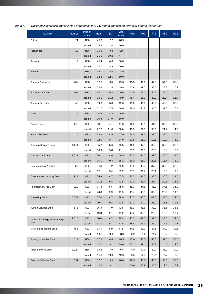### *Table A3 Descriptive statistics and selected percentiles for HSC marks and scaled marks by course (continued)*

| Course                           | <b>Number</b> | Type of<br>mark | <b>Mean</b> | <b>SD</b> | Max.<br>mark | P99  | <b>P90</b> | <b>P75</b> | <b>P50</b> | P <sub>25</sub> |
|----------------------------------|---------------|-----------------|-------------|-----------|--------------|------|------------|------------|------------|-----------------|
| Polish                           | 21            | <b>HSC</b>      | 45.0        | 2.7       | 48.5         |      |            |            |            |                 |
|                                  |               | scaled          | 28.3        | 11.0      | 50.0         |      |            |            |            |                 |
| Portuguese                       | 18            | <b>HSC</b>      | 35.5        | 3.8       | 42.5         |      |            |            |            |                 |
|                                  |               | scaled          | 26.6        | 10.2      | 47.7         |      |            |            |            |                 |
| Russian                          | 17            | <b>HSC</b>      | 45.4        | 4.0       | 50.0         |      |            |            |            |                 |
|                                  |               | scaled          | 26.0        | 14.8      | 50.0         |      |            |            |            |                 |
| Serbian                          | 14            | <b>HSC</b>      | 44.1        | 2.8       | 48.5         |      |            |            |            |                 |
|                                  |               | scaled          | 24.8        | 12.5      | 50.0         |      |            |            |            |                 |
| Spanish Beginners                | 202           | <b>HSC</b>      | 37.5        | 6.4       | 49.0         | 48.5 | 46.0       | 42.5       | 37.5       | 33.0            |
|                                  |               | scaled          | 24.2        | 11.5      | 49.9         | 47.8 | 39.7       | 33.6       | 23.8       | 15.2            |
| <b>Spanish Continuers</b>        | 169           | <b>HSC</b>      | 38.7        | 5.3       | 49.5         | 47.5 | 45.0       | 42.5       | 39.0       | 35.5            |
|                                  |               | scaled          | 24.1        | 11.2      | 49.9         | 45.4 | 38.3       | 33.0       | 23.4       | 15.4            |
| Spanish Extension                | 49            | <b>HSC</b>      | 39.3        | 5.3       | 49.0         | 49.0 | 46.0       | 43.0       | 40.0       | 35.0            |
|                                  |               | scaled          | 31.7        | 7.5       | 48.0         | 48.0 | 41.8       | 36.5       | 32.0       | 26.3            |
| Turkish                          | 34            | <b>HSC</b>      | 40.4        | 4.8       | 46.5         |      |            |            |            |                 |
|                                  |               | scaled          | 19.3        | 14.0      | 50.0         |      |            |            |            |                 |
| Vietnamese                       | 140           | <b>HSC</b>      | 38.1        | 4.1       | 47.0         | 46.5 | 43.5       | 41.0       | 38.0       | 36.0            |
|                                  |               | scaled          | 22.2        | 11.6      | 50.0         | 48.3 | 37.9       | 30.6       | 21.2       | 14.0            |
| Automotive Exam                  | 415           | <b>HSC</b>      | 33.9        | 4.5       | 47.0         | 46.0 | 39.5       | 37.0       | 33.5       | 30.5            |
|                                  |               | scaled          | 12.5        | 8.7       | 34.0         | 33.8 | 25.1       | 18.5       | 10.2       | 5.0             |
| <b>Business Services Exam</b>    | 1,141         | <b>HSC</b>      | 35.7        | 5.6       | 48.5         | 46.0 | 42.5       | 39.5       | 36.5       | 32.5            |
|                                  |               | scaled          | 16.9        | 9.8       | 41.1         | 38.5 | 31.0       | 23.8       | 16.3       | 8.9             |
| <b>Construction Exam</b>         | 1,631         | <b>HSC</b>      | 36.1        | 4.0       | 46.5         | 43.5 | 41.0       | 39.0       | 36.5       | 33.5            |
|                                  |               | scaled          | 15.1        | 9.3       | 38.1         | 35.9 | 28.7       | 22.1       | 13.7       | 6.9             |
| Electrotechnology Exam           | 305           | <b>HSC</b>      | 34.8        | 4.2       | 45.0         | 44.0 | 40.0       | 37.5       | 35.5       | 32.0            |
|                                  |               | scaled          | 17.1        | 9.4       | 39.9         | 38.7 | 31.4       | 23.1       | 16.5       | 9.3             |
| Entertainment Industry Exam      | 911           | <b>HSC</b>      | 35.8        | 4.7       | 47.5         | 46.5 | 41.5       | 38.5       | 36.0       | 33.0            |
|                                  |               | scaled          | 21.2        | 9.1       | 43.5         | 42.0 | 33.4       | 27.4       | 20.5       | 14.5            |
| Financial Services Exam          | 229           | <b>HSC</b>      | 37.3        | 5.5       | 48.0         | 48.0 | 44.5       | 41.0       | 37.5       | 34.0            |
|                                  |               | scaled          | 26.8        | 9.9       | 49.3         | 48.4 | 40.9       | 33.8       | 26.7       | 19.6            |
| <b>Hospitality Exam</b>          | 5,559         | <b>HSC</b>      | 37.6        | 4.7       | 49.0         | 46.5 | 43.5       | 41.0       | 38.0       | 34.5            |
|                                  |               | scaled          | 19.4        | 9.8       | 43.6         | 39.9 | 32.9       | 26.9       | 18.8       | 11.8            |
| Human Services Exam              | 576           | <b>HSC</b>      | 36.3        | 4.0       | 49.5         | 45.0 | 41.5       | 39.0       | 36.5       | 33.5            |
|                                  |               | scaled          | 19.3        | 9.7       | 43.2         | 40.2 | 33.5       | 26.8       | 18.2       | 11.1            |
| Information & Digital Technology | 1,015         | <b>HSC</b>      | 36.6        | 4.7       | 48.0         | 45.5 | 42.0       | 39.5       | 37.0       | 34.5            |
| Exam                             |               | scaled          | 17.8        | 9.7       | 41.8         | 38.6 | 31.1       | 25.2       | 17.5       | 10.4            |
| Metal & Engineering Exam         | 756           | <b>HSC</b>      | 33.4        | 5.9       | 47.5         | 44.5 | 40.0       | 37.5       | 34.0       | 30.5            |
|                                  |               | scaled          | 14.6        | 9.4       | 38.0         | 35.9 | 29.0       | 21.7       | 13.2       | 7.2             |
| Primary Industries Exam          | 614           | <b>HSC</b>      | 37.3        | 4.8       | 48.5         | 47.0 | 42.5       | 40.0       | 37.5       | 35.5            |
|                                  |               | scaled          | 16.0        | 9.1       | 38.6         | 37.1 | 29.1       | 22.8       | 14.6       | 9.0             |
| Retail Services Exam             | 1,024         | <b>HSC</b>      | 35.4        | 4.9       | 46.5         | 44.0 | 41.0       | 39.0       | 36.0       | 32.0            |
|                                  |               | scaled          | 16.0        | 10.0      | 40.6         | 38.3 | 30.3       | 23.4       | 14.7       | 7.5             |
| Tourism & Events Exam            | 331           | <b>HSC</b>      | 37.7        | 3.9       | 48.0         | 46.5 | 43.0       | 40.5       | 38.0       | 35.5            |
|                                  |               | scaled          | 19.6        | 9.1       | 42.1         | 40.6 | 32.9       | 26.3       | 19.6       | 13.1            |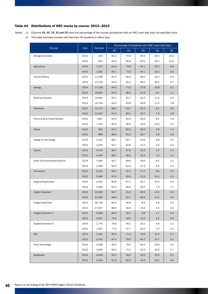### Table A4 Distributions of HSC marks by course: 2013–2014

Notes: (i) Columns *45, 40, 35, 30 and 25* show the percentage of the course candidature with an HSC mark less than the specified mark.

(ii) This table excludes courses with less than 40 students in either year.

|                                       |      |               |      | Percentage of students with HSC mark less than: |      |         |      |
|---------------------------------------|------|---------------|------|-------------------------------------------------|------|---------|------|
| Course                                | Year | <b>Number</b> | 45   | 40                                              | 35   | 30      | 25   |
| <b>Aboriginal Studies</b>             | 2014 | 410           | 91.2 | 79.8                                            | 55.6 | 28.3    | 10.0 |
|                                       | 2013 | 357           | 93.3 | 82.9                                            | 53.5 | 26.3    | 11.8 |
| Agriculture                           | 2014 | 1,372         | 93.4 | 74.8                                            | 44.1 | 19.5    | 4.6  |
|                                       | 2013 | 1,382         | 90.7 | 73.0                                            | 44.1 | 19.3    | 3.9  |
| <b>Ancient History</b>                | 2014 | 11,198        | 91.3 | 66.9                                            | 38.2 | 16.3    | 6.3  |
|                                       | 2013 | 11,740        | 91.6 | 65.3                                            | 38.2 | 16.2    | 5.7  |
| <b>Biology</b>                        | 2014 | 17,138        | 94.2 | 71.6                                            | 37.8 | 13.8    | 4.3  |
|                                       | 2013 | 16,852        | 93.3 | 66.9                                            | 31.8 | 8.1     | 1.2  |
| <b>Business Studies</b>               | 2014 | 15,991        | 91.1 | 62.7                                            | 32.3 | 11.6    | 2.4  |
|                                       | 2013 | 15,740        | 92.0 | 64.8                                            | 33.8 | 11.4    | 1.8  |
| Chemistry                             | 2014 | 11,173        | 88.3 | 53.7                                            | 24.3 | 8.1     | 2.9  |
|                                       | 2013 | 11,032        | 87.9 | 58.2                                            | 26.2 | 7.8     | 1.8  |
| <b>Community &amp; Family Studies</b> | 2014 | 7,687         | 94.3 | 62.9                                            | 28.9 | 8.5     | 1.8  |
|                                       | 2013 | 7,132         | 93.5 | 65.9                                            | 33.2 | 10.4    | 2.2  |
| Dance                                 | 2014 | 920           | 87.2 | 56.3                                            | 23.0 | 2.9     | 1.4  |
|                                       | 2013 | 898           | 89.0 | 61.6                                            | 28.7 | 5.9     | 0.8  |
| Design & Technology                   | 2014 | 3,121         | 89.1 | 62.7                                            | 24.6 | 4.8     | 0.5  |
|                                       | 2013 | 3,165         | 91.7 | 62.8                                            | 21.5 | 2.9     | 0.3  |
| Drama                                 | 2014 | 4,753         | 86.7 | 57.8                                            | 15.4 | 1.4     | 0.1  |
|                                       | 2013 | 4,409         | 86.1 | 56.3                                            | 15.6 | 1.9     | 0.1  |
| Earth & Environmental Science         | 2014 | 1,494         | 93.7 | 59.8                                            | 26.6 | 8.2     | 2.1  |
|                                       | 2013 | 1,399         | 92.4 | 62.4                                            | 27.3 | 6.9     | 1.4  |
| Economics                             | 2014 | 5,131         | 89.1 | 55.3                                            | 27.0 | 8.6     | 2.0  |
|                                       | 2013 | 5,286         | 87.6 | 56.8                                            | 31.6 | 13.3    | 4.2  |
| <b>Engineering Studies</b>            | 2014 | 2,043         | 90.8 | 67.1                                            | 35.7 | 10.0    | 3.0  |
|                                       | 2013 | 2,049         | 92.1 | 69.6                                            | 32.5 | 7.3     | 1.7  |
| <b>English Standard</b>               | 2014 | 31,483        | 99.7 | 91.8                                            | 56.5 | 14.3    | 2.8  |
|                                       | 2013 | 31,495        | 99.6 | 93.1                                            | 65.8 | 21.0    | 4.5  |
| English Advanced                      | 2014 | 26,729        | 85.3 | 40.6                                            | 8.4  | 0.8     | 0.2  |
|                                       | 2013 | 27,007        | 88.0 | 46.9                                            | 13.9 | $1.5\,$ | 0.2  |
| English Extension 1                   | 2014 | 4,848         | 69.4 | 29.3                                            | 6.8  | 1.1     | 0.3  |
|                                       | 2013 | 5,007         | 75.3 | 34.6                                            | 11.5 | 3.2     | 0.8  |
| English Extension 2                   | 2014 | 1,776         | 76.8 | 49.2                                            | 22.5 | 6.8     | 1.7  |
|                                       | 2013 | 1,907         | 77.3 | 47.7                                            | 22.0 | 7.4     | 2.4  |
| <b>ESL</b>                            | 2014 | 2,291         | 95.5 | 71.4                                            | 33.8 | 10.4    | 2.1  |
|                                       | 2013 | 2,410         | 97.4 | 76.6                                            | 40.2 | 15.7    | 4.1  |
| Food Technology                       | 2014 | 3,538         | 92.5 | 70.9                                            | 44.4 | 19.9    | 3.3  |
|                                       | 2013 | 3,640         | 93.4 | 71.5                                            | 43.5 | 20.9    | 3.7  |
| Geography                             | 2014 | 4,418         | 92.5 | 56.0                                            | 30.6 | 14.9    | 6.1  |
|                                       | 2013 | 4,109         | 91.3 | 60.0                                            | 34.9 | 16.1    | 6.6  |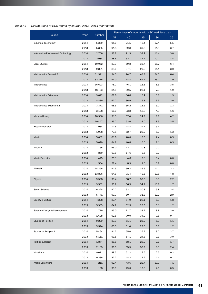### *Table A4 Distributions of HSC marks by course: 2013–2014 (continued)*

|                                    | Year         | <b>Number</b>  |              | Percentage of students with HSC mark less than: |              |            |            |
|------------------------------------|--------------|----------------|--------------|-------------------------------------------------|--------------|------------|------------|
| Course                             |              |                | 45           | 40                                              | 35           | 30         | 25         |
| Industrial Technology              | 2014         | 5,360          | 91.0         | 71.5                                            | 42.4         | 17.4       | 5.5        |
|                                    | 2013         | 5,365          | 91.8         | 69.8                                            | 39.2         | 14.9       | 3.7        |
| Information Processes & Technology | 2014         | 2,756          | 92.7         | 71.3                                            | 32.4         | 11.4       | 3.0        |
|                                    | 2013         | 2,984          | 88.6         | 62.7                                            | 31.4         | 10.7       | 3.4        |
| <b>Legal Studies</b>               | 2014         | 10,052         | 87.3         | 59.8                                            | 33.7         | 15.2       | 6.4        |
|                                    | 2013         | 9,851          | 88.0         | 57.1                                            | 29.5         | 11.1       | 3.0        |
| <b>Mathematics General 2</b>       | 2014         | 31,321         | 94.5         | 74.7                                            | 48.7         | 24.0       | 6.4        |
|                                    | 2013         | 32,376         | 94.0         | 78.8                                            | 57.4         | 23.7       | 7.9        |
| <b>Mathematics</b>                 | 2014         | 16,693         | 78.2         | 46.1                                            | 18.3         | 8.5        | 3.5        |
|                                    | 2013         | 16,463         | 81.5         | 50.5                                            | 23.1         | 7.3        | 1.9        |
| Mathematics Extension 1            | 2014         | 9,022          | 69.6         | 36.8                                            | 15.4         | 5.8        | 1.9        |
|                                    | 2013         | 8,839          | 67.2         | 36.9                                            | 16.3         | 6.5        | 2.0        |
| Mathematics Extension 2            | 2014         | 3,371          | 68.5         | 35.2                                            | 13.5         | 5.0        | 1.3        |
|                                    | 2013         | 3,198          | 66.0         | 33.8                                            | 12.8         | 4.3        | 1.6        |
| <b>Modern History</b>              | 2014         | 10,306         | 91.3         | 57.4                                            | 24.7         | 9.9        | 4.2        |
|                                    | 2013         | 10,447         | 89.2         | 52.6                                            | 23.0         | 8.9        | 3.5        |
| <b>History Extension</b>           | 2014         | 1,934          | 77.6         | 48.8                                            | 22.1         | 5.4        | 1.7        |
|                                    | 2013         | 1,988          | 77.8         | 52.7                                            | 25.9         | 5.0        | 1.3        |
| Music 1                            | 2014         | 5,002          | 81.6         | 40.0                                            | 10.9         | 2.4        | 0.9        |
|                                    | 2013         | 5,010          | 84.9         | 40.8                                            | 10.6         | 2.1        | 0.3        |
| Music 2                            | 2014         | 765            | 66.0         | 12.7                                            | 0.8          | 0.0        |            |
|                                    | 2013         | 850            | 63.6         | 14.6                                            | 0.5          | 0.0        |            |
| <b>Music Extension</b>             | 2014         | 475            | 25.1         | 4.6                                             | 0.8          | 0.4        | 0.0        |
|                                    | 2013         | 504            | 29.4         | 8.9                                             | 1.6          | 0.2        | 0.0        |
| PDH&PE                             | 2014         | 14,396         | 91.5         | 69.3                                            | 36.6         | 11.1       | 2.3        |
|                                    | 2013         | 13,886         | 94.6         | 71.4                                            | 40.6         | 17.1       | 4.8        |
| Physics                            | 2014         | 9,598          | 91.4         | 68.7                                            | 33.3         | 8.8        | 2.2        |
|                                    | 2013         | 9,562          | 90.7         | 66.5                                            | 34.1         | 10.9       | 1.7        |
| Senior Science                     | 2014         | 6,328          | 92.2         | 63.1                                            | 30.3         | 9.8        | 2.4        |
|                                    | 2013         | 5,441          | 90.7         | 60.7                                            | 31.3         | 12.0       | 2.9        |
| Society & Culture                  | 2014         | 4,398          | 87.4         | 54.9                                            | 22.1         | 6.3        | 1.8        |
|                                    | 2013         | 3,939          | 84.7         | 52.3                                            | 20.9         | 5.1        | 1.2        |
| Software Design & Development      | 2014         | 1,719          | 93.0         | 71.7<br>70.0                                    | 33.4<br>34.0 | 8.8<br>7.8 | 2.0<br>0.7 |
| Studies of Religion I              | 2013<br>2014 | 1,608<br>9,299 | 92.8<br>87.9 | 51.1                                            | 23.9         | 5.9        | $1.1\,$    |
|                                    | 2013         | 9,374          | 88.3         | 51.4                                            | 22.5         | 5.9        | 1.2        |
| Studies of Religion II             | 2014         | 5,464          | 91.7         | 55.6                                            | 25.7         | 9.2        | 2.7        |
|                                    | 2013         | 5,111          | 91.5         | 54.1                                            | 24.8         | 9.3        | 3.0        |
| Textiles & Design                  | 2014         | 1,874          | 86.6         | 58.1                                            | 28.0         | 7.6        | 1.7        |
|                                    | 2013         | 2,133          | 90.5         | 65.5                                            | 33.7         | 9.3        | 2.4        |
| <b>Visual Arts</b>                 | 2014         | 9,071          | 89.3         | 51.2                                            | 14.5         | 2.5        | 0.2        |
|                                    | 2013         | 9,236          | 87.7         | 48.3                                            | 11.2         | 1.4        | 0.1        |
| <b>Arabic Continuers</b>           | 2014         | 211            | 92.4         | 43.6                                            | 22.7         | 10.9       | $7.1$      |
|                                    | 2013         | 198            | 91.9         | 49.0                                            | 13.6         | 4.0        | 0.5        |
|                                    |              |                |              |                                                 |              |            |            |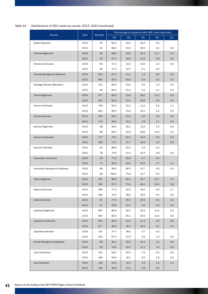### *Table A4 Distributions of HSC marks by course: 2013–2014 (continued)*

|                                    |      |               | Percentage of students with HSC mark less than: |      |      |      |     |
|------------------------------------|------|---------------|-------------------------------------------------|------|------|------|-----|
| Course                             | Year | <b>Number</b> | 45                                              | 40   | 35   | 30   | 25  |
| Arabic Extension                   | 2014 | 63            | 82.5                                            | 63.5 | 25.4 | 0.0  |     |
|                                    | 2013 | 50            | 88.0                                            | 54.0 | 26.0 | 4.0  | 0.0 |
| <b>Chinese Beginners</b>           | 2014 | 54            | 68.5                                            | 50.0 | 35.2 | 11.1 | 1.9 |
|                                    | 2013 | 52            | 67.3                                            | 30.8 | 13.5 | 5.8  | 0.0 |
| <b>Chinese Continuers</b>          | 2014 | 83            | 72.3                                            | 32.5 | 10.8 | 2.4  | 0.0 |
|                                    | 2013 | 66            | 47.0                                            | 19.7 | 6.1  | 0.0  |     |
| <b>Chinese Background Speakers</b> | 2014 | 635           | 87.1                                            | 31.2 | 1.3  | 0.6  | 0.2 |
|                                    | 2013 | 667           | 83.5                                            | 30.3 | 5.4  | 0.5  | 0.2 |
| Heritage Chinese (Mandarin)        | 2014 | 121           | 69.4                                            | 19.0 | 6.6  | 3.3  | 0.0 |
|                                    | 2013 | 94            | 60.6                                            | 21.3 | 4.3  | 2.1  | 0.0 |
| French Beginners                   | 2014 | 677           | 80.9                                            | 53.0 | 26.0 | 10.2 | 5.6 |
|                                    | 2013 | 654           | 83.6                                            | 53.4 | 24.8 | 9.6  | 3.4 |
| <b>French Continuers</b>           | 2014 | 799           | 65.2                                            | 34.3 | 11.0 | 2.6  | 1.1 |
|                                    | 2013 | 822           | 69.5                                            | 33.0 | 10.1 | 2.3  | 0.6 |
| French Extension                   | 2014 | 200           | 60.5                                            | 21.0 | 5.0  | 1.0  | 0.0 |
|                                    | 2013 | 174           | 46.6                                            | 20.1 | 2.9  | 1.7  | 0.0 |
| German Beginners                   | 2014 | 69            | 58.0                                            | 39.1 | 13.0 | 4.3  | 0.0 |
|                                    | 2013 | 98            | 68.4                                            | 42.9 | 28.6 | 14.3 | 3.1 |
| <b>German Continuers</b>           | 2014 | 277           | 70.4                                            | 42.2 | 14.4 | 4.0  | 0.0 |
|                                    | 2013 | 265           | 74.7                                            | 37.7 | 18.5 | 1.9  | 0.0 |
| German Extension                   | 2014 | 61            | 68.9                                            | 29.5 | 3.3  | 0.0  |     |
|                                    | 2013 | 78            | 79.5                                            | 41.0 | 10.3 | 3.8  | 0.0 |
| <b>Indonesian Continuers</b>       | 2014 | 64            | 71.9                                            | 35.9 | 4.7  | 0.0  |     |
|                                    | 2013 | 73            | 69.9                                            | 49.3 | 20.5 | 2.7  | 1.4 |
| Indonesian Background Speakers     | 2014 | 68            | 98.5                                            | 80.9 | 14.7 | 2.9  | 0.0 |
|                                    | 2013 | 68            | 100.0                                           | 70.6 | 14.7 | 0.0  |     |
| Italian Beginners                  | 2014 | 351           | 88.0                                            | 65.2 | 42.7 | 21.7 | 7.4 |
|                                    | 2013 | 345           | 87.2                                            | 70.4 | 46.1 | 15.9 | 3.8 |
| Italian Continuers                 | 2014 | 298           | 77.5                                            | 42.3 | 18.5 | 6.0  | 2.7 |
|                                    | 2013 | 283           | 76.3                                            | 38.9 | 18.4 | 6.4  | 2.8 |
| Italian Extension                  | 2014 | 67            | 77.6                                            | 56.7 | 20.9 | 4.5  | 0.0 |
|                                    | 2013 | 51            | 60.8                                            | 31.4 | 3.9  | 2.0  | 0.0 |
| Japanese Beginners                 | 2014 | 687           | 86.6                                            | 58.7 | 32.6 | 14.0 | 3.8 |
|                                    | 2013 | 625           | 83.8                                            | 61.1 | 40.6 | 21.0 | 5.8 |
| Japanese Continuers                | 2014 | 624           | 82.9                                            | 42.0 | 21.3 | 4.0  | 0.6 |
|                                    | 2013 | 677           | 86.4                                            | 45.2 | 22.6 | 6.1  | 0.4 |
| Japanese Extension                 | 2014 | 191           | 70.7                                            | 28.3 | 3.7  | 0.0  |     |
|                                    | 2013 | 203           | 67.0                                            | 37.9 | 9.4  | 1.0  | 0.5 |
| Korean Background Speakers         | 2014 | 63            | 84.1                                            | 49.2 | 15.9 | 3.2  | 0.0 |
|                                    | 2013 | 63            | 74.6                                            | 33.3 | 11.1 | 1.6  | 0.0 |
| Latin Continuers                   | 2014 | 161           | 56.5                                            | 25.5 | 7.5  | 5.0  | 0.0 |
|                                    | 2013 | 166           | 59.0                                            | 18.1 | 6.0  | 1.8  | 0.0 |
| Latin Extension                    | 2014 | 105           | 41.9                                            | 16.2 | 2.9  | 1.0  | 1.0 |
|                                    | 2013 | 106           | 35.8                                            | 13.2 | 2.8  | 0.0  |     |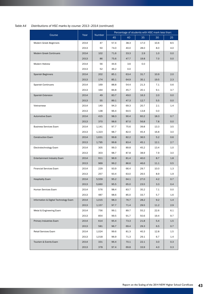### *Table A4 Distributions of HSC marks by course: 2013–2014 (continued)*

|                                       |      |               | Percentage of students with HSC mark less than: |      |      |      |     |
|---------------------------------------|------|---------------|-------------------------------------------------|------|------|------|-----|
| Course                                | Year | <b>Number</b> | 45                                              | 40   | 35   | 30   | 25  |
| Modern Greek Beginners                | 2014 | 47            | 57.4                                            | 38.3 | 17.0 | 10.6 | 8.5 |
|                                       | 2013 | 50            | 74.0                                            | 40.0 | 28.0 | 8.0  | 4.0 |
| <b>Modern Greek Continuers</b>        | 2014 | 102           | 71.6                                            | 33.3 | 2.9  | 1.0  | 0.0 |
|                                       | 2013 | 86            | 75.6                                            | 47.7 | 19.8 | 7.0  | 0.0 |
| Modern Hebrew                         | 2014 | 56            | 44.6                                            | 3.6  | 0.0  |      |     |
|                                       | 2013 | 52            | 46.2                                            | 0.0  |      |      |     |
| <b>Spanish Beginners</b>              | 2014 | 202           | 85.1                                            | 63.4 | 31.7 | 10.9 | 2.0 |
|                                       | 2013 | 174           | 85.1                                            | 64.9 | 35.1 | 19.5 | 2.3 |
| <b>Spanish Continuers</b>             | 2014 | 169           | 88.8                                            | 54.4 | 21.3 | 7.1  | 0.6 |
|                                       | 2013 | 164           | 84.8                                            | 45.7 | 20.1 | 9.1  | 3.7 |
| <b>Spanish Extension</b>              | 2014 | 49            | 83.7                                            | 49.0 | 16.3 | 2.0  | 0.0 |
|                                       | 2013 | 55            | 89.1                                            | 47.3 | 12.7 | 5.5  | 0.0 |
| Vietnamese                            | 2014 | 140           | 94.3                                            | 69.3 | 20.7 | 2.1  | 1.4 |
|                                       | 2013 | 138           | 96.4                                            | 64.5 | 13.8 | 0.0  |     |
| <b>Automotive Exam</b>                | 2014 | 415           | 98.3                                            | 90.4 | 60.2 | 18.3 | 0.7 |
|                                       | 2013 | 370           | 98.6                                            | 87.0 | 56.8 | 7.8  | 0.0 |
| <b>Business Services Exam</b>         | 2014 | 1,141         | 97.7                                            | 75.6 | 39.8 | 13.3 | 3.5 |
|                                       | 2013 | 1,323         | 98.7                                            | 82.0 | 45.4 | 16.8 | 3.0 |
| <b>Construction Exam</b>              | 2014 | 1,631         | 99.8                                            | 82.2 | 36.5 | 5.2  | 0.6 |
|                                       | 2013 | 1,795         | 99.8                                            | 83.4 | 45.1 | 12.1 | 2.7 |
| Electrotechnology Exam                | 2014 | 305           | 99.3                                            | 89.8 | 45.2 | 13.4 | 1.0 |
|                                       | 2013 | 303           | 98.7                                            | 87.8 | 38.9 | 7.9  | 3.0 |
| Entertainment Industry Exam           | 2014 | 911           | 96.9                                            | 81.4 | 40.0 | 8.7  | 1.8 |
|                                       | 2013 | 969           | 99.2                                            | 86.6 | 46.6 | 11.1 | 0.5 |
| <b>Financial Services Exam</b>        | 2014 | 229           | 93.9                                            | 66.4 | 29.7 | 10.0 | 1.3 |
|                                       | 2013 | 257           | 93.4                                            | 63.0 | 26.5 | 8.9  | 1.9 |
| <b>Hospitality Exam</b>               | 2014 | 5,559         | 95.2                                            | 64.1 | 27.0 | 4.2  | 0.7 |
|                                       | 2013 | 5,660         | 95.5                                            | 65.0 | 23.5 | 3.3  | 0.4 |
| Human Services Exam                   | 2014 | 576           | 98.4                                            | 83.7 | 35.2 | 7.1  | 0.0 |
|                                       | 2013 | 487           | 98.6                                            | 85.0 | 33.7 | 5.7  | 1.6 |
| Information & Digital Technology Exam | 2014 | 1,015         | 98.3                                            | 76.7 | 28.2 | 9.2  | 1.4 |
|                                       | 2013 | 1,157         | 97.7                                            | 71.4 | 29.5 | 11.2 | 2.9 |
| Metal & Engineering Exam              | 2014 | 756           | 99.1                                            | 89.7 | 55.2 | 22.6 | 6.1 |
|                                       | 2013 | 854           | 99.5                                            | 91.7 | 50.6 | 19.4 | 9.7 |
| Primary Industries Exam               | 2014 | 614           | 95.4                                            | 73.3 | 21.8 | 5.4  | 1.5 |
|                                       | 2013 | 581           | 96.7                                            | 69.4 | 29.3 | 6.5  | 0.7 |
| Retail Services Exam                  | 2014 | 1,024         | 99.6                                            | 81.3 | 40.3 | 12.8 | 1.5 |
|                                       | 2013 | 1,018         | 96.9                                            | 71.3 | 29.1 | 6.7  | 1.4 |
| Tourism & Events Exam                 | 2014 | 331           | 96.4                                            | 70.1 | 22.1 | 3.0  | 0.3 |
|                                       | 2013 | 378           | 97.4                                            | 69.8 | 33.9 | 4.0  | 0.3 |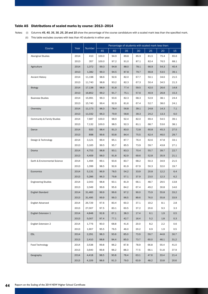### Table A5 Distributions of scaled marks by course: 2013–2014

Notes: (i) Columns 45, 40, 35, 30, 25, 20 and 15 show the percentage of the course candidature with a scaled mark less than the specified mark.

(ii) This table excludes courses with less than 40 students in either year.

|                               |      |               | Percentage of students with scaled mark less than: |      |      |      |      |      |      |  |
|-------------------------------|------|---------------|----------------------------------------------------|------|------|------|------|------|------|--|
| Course                        | Year | <b>Number</b> | 45                                                 | 40   | 35   | 30   | 25   | 20   | 15   |  |
| <b>Aboriginal Studies</b>     | 2014 | 410           | 100.0                                              | 94.9 | 89.8 | 85.9 | 81.5 | 75.4 | 65.6 |  |
|                               | 2013 | 357           | 100.0                                              | 97.2 | 91.0 | 87.1 | 82.4 | 76.5 | 68.1 |  |
| Agriculture                   | 2014 | 1,372         | 99.3                                               | 94.8 | 88.0 | 78.1 | 66.9 | 54.3 | 40.4 |  |
|                               | 2013 | 1,382         | 99.3                                               | 94.5 | 87.8 | 79.7 | 66.8 | 53.5 | 39.1 |  |
| <b>Ancient History</b>        | 2014 | 11,198        | 98.6                                               | 92.6 | 82.0 | 67.7 | 50.1 | 34.6 | 21.5 |  |
|                               | 2013 | 11,740        | 98.8                                               | 93.2 | 82.3 | 67.3 | 50.4 | 34.5 | 21.3 |  |
| <b>Biology</b>                | 2014 | 17,138        | 98.9                                               | 91.8 | 77.4 | 59.5 | 42.0 | 26.6 | 14.8 |  |
|                               | 2013 | 16,852        | 99.2                                               | 91.7 | 75.1 | 57.6 | 40.9 | 26.8 | 15.3 |  |
| <b>Business Studies</b>       | 2014 | 15,991        | 99.3                                               | 93.6 | 82.3 | 68.3 | 52.9 | 38.1 | 24.4 |  |
|                               | 2013 | 15,740        | 99.4                                               | 92.9 | 81.6 | 67.4 | 52.7 | 38.0 | 24.1 |  |
| Chemistry                     | 2014 | 11,173        | 96.3                                               | 78.4 | 56.8 | 39.1 | 24.8 | 14.3 | 7.1  |  |
|                               | 2013 | 11,032        | 96.3                                               | 79.9 | 58.8 | 39.3 | 24.2 | 13.3 | 6.0  |  |
| Community & Family Studies    | 2014 | 7,687         | 100.0                                              | 98.9 | 92.4 | 82.0 | 69.4 | 54.5 | 39.1 |  |
|                               | 2013 | 7,132         | 100.0                                              | 98.5 | 92.3 | 81.1 | 68.7 | 53.6 | 38.1 |  |
| Dance                         | 2014 | 920           | 98.4                                               | 91.3 | 83.0 | 72.8 | 60.8 | 45.3 | 27.5 |  |
|                               | 2013 | 898           | 99.6                                               | 93.8 | 84.4 | 75.5 | 62.4 | 46.0 | 29.7 |  |
| Design & Technology           | 2014 | 3,121         | 99.4                                               | 95.1 | 87.7 | 76.4 | 62.6 | 47.8 | 33.1 |  |
|                               | 2013 | 3,165         | 99.5                                               | 95.7 | 85.5 | 73.9 | 59.7 | 43.8 | 27.1 |  |
| Drama                         | 2014 | 4,753         | 98.8                                               | 93.1 | 83.3 | 70.4 | 55.7 | 39.7 | 22.7 |  |
|                               | 2013 | 4,409         | 98.0                                               | 91.8 | 82.9 | 69.6 | 52.8 | 35.9 | 21.1 |  |
| Earth & Environmental Science | 2014 | 1,494         | 99.1                                               | 93.6 | 83.7 | 68.2 | 50.3 | 34.9 | 21.5 |  |
|                               | 2013 | 1,399         | 98.5                                               | 92.6 | 81.9 | 67.9 | 50.3 | 32.0 | 19.7 |  |
| Economics                     | 2014 | 5,131         | 96.9                                               | 78.5 | 54.2 | 33.9 | 20.8 | 12.2 | 6.4  |  |
|                               | 2013 | 5,286         | 96.3                                               | 79.8 | 57.1 | 37.9 | 23.0 | 12.3 | 6.2  |  |
| <b>Engineering Studies</b>    | 2014 | 2,043         | 98.8                                               | 93.1 | 81.9 | 66.1 | 48.7 | 29.5 | 13.8 |  |
|                               | 2013 | 2,049         | 99.6                                               | 95.6 | 84.2 | 67.4 | 49.2 | 30.8 | 14.6 |  |
| <b>English Standard</b>       | 2014 | 31,483        | 99.9                                               | 99.6 | 97.2 | 90.0 | 75.9 | 55.8 | 33.2 |  |
|                               | 2013 | 31,495        | 99.9                                               | 99.3 | 96.5 | 89.6 | 76.0 | 55.8 | 33.9 |  |
| English Advanced              | 2014 | 26,729        | 97.6                                               | 83.4 | 60.3 | 37.1 | 19.2 | 8.1  | 2.8  |  |
|                               | 2013 | 27,007        | 97.5                                               | 83.1 | 60.5 | 37.2 | 20.6 | 9.3  | 3.3  |  |
| English Extension 1           | 2014 | 4,848         | 92.8                                               | 67.1 | 38.3 | 17.4 | 6.1  | 1.9  | 0.5  |  |
|                               | 2013 | 5,007         | 97.4                                               | 77.1 | 42.7 | 16.4 | 5.2  | 1.8  | 0.3  |  |
| English Extension 2           | 2014 | 1,776         | 90.0                                               | 68.8 | 41.6 | 20.0 | 8.2  | 2.2  | 0.6  |  |
|                               | 2013 | 1,907         | 95.5                                               | 76.5 | 46.0 | 20.2 | 6.9  | 1.9  | 0.5  |  |
| <b>ESL</b>                    | 2014 | 2,291         | 98.3                                               | 93.6 | 85.0 | 73.9 | 59.7 | 44.8 | 30.7 |  |
|                               | 2013 | 2,410         | 98.8                                               | 94.4 | 85.0 | 73.7 | 60.0 | 46.1 | 31.2 |  |
| Food Technology               | 2014 | 3,538         | 99.8                                               | 96.2 | 87.8 | 78.9 | 66.8 | 55.4 | 41.0 |  |
|                               | 2013 | 3,640         | 99.8                                               | 96.2 | 88.3 | 77.5 | 66.1 | 51.8 | 37.9 |  |
| Geography                     | 2014 | 4,418         | 98.5                                               | 90.8 | 78.4 | 63.1 | 47.6 | 33.4 | 21.4 |  |
|                               | 2013 | 4,109         | 98.6                                               | 91.3 | 79.0 | 63.9 | 48.2 | 33.8 | 20.6 |  |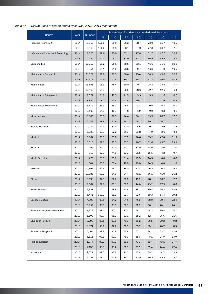### *Table A5 Distributions of scaled marks by course: 2013–2014 (continued)*

|                                    |      | Percentage of students with scaled mark less than:<br>Year<br>Number |       |      |      |      |      |      |      |
|------------------------------------|------|----------------------------------------------------------------------|-------|------|------|------|------|------|------|
| Course                             |      |                                                                      | 45    | 40   | 35   | 30   | 25   | 20   | 15   |
| Industrial Technology              | 2014 | 5,360                                                                | 100.0 | 99.9 | 96.3 | 88.7 | 78.9 | 65.7 | 49.9 |
|                                    | 2013 | 5,365                                                                | 100.0 | 99.9 | 96.1 | 87.9 | 77.3 | 63.2 | 47.6 |
| Information Processes & Technology | 2014 | 2,756                                                                | 99.6  | 95.0 | 87.1 | 77.0 | 62.7 | 47.7 | 32.2 |
|                                    | 2013 | 2,984                                                                | 99.3  | 94.7 | 87.0 | 74.3 | 60.5 | 45.2 | 29.9 |
| <b>Legal Studies</b>               | 2014 | 10,052                                                               | 98.2  | 90.1 | 78.5 | 63.1 | 46.6 | 31.6 | 19.3 |
|                                    | 2013 | 9,851                                                                | 98.1  | 91.0 | 78.5 | 62.7 | 46.8 | 31.9 | 19.5 |
| <b>Mathematics General 2</b>       | 2014 | 31,321                                                               | 99.9  | 97.5 | 88.4 | 75.4 | 60.9 | 45.6 | 30.3 |
|                                    | 2013 | 32,376                                                               | 99.9  | 97.8 | 89.1 | 76.1 | 61.3 | 46.0 | 30.5 |
| Mathematics                        | 2014 | 16,693                                                               | 95.3  | 78.4 | 59.0 | 40.4 | 25.3 | 14.5 | 7.7  |
|                                    | 2013 | 16,463                                                               | 98.3  | 84.4 | 60.5 | 38.6 | 22.7 | 12.6 | 6.4  |
| Mathematics Extension 1            | 2014 | 9,022                                                                | 81.6  | 47.3 | 21.9 | 9.3  | 3.9  | 1.6  | 0.6  |
|                                    | 2013 | 8,839                                                                | 78.2  | 43.4 | 21.6 | 10.4 | 4.7  | 1.9  | 0.6  |
| Mathematics Extension 2            | 2014 | 3,371                                                                | 63.9  | 18.2 | 5.6  | 1.8  | 0.6  | 0.3  | 0.1  |
|                                    | 2013 | 3,198                                                                | 54.3  | 15.7 | 4.8  | 1.9  | 0.9  | 0.3  | 0.1  |
| <b>Modern History</b>              | 2014 | 10,306                                                               | 98.8  | 90.3 | 74.4 | 56.1 | 39.5 | 26.7 | 17.6 |
|                                    | 2013 | 10,447                                                               | 98.8  | 90.6 | 74.1 | 55.1 | 39.1 | 26.7 | 17.1 |
| <b>History Extension</b>           | 2014 | 1,934                                                                | 97.9  | 80.9 | 52.0 | 24.6 | 9.7  | 2.9  | 1.2  |
|                                    | 2013 | 1,988                                                                | 98.3  | 82.2 | 51.3 | 23.8 | 7.9  | 2.6  | 0.8  |
| Music 1                            | 2014 | 5,002                                                                | 99.5  | 95.6 | 87.9 | 76.6 | 63.2 | 47.4 | 31.9 |
|                                    | 2013 | 5,010                                                                | 99.6  | 95.3 | 87.7 | 76.7 | 62.6 | 45.7 | 29.9 |
| Music 2                            | 2014 | 765                                                                  | 91.2  | 77.3 | 53.1 | 32.0 | 14.0 | 4.6  | 1.0  |
|                                    | 2013 | 850                                                                  | 92.7  | 74.5 | 53.3 | 31.5 | 15.5 | 4.2  | 0.7  |
| <b>Music Extension</b>             | 2014 | 475                                                                  | 80.0  | 68.0 | 51.4 | 29.3 | 14.3 | 4.0  | 0.8  |
|                                    | 2013 | 504                                                                  | 80.8  | 70.4 | 48.8 | 29.8 | 14.5 | 4.0  | 1.0  |
| PDH&PE                             | 2014 | 14,396                                                               | 99.6  | 95.1 | 85.0 | 71.8 | 56.2 | 40.8 | 25.3 |
|                                    | 2013 | 13,886                                                               | 99.6  | 94.6 | 84.4 | 71.1 | 56.1 | 41.0 | 26.2 |
| Physics                            | 2014 | 9,598                                                                | 97.5  | 82.2 | 62.2 | 43.2 | 28.1 | 16.2 | 7.7  |
|                                    | 2013 | 9,562                                                                | 97.1  | 83.1 | 62.9 | 44.0 | 29.2 | 17.5 | 8.6  |
| Senior Science                     | 2014 | 6,328                                                                | 100.0 | 98.8 | 93.6 | 84.1 | 70.8 | 55.3 | 38.9 |
|                                    | 2013 | 5,441                                                                | 100.0 | 98.2 | 92.7 | 82.6 | 69.3 | 54.4 | 39.2 |
| Society & Culture                  | 2014 | 4,398                                                                | 99.1  | 94.2 | 84.1 | 71.5 | 56.0 | 39.4 | 23.4 |
|                                    | 2013 | 3,939                                                                | 98.3  | 91.8 | 82.7 | 70.7 | 56.1 | 40.1 | 24.1 |
| Software Design & Development      | 2014 | 1,719                                                                | 98.4  | 92.1 | 82.3 | 69.2 | 54.3 | 39.8 | 24.7 |
|                                    | 2013 | 1,608                                                                | 99.7  | 95.2 | 83.1 | 68.2 | 52.7 | 36.6 | 21.5 |
| Studies of Religion I              | 2014 | 9,299                                                                | 99.1  | 93.1 | 78.5 | 58.2 | 36.5 | 20.2 | 9.2  |
|                                    | 2013 | 9,374                                                                | 99.1  | 92.2 | 76.9 | 58.2 | 38.1 | 20.7 | 8.5  |
| Studies of Religion II             | 2014 | 5,464                                                                | 98.7  | 90.9 | 75.9 | 57.1 | 38.2 | 23.7 | 12.5 |
|                                    | 2013 | 5,111                                                                | 98.6  | 90.0 | 75.3 | 58.6 | 40.1 | 24.0 | 13.0 |
| Textiles & Design                  | 2014 | 1,874                                                                | 99.2  | 93.2 | 85.8 | 73.9 | 59.4 | 43.1 | 27.7 |
|                                    | 2013 | 2,133                                                                | 99.5  | 95.7 | 86.5 | 73.9 | 59.4 | 44.4 | 27.4 |
| <b>Visual Arts</b>                 | 2014 | 9,071                                                                | 99.0  | 93.7 | 85.2 | 73.6 | 60.2 | 44.7 | 29.2 |
|                                    | 2013 | 9,236                                                                | 98.7  | 93.5 | 84.7 | 73.5 | 60.2 | 44.8 | 29.7 |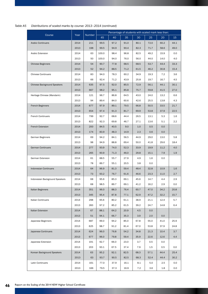### *Table A5 Distributions of scaled marks by course: 2013–2014 (continued)*

|                                    |      | Percentage of students with scaled mark less than: |       |      |      |      |      |      |      |
|------------------------------------|------|----------------------------------------------------|-------|------|------|------|------|------|------|
| Course                             | Year | <b>Number</b>                                      | 45    | 40   | 35   | 30   | 25   | 20   | 15   |
| <b>Arabic Continuers</b>           | 2014 | 211                                                | 99.5  | 97.2 | 91.0 | 80.1 | 72.0 | 60.2 | 44.1 |
|                                    | 2013 | 198                                                | 99.5  | 94.9 | 90.4 | 82.3 | 71.7 | 58.6 | 49.0 |
| Arabic Extension                   | 2014 | 63                                                 | 100.0 | 98.4 | 96.8 | 82.5 | 49.2 | 15.9 | 0.0  |
|                                    | 2013 | 50                                                 | 100.0 | 94.0 | 76.0 | 56.0 | 44.0 | 14.0 | 4.0  |
| <b>Chinese Beginners</b>           | 2014 | 54                                                 | 90.7  | 77.8 | 68.5 | 68.5 | 53.7 | 44.4 | 33.3 |
|                                    | 2013 | 52                                                 | 94.2  | 88.5 | 71.2 | 61.5 | 46.2 | 30.8 | 15.4 |
| <b>Chinese Continuers</b>          | 2014 | 83                                                 | 94.0  | 78.3 | 60.2 | 34.9 | 19.3 | 7.2  | 3.6  |
|                                    | 2013 | 66                                                 | 92.4  | 71.2 | 43.9 | 25.8 | 19.7 | 16.7 | 4.5  |
| <b>Chinese Background Speakers</b> | 2014 | 635                                                | 97.5  | 92.0 | 85.5 | 72.9 | 56.1 | 44.1 | 30.1 |
|                                    | 2013 | 667                                                | 98.2  | 95.1 | 85.8 | 75.7 | 59.8 | 41.5 | 27.0 |
| Heritage Chinese (Mandarin)        | 2014 | 121                                                | 96.7  | 86.8 | 64.5 | 43.0 | 24.0 | 13.2 | 6.6  |
|                                    | 2013 | 94                                                 | 89.4  | 84.0 | 60.6 | 42.6 | 25.5 | 13.8 | 4.3  |
| <b>French Beginners</b>            | 2014 | 677                                                | 97.9  | 89.1 | 79.5 | 66.8 | 50.5 | 33.5 | 21.7 |
|                                    | 2013 | 654                                                | 97.4  | 91.3 | 81.7 | 69.9 | 53.8 | 37.9 | 22.5 |
| <b>French Continuers</b>           | 2014 | 799                                                | 92.7  | 68.6 | 44.4 | 26.5 | 13.1 | 5.3  | 1.6  |
|                                    | 2013 | 822                                                | 92.3  | 69.8 | 46.7 | 27.1 | 13.6 | 5.1  | 2.2  |
| French Extension                   | 2014 | 200                                                | 84.5  | 40.5 | 9.0  | 1.0  | 0.5  | 0.0  |      |
|                                    | 2013 | 174                                                | 83.9  | 48.3 | 14.9 | 2.3  | 0.6  | 0.0  |      |
| German Beginners                   | 2014 | 69                                                 | 94.2  | 84.1 | 56.5 | 44.9 | 29.0 | 13.0 | 5.8  |
|                                    | 2013 | 98                                                 | 94.9  | 88.8 | 69.4 | 50.0 | 41.8 | 29.6 | 18.4 |
| <b>German Continuers</b>           | 2014 | 277                                                | 93.9  | 74.0 | 52.3 | 33.9 | 19.9 | 11.2 | 4.0  |
|                                    | 2013 | 265                                                | 90.9  | 71.3 | 46.0 | 29.8 | 15.1 | 7.9  | 1.9  |
| German Extension                   | 2014 | 61                                                 | 88.5  | 55.7 | 27.9 | 4.9  | 1.6  | 0.0  |      |
|                                    | 2013 | 78                                                 | 89.7  | 55.1 | 20.5 | 3.8  | 0.0  |      |      |
| <b>Indonesian Continuers</b>       | 2014 | 64                                                 | 96.9  | 81.3 | 59.4 | 48.4 | 32.8 | 10.9 | 1.6  |
|                                    | 2013 | 73                                                 | 93.2  | 76.7 | 61.6 | 46.6 | 23.3 | 11.0 | 2.7  |
| Indonesian Background Speakers     | 2014 | 68                                                 | 95.6  | 85.3 | 69.1 | 45.6 | 14.7 | 4.4  | 2.9  |
|                                    | 2013 | 68                                                 | 98.5  | 89.7 | 69.1 | 41.2 | 16.2 | 2.9  | 0.0  |
| Italian Beginners                  | 2014 | 351                                                | 96.0  | 88.3 | 76.4 | 60.7 | 47.0 | 34.2 | 20.8 |
|                                    | 2013 | 345                                                | 95.4  | 87.8 | 77.1 | 62.9 | 47.2 | 32.2 | 15.7 |
| Italian Continuers                 | 2014 | 298                                                | 95.6  | 80.2 | 61.1 | 38.9 | 21.1 | 12.4 | 5.7  |
|                                    | 2013 | 283                                                | 97.2  | 85.2 | 61.5 | 39.2 | 24.7 | 14.8 | 6.4  |
| Italian Extension                  | 2014 | 67                                                 | 88.1  | 64.2 | 20.9 | 4.5  | 0.0  |      |      |
|                                    | 2013 | 51                                                 | 94.1  | 66.7 | 35.3 | 3.9  | 2.0  | 0.0  |      |
| Japanese Beginners                 | 2014 | 687                                                | 99.0  | 94.2 | 85.0 | 67.8 | 55.0 | 41.0 | 25.9 |
|                                    | 2013 | 625                                                | 98.7  | 91.2 | 81.4 | 67.0 | 53.8 | 37.9 | 24.8 |
| Japanese Continuers                | 2014 | 624                                                | 96.0  | 76.8 | 54.2 | 34.8 | 21.3 | 10.4 | 3.7  |
|                                    | 2013 | 677                                                | 96.0  | 79.8 | 59.4 | 35.9 | 22.6 | 12.6 | 4.4  |
| Japanese Extension                 | 2014 | 191                                                | 92.7  | 66.0 | 23.0 | 3.7  | 0.5  | 0.0  |      |
|                                    | 2013 | 203                                                | 93.1  | 67.5 | 37.4 | 7.9  | 1.5  | 0.5  | 0.0  |
| Korean Background Speakers         | 2014 | 63                                                 | 95.2  | 92.1 | 82.5 | 68.3 | 57.1 | 44.4 | 25.4 |
|                                    | 2013 | 63                                                 | 93.7  | 90.5 | 82.5 | 68.3 | 52.4 | 44.4 | 30.2 |
| Latin Continuers                   | 2014 | 161                                                | 77.0  | 37.9 | 16.1 | 8.1  | 5.0  | 2.5  | 0.0  |
|                                    | 2013 | 166                                                | 79.5  | 37.3 | 16.9 | 7.2  | 3.6  | 1.8  | 0.0  |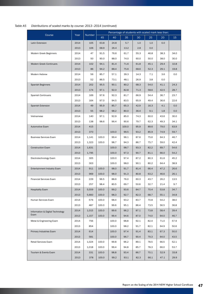### *Table A5 Distributions of scaled marks by course: 2013–2014 (continued)*

|                                          |      | Percentage of students with scaled mark less than:<br>Number |       |       |       |      |      |      |      |
|------------------------------------------|------|--------------------------------------------------------------|-------|-------|-------|------|------|------|------|
| Course                                   | Year |                                                              | 45    | 40    | 35    | 30   | 25   | 20   | 15   |
| Latin Extension                          | 2014 | 105                                                          | 63.8  | 24.8  | 5.7   | 1.0  | 1.0  | 0.0  |      |
|                                          | 2013 | 106                                                          | 68.9  | 26.4  | 13.2  | 2.8  | 0.0  |      |      |
| Modern Greek Beginners                   | 2014 | 47                                                           | 91.5  | 76.6  | 61.7  | 55.3 | 46.8 | 38.3 | 34.0 |
|                                          | 2013 | 50                                                           | 90.0  | 88.0  | 74.0  | 60.0 | 50.0 | 38.0 | 30.0 |
| <b>Modern Greek Continuers</b>           | 2014 | 102                                                          | 94.1  | 81.4  | 71.6  | 61.8 | 45.1 | 29.4 | 10.8 |
|                                          | 2013 | 86                                                           | 94.2  | 88.4  | 75.6  | 68.6 | 52.3 | 29.1 | 19.8 |
| Modern Hebrew                            | 2014 | 56                                                           | 85.7  | 57.1  | 39.3  | 14.3 | 7.1  | 3.6  | 0.0  |
|                                          | 2013 | 52                                                           | 86.5  | 73.1  | 48.1  | 26.9 | 3.8  | 0.0  |      |
| <b>Spanish Beginners</b>                 | 2014 | 202                                                          | 95.5  | 90.1  | 80.2  | 68.3 | 54.0 | 41.1 | 24.3 |
|                                          | 2013 | 174                                                          | 97.1  | 92.0  | 82.8  | 71.3 | 58.6 | 42.5 | 28.7 |
| <b>Spanish Continuers</b>                | 2014 | 169                                                          | 97.6  | 92.3  | 81.7  | 66.9 | 54.4 | 36.7 | 23.7 |
|                                          | 2013 | 164                                                          | 97.0  | 94.5  | 83.5  | 65.9 | 49.4 | 36.6 | 22.6 |
| Spanish Extension                        | 2014 | 49                                                           | 95.9  | 85.7  | 65.3  | 42.9 | 16.3 | 4.1  | 0.0  |
|                                          | 2013 | 55                                                           | 98.2  | 98.2  | 80.0  | 36.4 | 9.1  | 1.8  | 0.0  |
| Vietnamese                               | 2014 | 140                                                          | 97.1  | 92.9  | 85.0  | 74.3 | 60.0 | 43.6 | 30.0 |
|                                          | 2013 | 138                                                          | 98.6  | 96.4  | 90.6  | 79.7 | 62.3 | 49.3 | 34.1 |
| <b>Automotive Exam</b>                   | 2014 | 415                                                          |       |       | 100.0 | 95.9 | 89.6 | 79.0 | 63.9 |
|                                          | 2013 | 370                                                          |       | 100.0 | 99.5  | 93.2 | 85.9 | 74.9 | 59.7 |
| <b>Business Services Exam</b>            | 2014 | 1,141                                                        | 100.0 | 99.4  | 96.1  | 87.6 | 75.6 | 64.3 | 46.7 |
|                                          | 2013 | 1,323                                                        | 100.0 | 98.7  | 94.3  | 86.7 | 75.7 | 59.0 | 42.4 |
| <b>Construction Exam</b>                 | 2014 | 1,631                                                        |       | 100.0 | 98.7  | 93.3 | 82.2 | 69.7 | 54.6 |
|                                          | 2013 | 1,795                                                        |       | 100.0 | 97.3  | 90.7 | 81.1 | 66.0 | 54.2 |
| Electrotechnology Exam                   | 2014 | 305                                                          |       | 100.0 | 97.4  | 87.2 | 80.3 | 61.6 | 45.2 |
|                                          | 2013 | 303                                                          |       | 100.0 | 98.0  | 90.1 | 80.2 | 64.4 | 38.9 |
| Entertainment Industry Exam              | 2014 | 911                                                          | 100.0 | 98.0  | 91.7  | 81.4 | 66.4 | 47.2 | 26.6 |
|                                          | 2013 | 969                                                          | 100.0 | 98.0  | 91.3  | 80.8 | 63.2 | 46.6 | 26.1 |
| Financial Services Exam                  | 2014 | 229                                                          | 96.5  | 88.6  | 76.0  | 60.3 | 43.7 | 26.2 | 13.5 |
|                                          | 2013 | 257                                                          | 98.4  | 80.5  | 69.7  | 50.6 | 32.7 | 21.4 | 9.7  |
| <b>Hospitality Exam</b>                  | 2014 | 5,559                                                        | 100.0 | 99.2  | 93.6  | 84.7 | 70.4 | 53.8 | 34.7 |
|                                          | 2013 | 5,660                                                        | 100.0 | 98.3  | 92.7  | 82.3 | 68.7 | 55.1 | 34.8 |
| Human Services Exam                      | 2014 | 576                                                          | 100.0 | 98.4  | 93.2  | 83.7 | 70.8 | 54.2 | 38.0 |
|                                          | 2013 | 487                                                          | 100.0 | 99.6  | 95.1  | 86.4 | 73.5 | 56.5 | 36.8 |
| Information & Digital Technology<br>Exam | 2014 | 1,015                                                        | 100.0 | 99.6  | 96.2  | 87.1 | 73.8 | 58.4 | 39.4 |
|                                          | 2013 | 1,157                                                        | 100.0 | 99.4  | 94.6  | 87.0 | 74.0 | 64.0 | 46.7 |
| Metal & Engineering Exam                 | 2014 | 756                                                          |       | 100.0 | 98.8  | 92.1 | 82.4 | 71.0 | 57.9 |
|                                          | 2013 | 854                                                          |       | 100.0 | 98.2  | 91.7 | 82.1 | 64.9 | 50.6 |
| Primary Industries Exam                  | 2014 | 614                                                          |       | 100.0 | 97.4  | 91.4 | 83.1 | 67.3 | 50.0 |
|                                          | 2013 | 581                                                          |       | 100.0 | 96.7  | 90.4 | 79.3 | 64.0 | 43.5 |
| Retail Services Exam                     | 2014 | 1,024                                                        | 100.0 | 99.8  | 96.2  | 89.1 | 78.5 | 66.5 | 52.1 |
|                                          | 2013 | 1,018                                                        | 100.0 | 99.4  | 94.8  | 85.7 | 78.3 | 66.0 | 53.7 |
| Tourism & Events Exam                    | 2014 | 331                                                          | 100.0 | 98.8  | 93.4  | 86.7 | 70.1 | 52.9 | 33.8 |
|                                          | 2013 | 378                                                          | 100.0 | 99.2  | 93.1  | 82.3 | 66.1 | 47.1 | 29.9 |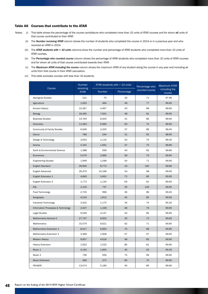#### Table A6 Courses that contribute to the ATAR

- Notes: (i) This table shows the percentage of the course candidature who completed more than 10 units of ATAR courses and for whom *all* units of that course contributed to their ATAR.
	- (ii) The *Number receiving ATAR* column shows the number of students who completed the course in 2014 or in a previous year and who received an ATAR in 2014.
	- (iii) The *ATAR students with > 10 units* columns show the number and percentage of ATAR students who completed more than 10 units of ATAR courses.
	- (iv) The *Percentage who counted course* column shows the percentage of ATAR students who completed more than 10 units of ATAR courses and for whom all units of that course contributed towards their ATAR.
	- (v) The *Maximum ATAR including the course* column shows the maximum ATAR of any student doing the course in any year and including all units from that course in their ATAR calculation.
	- (vi) This table excludes courses with less than 10 students.

|                                    | <b>Number</b>            |               | ATAR students with > 10 units | Percentage who | Maximum ATAR            |
|------------------------------------|--------------------------|---------------|-------------------------------|----------------|-------------------------|
| Course                             | receiving<br><b>ATAR</b> | <b>Number</b> | Percentage                    | counted course | including the<br>course |
| <b>Aboriginal Studies</b>          | 221                      | 75            | 34                            | 71             | 97.95                   |
| Agriculture                        | 1,003                    | 494           | 49                            | 77             | 99.95                   |
| <b>Ancient History</b>             | 10,367                   | 4,467         | 43                            | 86             | 99.90                   |
| <b>Biology</b>                     | 16,465                   | 7,931         | 48                            | 81             | 99.95                   |
| <b>Business Studies</b>            | 14,764                   | 6,004         | 41                            | 86             | 99.90                   |
| Chemistry                          | 11,063                   | 6,990         | 63                            | 75             | 99.95                   |
| Community & Family Studies         | 6,006                    | 2,205         | 37                            | 86             | 99.45                   |
| Dance                              | 786                      | 244           | 31                            | 63             | 98.95                   |
| Design & Technology                | 2,633                    | 1,115         | 42                            | 75             | 99.30                   |
| Drama                              | 4,191                    | 1,561         | 37                            | 75             | 99.80                   |
| Earth & Environmental Science      | 1,388                    | 558           | 40                            | 82             | 99.80                   |
| Economics                          | 5,079                    | 2,966         | 58                            | 76             | 99.95                   |
| <b>Engineering Studies</b>         | 1,949                    | 1,048         | 54                            | 71             | 99.90                   |
| <b>English Standard</b>            | 26,900                   | 8,773         | 33                            | 100            | 99.80                   |
| English Advanced                   | 26,479                   | 14,168        | 54                            | 98             | 99.95                   |
| English Extension 1                | 4,840                    | 3,461         | 72                            | 85             | 99.95                   |
| English Extension 2                | 1,773                    | 1,134         | 64                            | 81             | 99.95                   |
| <b>ESL</b>                         | 2,103                    | 737           | 35                            | 100            | 99.95                   |
| Food Technology                    | 2,745                    | 996           | 36                            | 86             | 99.45                   |
| Geography                          | 4,019                    | 1,813         | 45                            | 85             | 99.95                   |
| Industrial Technology              | 3,422                    | 1,175         | 34                            | 74             | 95.25                   |
| Information Processes & Technology | 2,537                    | 1,228         | 48                            | 76             | 99.95                   |
| <b>Legal Studies</b>               | 9,549                    | 4,147         | 43                            | 85             | 99.95                   |
| <b>Mathematics General 2</b>       | 27,747                   | 9,653         | 35                            | 72             | 99.65                   |
| <b>Mathematics</b>                 | 15,579                   | 9,621         | 62                            | 71             | 99.95                   |
| Mathematics Extension 1            | 8,917                    | 6,663         | 75                            | 89             | 99.95                   |
| <b>Mathematics Extension 2</b>     | 3,369                    | 1,908         | 57                            | 97             | 99.95                   |
| Modern History                     | 9,657                    | 4,616         | 48                            | 83             | 99.95                   |
| <b>History Extension</b>           | 1,922                    | 1,532         | 80                            | 81             | 99.95                   |
| Music 1                            | 4,142                    | 1,655         | 40                            | 62             | 99.30                   |
| Music 2                            | 746                      | 556           | 75                            | 69             | 99.95                   |
| <b>Music Extension</b>             | 466                      | 372           | 80                            | 70             | 99.95                   |
| PDH&PE                             | 13,074                   | 5,180         | 40                            | 85             | 99.90                   |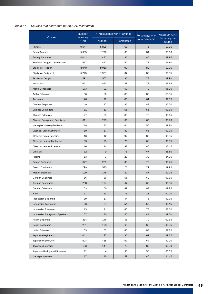### *Table A6 Courses that contribute to the ATAR (continued)*

|                                    | Number                   |               | ATAR students with > 10 units | Percentage who | Maximum ATAR            |  |
|------------------------------------|--------------------------|---------------|-------------------------------|----------------|-------------------------|--|
| Course                             | receiving<br><b>ATAR</b> | <b>Number</b> | Percentage                    | counted course | including the<br>course |  |
| Physics                            | 9,547                    | 5,825         | 61                            | 75             | 99.95                   |  |
| Senior Science                     | 5.035                    | 1,770         | 35                            | 84             | 98.90                   |  |
| Society & Culture                  | 4,042                    | 1,432         | 35                            | 85             | 99.95                   |  |
| Software Design & Development      | 1,567                    | 812           | 52                            | 73             | 99.80                   |  |
| Studies of Religion I              | 8,949                    | 8,050         | 90                            | 80             | 99.95                   |  |
| Studies of Religion II             | 5,245                    | 1,931         | 37                            | 86             | 99.85                   |  |
| Textiles & Design                  | 1,591                    | 567           | 36                            | 78             | 99.90                   |  |
| <b>Visual Arts</b>                 | 7,651                    | 2,893         | 38                            | 73             | 99.95                   |  |
| <b>Arabic Continuers</b>           | 173                      | 91            | 53                            | 70             | 95.95                   |  |
| Arabic Extension                   | 56                       | 50            | 89                            | 86             | 88.35                   |  |
| Armenian                           | 26                       | 22            | 85                            | 64             | 97.35                   |  |
| <b>Chinese Beginners</b>           | 49                       | 17            | 35                            | 82             | 97.70                   |  |
| <b>Chinese Continuers</b>          | 81                       | 53            | 65                            | 55             | 99.65                   |  |
| <b>Chinese Extension</b>           | 27                       | 23            | 85                            | 78             | 99.65                   |  |
| <b>Chinese Background Speakers</b> | 611                      | 223           | 36                            | 67             | 99.70                   |  |
| Heritage Chinese (Mandarin)        | 119                      | 73            | 61                            | 56             | 99.80                   |  |
| <b>Classical Greek Continuers</b>  | 19                       | 17            | 89                            | 65             | 99.95                   |  |
| <b>Classical Greek Extension</b>   | 13                       | 12            | 92                            | 83             | 99.95                   |  |
| <b>Classical Hebrew Continuers</b> | 33                       | 25            | 76                            | 68             | 99.85                   |  |
| <b>Classical Hebrew Extension</b>  | 16                       | 14            | 88                            | 86             | 97.45                   |  |
| Croatian                           | 12                       | 9             | 75                            | 67             | 88.80                   |  |
| Filipino                           | 13                       | 3             | 23                            | 33             | 84.25                   |  |
| French Beginners                   | 627                      | 239           | 38                            | 73             | 99.75                   |  |
| <b>French Continuers</b>           | 799                      | 585           | 73                            | 71             | 99.95                   |  |
| French Extension                   | 199                      | 178           | 89                            | 87             | 99.95                   |  |
| German Beginners                   | 66                       | 36            | 55                            | 69             | 99.65                   |  |
| <b>German Continuers</b>           | 288                      | 194           | 67                            | 68             | 99.95                   |  |
| German Extension                   | 63                       | 56            | 89                            | 84             | 99.95                   |  |
| Hindi                              | 17                       | 13            | 76                            | 38             | 97.10                   |  |
| Indonesian Beginners               | 39                       | 17            | 44                            | 76             | 99.15                   |  |
| <b>Indonesian Continuers</b>       | 63                       | 34            | 54                            | 59             | 99.15                   |  |
| Indonesian Extension               | 13                       | 11            | 85                            | 73             | 97.50                   |  |
| Indonesian Background Speakers     | 67                       | 30            | 45                            | 47             | 99.30                   |  |
| Italian Beginners                  | 314                      | 146           | 46                            | 79             | 99.65                   |  |
| Italian Continuers                 | 291                      | 198           | 68                            | 68             | 99.85                   |  |
| Italian Extension                  | 63                       | 52            | 83                            | 88             | 99.85                   |  |
| Japanese Beginners                 | 641                      | 227           | 35                            | 69             | 99.75                   |  |
| Japanese Continuers                | 624                      | 415           | 67                            | 64             | 99.90                   |  |
| Japanese Extension                 | 193                      | 144           | 75                            | 83             | 99.90                   |  |
| Japanese Background Speakers       | 12                       | 4             | 33                            | 50             | 80.65                   |  |
| Heritage Japanese                  | 17                       | 10            | 59                            | 40             | 91.45                   |  |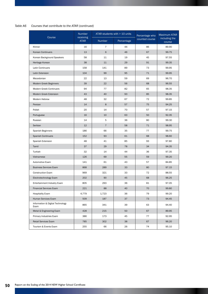### *Table A6 Courses that contribute to the ATAR (continued)*

|                                          | Number                   |                | ATAR students with > 10 units | Percentage who | <b>Maximum ATAR</b>     |
|------------------------------------------|--------------------------|----------------|-------------------------------|----------------|-------------------------|
| Course                                   | receiving<br><b>ATAR</b> | Number         | Percentage                    | counted course | including the<br>course |
| Khmer                                    | 16                       | $\overline{7}$ | 44                            | 86             | 89.90                   |
| <b>Korean Continuers</b>                 | 13                       | 6              | 46                            | 67             | 99.75                   |
| Korean Background Speakers               | 58                       | 11             | 19                            | 45             | 97.55                   |
| Heritage Korean                          | 38                       | 11             | 29                            | 91             | 99.35                   |
| Latin Continuers                         | 158                      | 141            | 89                            | 73             | 99.95                   |
| Latin Extension                          | 104                      | 99             | 95                            | 71             | 99.95                   |
| Macedonian                               | 22                       | 13             | 59                            | 69             | 96.70                   |
| Modern Greek Beginners                   | 39                       | 22             | 56                            | 68             | 96.55                   |
| Modern Greek Continuers                  | 94                       | 77             | 82                            | 65             | 98.35                   |
| Modern Greek Extension                   | 43                       | 40             | 93                            | 85             | 98.35                   |
| Modern Hebrew                            | 48                       | 32             | 67                            | 72             | 99.85                   |
| Persian                                  | 14                       | 8              | 57                            | 75             | 94.25                   |
| Polish                                   | 20                       | 14             | 70                            | 57             | 97.15                   |
| Portuguese                               | 16                       | 10             | 63                            | 50             | 92.35                   |
| Russian                                  | 14                       | 5              | 36                            | 80             | 99.30                   |
| Serbian                                  | 12                       | $\overline{7}$ | 58                            | 71             | 98.95                   |
| Spanish Beginners                        | 186                      | 66             | 35                            | 77             | 99.75                   |
| <b>Spanish Continuers</b>                | 152                      | 93             | 61                            | 68             | 98.60                   |
| Spanish Extension                        | 48                       | 41             | 85                            | 93             | 97.80                   |
| Tamil                                    | 37                       | 29             | 78                            | 34             | 94.35                   |
| Turkish                                  | 32                       | 14             | 44                            | 36             | 97.35                   |
| Vietnamese                               | 126                      | 69             | 55                            | 59             | 99.20                   |
| <b>Automotive Exam</b>                   | 141                      | 61             | 43                            | 57             | 84.85                   |
| <b>Business Services Exam</b>            | 868                      | 289            | 33                            | 80             | 97.15                   |
| <b>Construction Exam</b>                 | 969                      | 321            | 33                            | 72             | 88.55                   |
| Electrotechnology Exam                   | 202                      | 90             | 45                            | 68             | 96.25                   |
| Entertainment Industry Exam              | 805                      | 293            | 36                            | 81             | 97.05                   |
| <b>Financial Services Exam</b>           | 221                      | 88             | 40                            | 70             | 99.80                   |
| <b>Hospitality Exam</b>                  | 4,779                    | 1,723          | 36                            | 79             | 99.20                   |
| Human Services Exam                      | 509                      | 187            | 37                            | 73             | 94.45                   |
| Information & Digital Technology<br>Exam | 865                      | 341            | 39                            | 63             | 94.40                   |
| Metal & Engineering Exam                 | 428                      | 215            | 50                            | 67             | 89.95                   |
| Primary Industries Exam                  | 386                      | 173            | 45                            | 77             | 92.95                   |
| Retail Services Exam                     | 785                      | 302            | 38                            | 67             | 96.20                   |
| Tourism & Events Exam                    | 255                      | 66             | 26                            | 74             | 95.10                   |

Report on the Scaling of the 2014 NSW Higher School Certificate **50**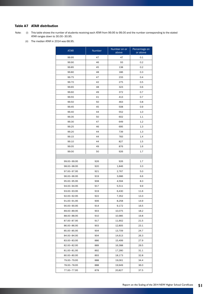### Table A7 ATAR distribution

Note: (i) This table shows the number of students receiving each ATAR from 99.95 to 99.00 and the number corresponding to the stated ATAR ranges down to 30.00–30.95.

(ii) The median ATAR in 2014 was 68.95.

| <b>ATAR</b> | Number | Number on or<br>above | Percentage on<br>or above |  |
|-------------|--------|-----------------------|---------------------------|--|
| 99.95       | 47     | 47                    | 0.1                       |  |
| 99.90       | 46     | 93                    | 0.2                       |  |
| 99.85       | 45     | 138                   | 0.2                       |  |
| 99.80       | 48     | 186                   | 0.3                       |  |
| 99.75       | 47     | 233                   | 0.4                       |  |
| 99.70       | 42     | 275                   | 0.5                       |  |
| 99.65       | 48     | 323                   | 0.6                       |  |
| 99.60       | 49     | 372                   | 0.7                       |  |
| 99.55       | 41     | 413                   | 0.7                       |  |
| 99.50       | 50     | 463                   | 0.8                       |  |
| 99.45       | 45     | 508                   | 0.9                       |  |
| 99.40       | 44     | 552                   | 1.0                       |  |
| 99.35       | 50     | 602                   | 1.1                       |  |
| 99.30       | 47     | 649                   | 1.2                       |  |
| 99.25       | 46     | 695                   | 1.3                       |  |
| 99.20       | 44     | 739                   | 1.3                       |  |
| 99.15       | 44     | 783                   | 1.4                       |  |
| 99.10       | 44     | 827                   | 1.5                       |  |
| 99.05       | 49     | 876                   | 1.6                       |  |
| 99.00       | 50     | 926                   | 1.7                       |  |
|             |        |                       |                           |  |
| 99.00-99.95 | 926    | 926                   | 1.7                       |  |
| 98.00-98.95 | 920    | 1,846                 | 3.3                       |  |
| 97.00-97.95 | 921    | 2,767                 | 5.0                       |  |
| 96.00-96.95 | 919    | 3,686                 | 6.6                       |  |
| 95.00-95.95 | 908    | 4,594                 | 8.3                       |  |
| 94.00-94.95 | 917    | 5,511                 | 9.9                       |  |
| 93.00-93.95 | 919    | 6,430                 | 11.6                      |  |
| 92.00-92.95 | 922    | 7,352                 | 13.3                      |  |
| 91.00-91.95 | 906    | 8,258                 | 14.9                      |  |
| 90.00-90.95 | 914    | 9,172                 | 16.5                      |  |
| 89.00-89.95 | 903    | 10,075                | 18.2                      |  |
| 88.00-88.95 | 910    | 10,985                | 19.8                      |  |
| 87.00-87.95 | 917    | 11,902                | 21.5                      |  |
| 86.00-86.95 | 903    | 12,805                | 23.1                      |  |
| 85.00-85.95 | 904    | 13,709                | 24.7                      |  |
| 84.00-84.95 | 904    | 14,613                | 26.3                      |  |
| 83.00-83.95 | 886    | 15,499                | 27.9                      |  |
| 82.00-82.95 | 889    | 16,388                | 29.5                      |  |
| 81.00-81.95 | 892    | 17,280                | 31.1                      |  |
| 80.00-80.95 | 893    | 18,173                | 32.8                      |  |
| 79.00-79.95 | 888    | 19,061                | 34.4                      |  |
| 78.00-78.95 | 888    | 19,949                | 36.0                      |  |
| 77.00-77.95 | 878    | 20,827                | 37.5                      |  |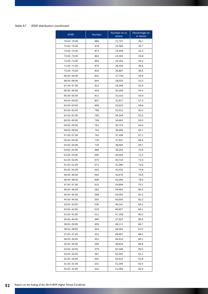### *Table A7 ATAR distribution (continued)*

| <b>ATAR</b> | Number | Number on or<br>above | Percentage on<br>or above |
|-------------|--------|-----------------------|---------------------------|
| 76.00-76.95 | 880    | 21,707                | 39.1                      |
| 75.00-75.95 | 878    | 22,585                | 40.7                      |
| 74.00-74.95 | 873    | 23,458                | 42.3                      |
| 73.00-73.95 | 842    | 24,300                | 43.8                      |
| 72.00-72.95 | 864    | 25,164                | 45.4                      |
| 71.00-71.95 | 870    | 26,034                | 46.9                      |
| 70.00-70.95 | 833    | 26,867                | 48.4                      |
| 69.00-69.95 | 841    | 27,708                | 49.9                      |
| 68.00-68.95 | 845    | 28,553                | 51.5                      |
| 67.00-67.95 | 813    | 29,366                | 52.9                      |
| 66.00-66.95 | 833    | 30,199                | 54.4                      |
| 65.00-65.95 | 811    | 31,010                | 55.9                      |
| 64.00-64.95 | 807    | 31,817                | 57.3                      |
| 63.00-63.95 | 806    | 32,623                | 58.8                      |
| 62.00-62.95 | 789    | 33,412                | 60.2                      |
| 61.00-61.95 | 782    | 34,194                | 61.6                      |
| 60.00-60.95 | 769    | 34,963                | 63.0                      |
| 59.00-59.95 | 761    | 35,724                | 64.4                      |
| 58.00-58.95 | 742    | 36,466                | 65.7                      |
| 57.00-57.95 | 742    | 37,208                | 67.1                      |
| 56.00-56.95 | 739    | 37,947                | 68.4                      |
| 55.00-55.95 | 718    | 38,665                | 69.7                      |
| 54.00-54.95 | 689    | 39,354                | 70.9                      |
| 53.00-53.95 | 695    | 40,049                | 72.2                      |
| 52.00-52.95 | 670    | 40,719                | 73.4                      |
| 51.00-51.95 | 671    | 41,390                | 74.6                      |
| 50.00-50.95 | 642    | 42,032                | 75.8                      |
| 49.00-49.95 | 644    | 42,676                | 76.9                      |
| 48.00-48.95 | 608    | 43,284                | 78.0                      |
| 47.00-47.95 | 615    | 43,899                | 79.1                      |
| 46.00-46.95 | 582    | 44,481                | 80.2                      |
| 45.00-45.95 | 569    | 45,050                | 81.2                      |
| 44.00-44.95 | 555    | 45,605                | 82.2                      |
| 43.00-43.95 | 536    | 46,141                | 83.2                      |
| 42.00-42.95 | 516    | 46,657                | 84.1                      |
| 41.00-41.95 | 511    | 47,168                | 85.0                      |
| 40.00-40.95 | 485    | 47,653                | 85.9                      |
| 39.00-39.95 | 458    | 48,111                | 86.7                      |
| 38.00-38.95 | 454    | 48,565                | 87.5                      |
| 37.00-37.95 | 432    | 48,997                | 88.3                      |
| 36.00-36.95 | 422    | 49,419                | 89.1                      |
| 35.00-35.95 | 399    | 49,818                | 89.8                      |
| 34.00-34.95 | 378    | 50,196                | 90.5                      |
| 33.00-33.95 | 367    | 50,563                | 91.1                      |
| 32.00-32.95 | 352    | 50,915                | 91.8                      |
| 31.00-31.95 | 331    | 51,246                | 92.4                      |
| 30.00-30.95 | 322    | 51,568                | 92.9                      |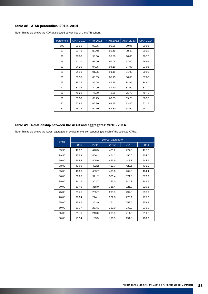### Table A8 ATAR percentiles: 2010–2014

Note: This table shows the ATAR at selected percentiles of the ATAR cohort.

| Percentile | <b>ATAR 2010</b> | <b>ATAR 2011</b> | <b>ATAR 2012</b> | <b>ATAR 2013</b> | <b>ATAR 2014</b> |
|------------|------------------|------------------|------------------|------------------|------------------|
| 100        | 99.95            | 99.95            | 99.95            | 99.95            | 99.95            |
| 99         | 99.40            | 99.40            | 99.40            | 99.40            | 99.35            |
| 98         | 98.80            | 98.80            | 98.80            | 98.80            | 98.75            |
| 95         | 97.10            | 97.00            | 97.05            | 97.00            | 96.95            |
| 90         | 94.20            | 94.05            | 94.10            | 94.00            | 93.95            |
| 85         | 91.30            | 91.05            | 91.15            | 91.00            | 90.90            |
| 80         | 88.30            | 88.05            | 88.15            | 88.00            | 87.85            |
| 75         | 85.35            | 85.05            | 85.15            | 84.95            | 84.80            |
| 70         | 82.35            | 82.00            | 82.10            | 81.90            | 81.70            |
| 60         | 76.20            | 75.80            | 75.95            | 75.70            | 75.40            |
| 50         | 69.80            | 69.25            | 69.55            | 69.20            | 68.95            |
| 40         | 62.85            | 62.30            | 62.75            | 62.40            | 62.15            |
| 30         | 55.25            | 54.70            | 55.30            | 54.90            | 54.70            |

### Table A9 Relationship between the ATAR and aggregates: 2010–2014

Note: This table shows the lowest aggregate of scaled marks corresponding to each of the selected ATARs.

| <b>ATAR</b> | Lowest aggregate |       |       |       |       |
|-------------|------------------|-------|-------|-------|-------|
|             | 2010             | 2011  | 2012  | 2013  | 2014  |
| 99.95       | 476.2            | 476.5 | 475.2 | 477.9 | 475.3 |
| 99.50       | 455.2            | 456.2 | 454.2 | 455.0 | 454.0 |
| 99.00       | 444.8            | 445.6 | 443.9 | 443.8 | 444.5 |
| 98.00       | 430.0            | 432.2 | 429.7 | 429.5 | 431.2 |
| 95.00       | 403.0            | 403.7 | 401.6 | 402.6 | 404.4 |
| 90.00       | 369.6            | 371.2 | 369.4 | 371.3 | 372.2 |
| 85.00       | 341.5            | 343.7 | 343.0 | 344.8 | 345.1 |
| 80.00       | 317.6            | 318.9 | 318.4 | 321.3 | 320.6 |
| 75.00       | 295.5            | 295.7 | 295.3 | 297.9 | 296.9 |
| 70.00       | 273.4            | 274.1 | 272.8 | 276.1 | 275.0 |
| 65.00       | 252.5            | 252.9 | 251.1 | 253.5 | 253.3 |
| 60.00       | 231.7            | 233.1 | 229.9 | 232.2 | 231.9 |
| 55.00       | 211.6            | 213.0 | 209.5 | 211.3 | 210.8 |
| 50.00       | 192.4            | 193.5 | 190.5 | 191.3 | 189.9 |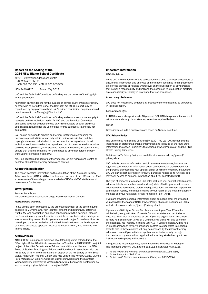#### Report on the Scaling of the 2014 NSW Higher School Certificate

© 2015 Universities Admissions Centre (NSW & ACT) Pty Ltd ACN 070 055 935 ABN 19 070 055 935

ISSN 1449-8723 Printed May 2015

UAC and the Technical Committee on Scaling are the owners of the Copyright in this publication.

Apart from any fair dealing for the purpose of private study, criticism or review, or otherwise as permitted under the Copyright Act 1968, no part may be reproduced by any process without UAC's written permission. Enquiries should be addressed to the Managing Director, UAC.

UAC and the Technical Committee on Scaling endeavour to consider copyright requests on their individual merits. As UAC and the Technical Committee on Scaling does not endorse the use of ATAR calculators or other predictive applications, requests for the use of data for this purpose will generally not be granted.

UAC has no objection to schools and tertiary institutions reproducing the publication provided it is for use only within their own institution and this copyright statement is included. If the document is not reproduced in full, individual sections should not be reproduced out of context where information could be incomplete and/or misleading. Schools and tertiary institutions must ensure that this information is not transmitted to any other person or body without prior permission from UAC.

ATAR is a registered trademark of the Victorian Tertiary Admissions Centre on behalf of all Australian tertiary admissions centres.

#### About this publication

This report contains information on the calculation of the Australian Tertiary Admission Rank (ATAR) in 2014. It includes an overview of the HSC and the ATAR, a breakdown of the scaling process, analysis of HSC and ATAR statistics and notes trends for the year.

#### Cover picture

Jennifer Anne Dunn

Northern Beaches Secondary College Freshwater Senior Campus

#### *Murramarang (Painting)*

I have always been impressed by the arboreal splendour of the spotted gums endemic to Murramarang, with their tall, straight and distinctively patterned trunks. My long association and deep connection with this particular place is the foundation of my work. Evocative materials are symbolic, with each layer of wax representing layers of built up memories and images formed over time. As I developed the work my desire to find the intrinsic nature of the landscape led to a more abstracted approach inspired by Angus Nivison, Fred Williams and Imants Tillers.

#### ARTEXPRESS

ARTEXPRESS is an annual exhibition of outstanding works selected from the NSW Higher School Certificate examination in Visual Arts. ARTEXPRESS is a joint project of the NSW Department of Education and Communities and the NSW Board of Studies, Teaching and Educational Standards in association with the Art Gallery of NSW. The artworks are on display at the Art Gallery of New South Wales, Hazelhurst Regional Gallery and Arts Centre, The Armory, Sydney Olympic Park, McGlade Art Gallery, Australian Catholic University and the Margaret Whitlam Gallery, University of Western Sydney from February to September, as well as touring regional galleries throughout NSW.

#### Important Information

#### UAC disclaimer

While UAC and the authors of this publication have used their best endeavours to ensure that information and analyses of information contained in this publication are correct, any use or reliance whatsoever on the publication by any person is that person's responsibility and UAC and the authors of this publication disclaim any responsibility or liability in relation to that use or reliance.

#### Advertising disclaimer

UAC does not necessarily endorse any product or service that may be advertised in this publication.

#### Fees and charges

All UAC fees and charges include 10 per cent GST. UAC charges and fees are not refundable under any circumstances, except as required by law.

#### Times

Times indicated in this publication are based on Sydney local time.

#### UAC Privacy Policy

The Universities Admissions Centre (NSW & ACT) Pty Ltd (UAC) recognises the importance of protecting personal information and is bound by the NSW State Information Protection Principles<sup>1</sup>, the National Privacy Principles<sup>2</sup> and the NSW Health Privacy Principles<sup>3</sup>.

Details of UAC's Privacy Policy are available at www.uac.edu.au/general/ privacy.shtml.

UAC collects personal information and, in some circumstances, information regarding your health, or information about someone other than yourself, for the purpose of processing your application for admission to tertiary institutions. UAC will only collect information for lawful purposes related to its function. You may seek access to personal information about you collected by UAC.

The type of personal information UAC holds includes your contact details (name, address, telephone number, email address), date of birth, gender, citizenship, educational achievements, professional qualifications, employment experience, examination results, information related to your health or the health of a family member and your Australian Tertiary Admission Rank (ATAR).

If you are providing personal information about someone other than yourself, you should tell them about UAC's Privacy Policy, which can be found on UAC's website at www.uac.edu.au/general/privacy.shtml.

If you are a NSW Higher School Certificate student, your Year 12 results will be held, along with Year 12 results from other states and territories in Australia, in an archive database at UAC. If you are eligible for an Australian Tertiary Admission Rank (ATAR) or a Limited ATAR, these will also be held in the database. Your results, including your ATAR if you are eligible, will be held in similar archives at tertiary admissions centres in other states in Australia. Results held in these archives will only be accessed by the relevant tertiary admission centre if you initiate an application for tertiary study through that centre, or if you submit an application for tertiary study directly with an institution participating in that centre.

Any questions regarding privacy at UAC should be forwarded in writing to: The Managing Director, UAC, Locked Bag 112, Silverwater NSW 2128.

- *1 In the Privacy and Personal Information Protection Act 1998 (NSW).*
- *2 In the Privacy Act 1988 (Cth).*
- *3 In the Health Records and Information Privacy Act 2002 (NSW).*